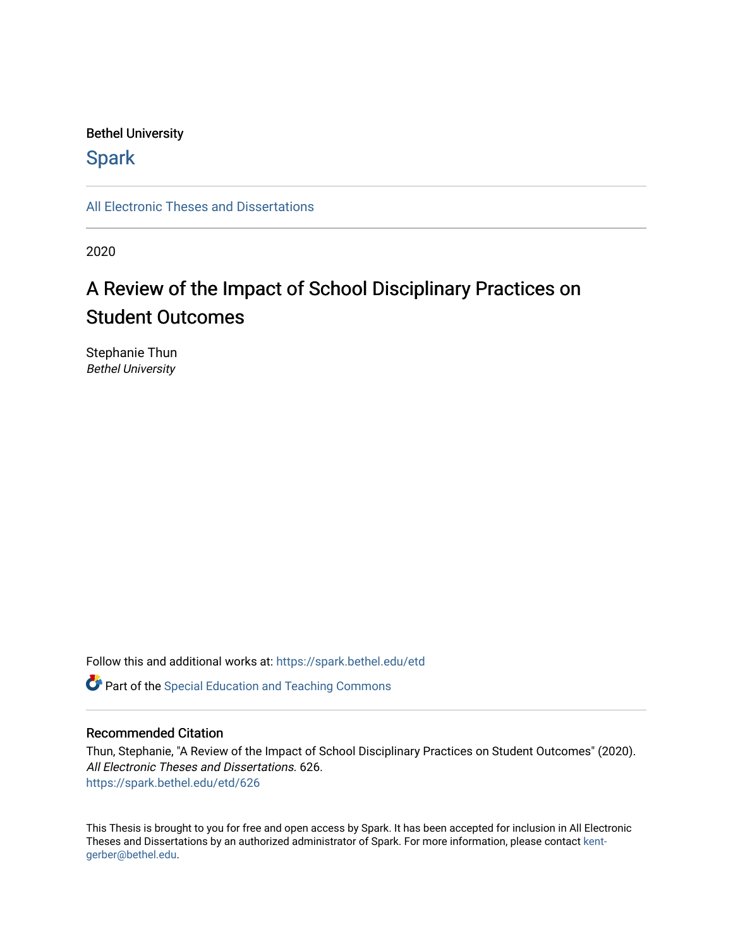### Bethel University

# **Spark**

[All Electronic Theses and Dissertations](https://spark.bethel.edu/etd) 

2020

# A Review of the Impact of School Disciplinary Practices on Student Outcomes

Stephanie Thun Bethel University

Follow this and additional works at: [https://spark.bethel.edu/etd](https://spark.bethel.edu/etd?utm_source=spark.bethel.edu%2Fetd%2F626&utm_medium=PDF&utm_campaign=PDFCoverPages)

**C** Part of the Special Education and Teaching Commons

### Recommended Citation

Thun, Stephanie, "A Review of the Impact of School Disciplinary Practices on Student Outcomes" (2020). All Electronic Theses and Dissertations. 626. [https://spark.bethel.edu/etd/626](https://spark.bethel.edu/etd/626?utm_source=spark.bethel.edu%2Fetd%2F626&utm_medium=PDF&utm_campaign=PDFCoverPages)

This Thesis is brought to you for free and open access by Spark. It has been accepted for inclusion in All Electronic Theses and Dissertations by an authorized administrator of Spark. For more information, please contact [kent](mailto:kent-gerber@bethel.edu)[gerber@bethel.edu.](mailto:kent-gerber@bethel.edu)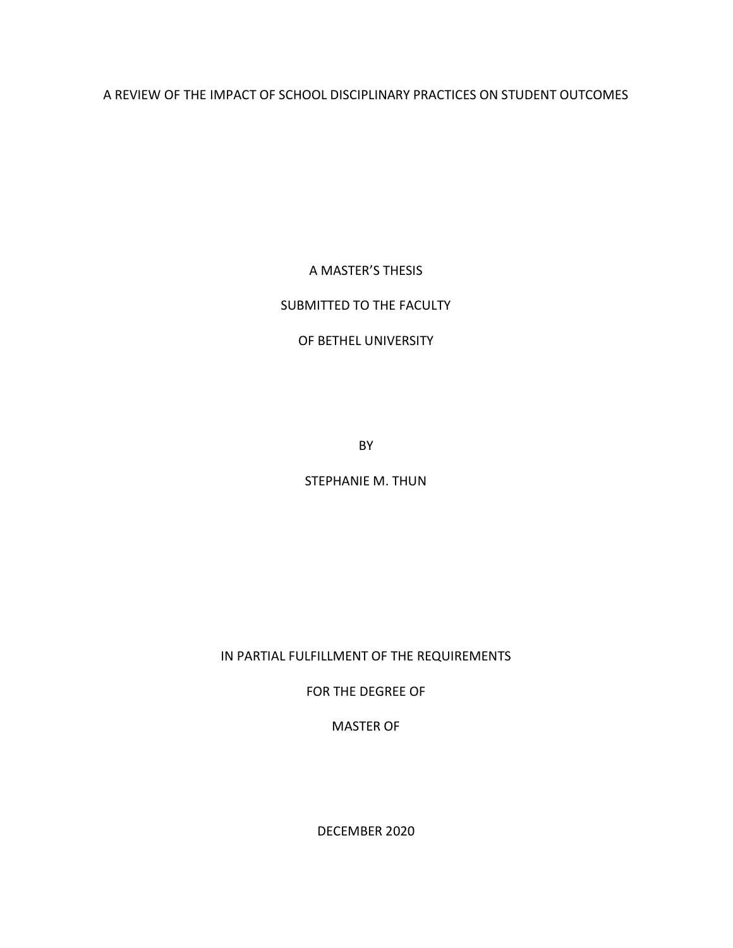A REVIEW OF THE IMPACT OF SCHOOL DISCIPLINARY PRACTICES ON STUDENT OUTCOMES

A MASTER'S THESIS

## SUBMITTED TO THE FACULTY

### OF BETHEL UNIVERSITY

BY

STEPHANIE M. THUN

IN PARTIAL FULFILLMENT OF THE REQUIREMENTS

FOR THE DEGREE OF

MASTER OF

DECEMBER 2020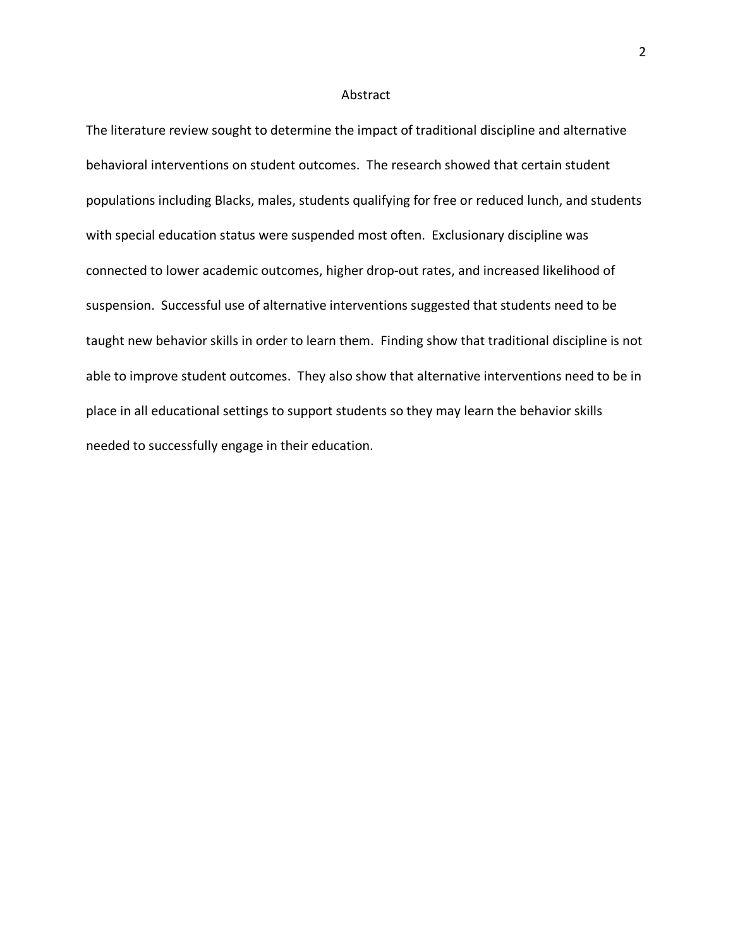### Abstract

The literature review sought to determine the impact of traditional discipline and alternative behavioral interventions on student outcomes. The research showed that certain student populations including Blacks, males, students qualifying for free or reduced lunch, and students with special education status were suspended most often. Exclusionary discipline was connected to lower academic outcomes, higher drop-out rates, and increased likelihood of suspension. Successful use of alternative interventions suggested that students need to be taught new behavior skills in order to learn them. Finding show that traditional discipline is not able to improve student outcomes. They also show that alternative interventions need to be in place in all educational settings to support students so they may learn the behavior skills needed to successfully engage in their education.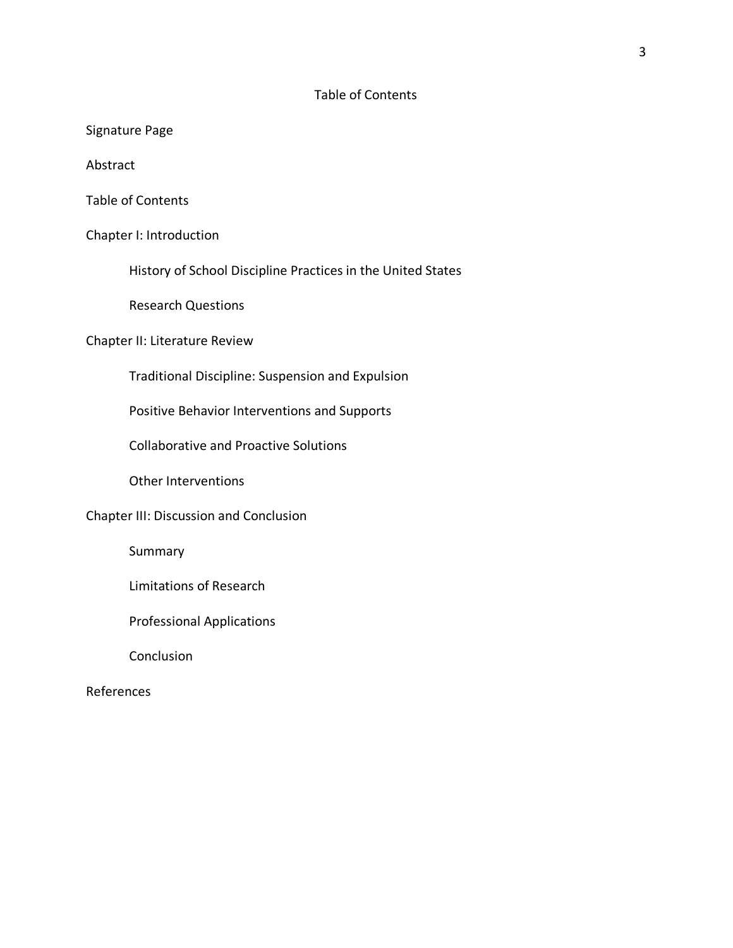### Table of Contents

Signature Page

Abstract

Table of Contents

Chapter I: Introduction

History of School Discipline Practices in the United States

Research Questions

### Chapter II: Literature Review

Traditional Discipline: Suspension and Expulsion

Positive Behavior Interventions and Supports

Collaborative and Proactive Solutions

Other Interventions

Chapter III: Discussion and Conclusion

Summary

Limitations of Research

Professional Applications

Conclusion

### References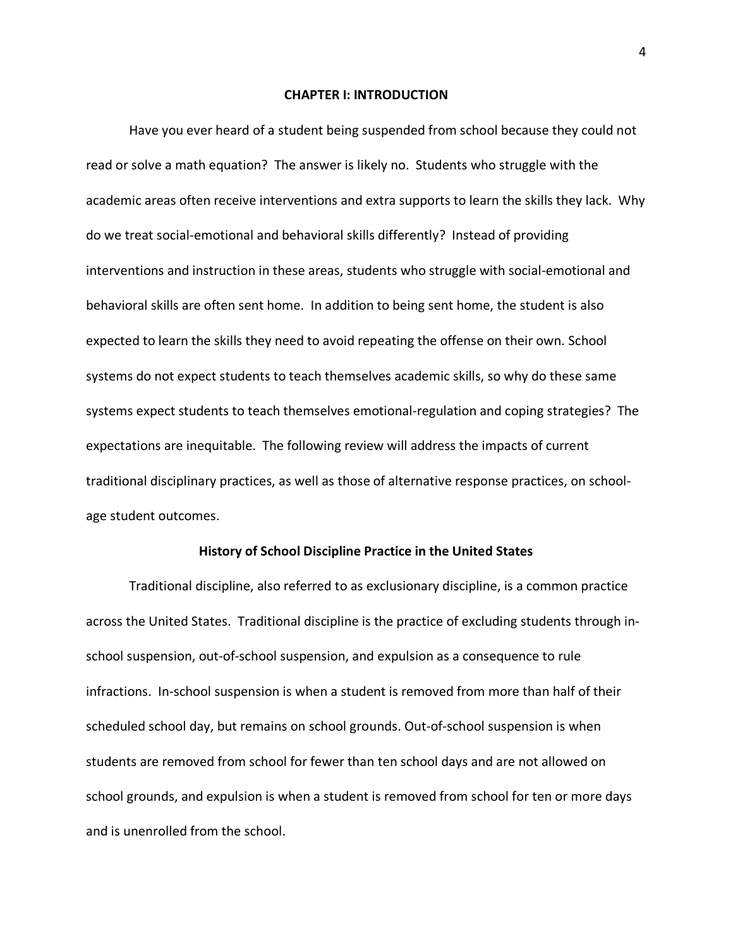#### **CHAPTER I: INTRODUCTION**

Have you ever heard of a student being suspended from school because they could not read or solve a math equation? The answer is likely no. Students who struggle with the academic areas often receive interventions and extra supports to learn the skills they lack. Why do we treat social-emotional and behavioral skills differently? Instead of providing interventions and instruction in these areas, students who struggle with social-emotional and behavioral skills are often sent home. In addition to being sent home, the student is also expected to learn the skills they need to avoid repeating the offense on their own. School systems do not expect students to teach themselves academic skills, so why do these same systems expect students to teach themselves emotional-regulation and coping strategies? The expectations are inequitable. The following review will address the impacts of current traditional disciplinary practices, as well as those of alternative response practices, on schoolage student outcomes.

#### **History of School Discipline Practice in the United States**

Traditional discipline, also referred to as exclusionary discipline, is a common practice across the United States. Traditional discipline is the practice of excluding students through inschool suspension, out-of-school suspension, and expulsion as a consequence to rule infractions. In-school suspension is when a student is removed from more than half of their scheduled school day, but remains on school grounds. Out-of-school suspension is when students are removed from school for fewer than ten school days and are not allowed on school grounds, and expulsion is when a student is removed from school for ten or more days and is unenrolled from the school.

4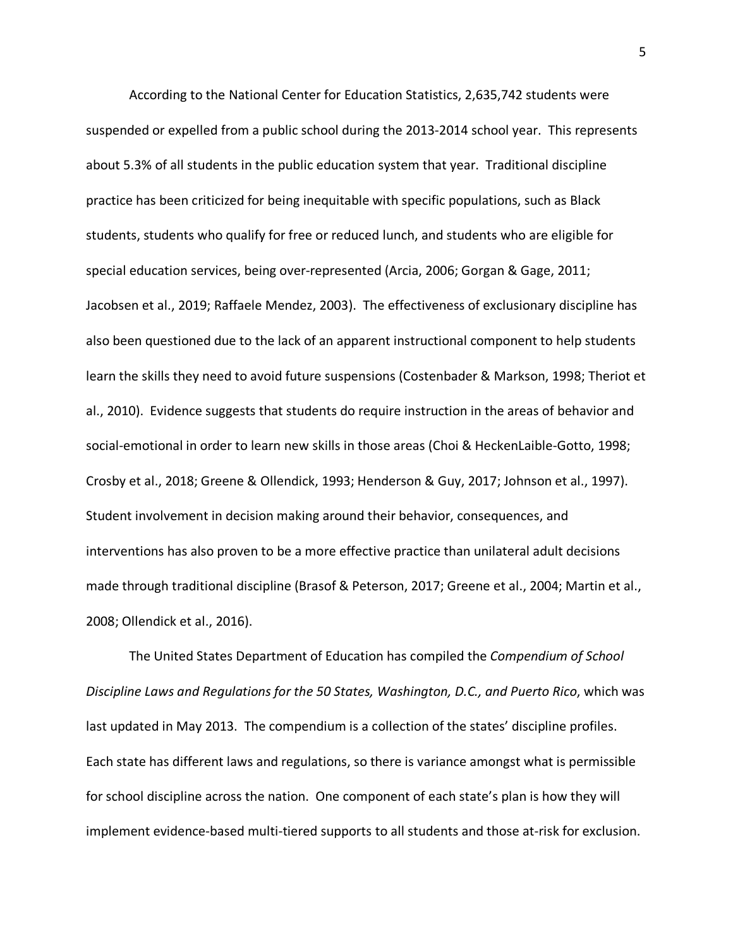According to the National Center for Education Statistics, 2,635,742 students were suspended or expelled from a public school during the 2013-2014 school year. This represents about 5.3% of all students in the public education system that year. Traditional discipline practice has been criticized for being inequitable with specific populations, such as Black students, students who qualify for free or reduced lunch, and students who are eligible for special education services, being over-represented (Arcia, 2006; Gorgan & Gage, 2011; Jacobsen et al., 2019; Raffaele Mendez, 2003). The effectiveness of exclusionary discipline has also been questioned due to the lack of an apparent instructional component to help students learn the skills they need to avoid future suspensions (Costenbader & Markson, 1998; Theriot et al., 2010). Evidence suggests that students do require instruction in the areas of behavior and social-emotional in order to learn new skills in those areas (Choi & HeckenLaible-Gotto, 1998; Crosby et al., 2018; Greene & Ollendick, 1993; Henderson & Guy, 2017; Johnson et al., 1997). Student involvement in decision making around their behavior, consequences, and interventions has also proven to be a more effective practice than unilateral adult decisions made through traditional discipline (Brasof & Peterson, 2017; Greene et al., 2004; Martin et al., 2008; Ollendick et al., 2016).

The United States Department of Education has compiled the *Compendium of School Discipline Laws and Regulations for the 50 States, Washington, D.C., and Puerto Rico*, which was last updated in May 2013. The compendium is a collection of the states' discipline profiles. Each state has different laws and regulations, so there is variance amongst what is permissible for school discipline across the nation. One component of each state's plan is how they will implement evidence-based multi-tiered supports to all students and those at-risk for exclusion.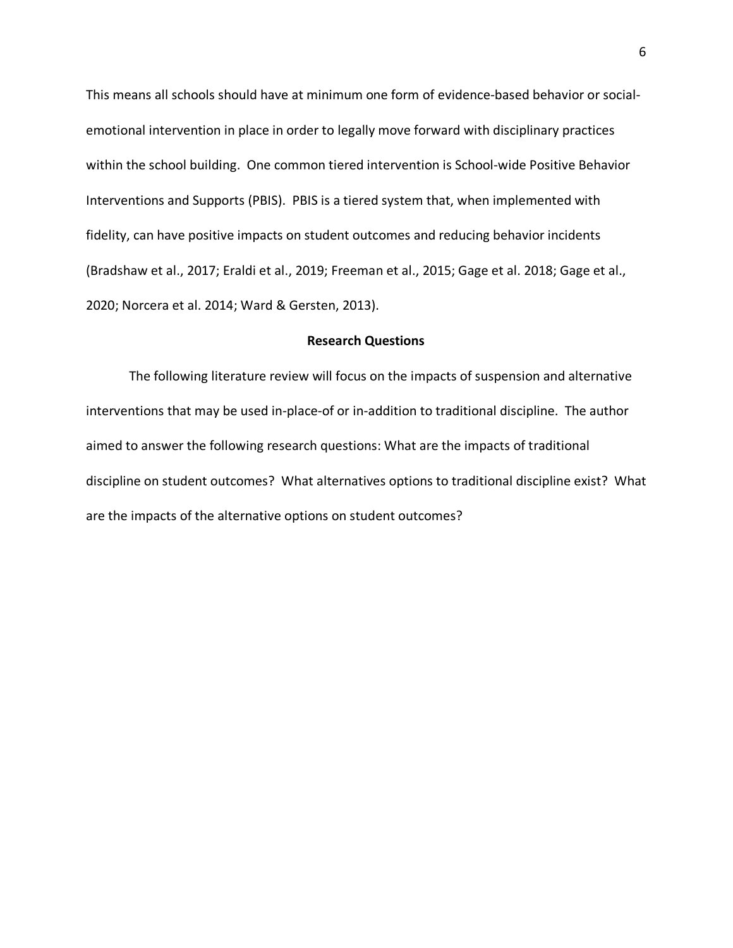This means all schools should have at minimum one form of evidence-based behavior or socialemotional intervention in place in order to legally move forward with disciplinary practices within the school building. One common tiered intervention is School-wide Positive Behavior Interventions and Supports (PBIS). PBIS is a tiered system that, when implemented with fidelity, can have positive impacts on student outcomes and reducing behavior incidents (Bradshaw et al., 2017; Eraldi et al., 2019; Freeman et al., 2015; Gage et al. 2018; Gage et al., 2020; Norcera et al. 2014; Ward & Gersten, 2013).

#### **Research Questions**

The following literature review will focus on the impacts of suspension and alternative interventions that may be used in-place-of or in-addition to traditional discipline. The author aimed to answer the following research questions: What are the impacts of traditional discipline on student outcomes? What alternatives options to traditional discipline exist? What are the impacts of the alternative options on student outcomes?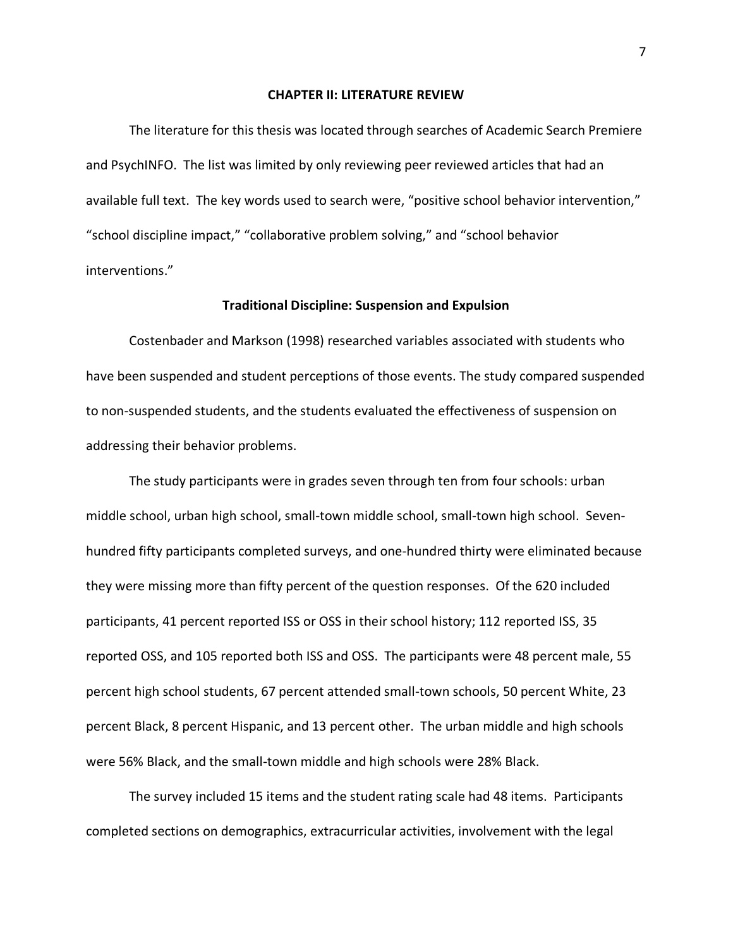#### **CHAPTER II: LITERATURE REVIEW**

The literature for this thesis was located through searches of Academic Search Premiere and PsychINFO. The list was limited by only reviewing peer reviewed articles that had an available full text. The key words used to search were, "positive school behavior intervention," "school discipline impact," "collaborative problem solving," and "school behavior interventions."

### **Traditional Discipline: Suspension and Expulsion**

Costenbader and Markson (1998) researched variables associated with students who have been suspended and student perceptions of those events. The study compared suspended to non-suspended students, and the students evaluated the effectiveness of suspension on addressing their behavior problems.

The study participants were in grades seven through ten from four schools: urban middle school, urban high school, small-town middle school, small-town high school. Sevenhundred fifty participants completed surveys, and one-hundred thirty were eliminated because they were missing more than fifty percent of the question responses. Of the 620 included participants, 41 percent reported ISS or OSS in their school history; 112 reported ISS, 35 reported OSS, and 105 reported both ISS and OSS. The participants were 48 percent male, 55 percent high school students, 67 percent attended small-town schools, 50 percent White, 23 percent Black, 8 percent Hispanic, and 13 percent other. The urban middle and high schools were 56% Black, and the small-town middle and high schools were 28% Black.

The survey included 15 items and the student rating scale had 48 items. Participants completed sections on demographics, extracurricular activities, involvement with the legal

7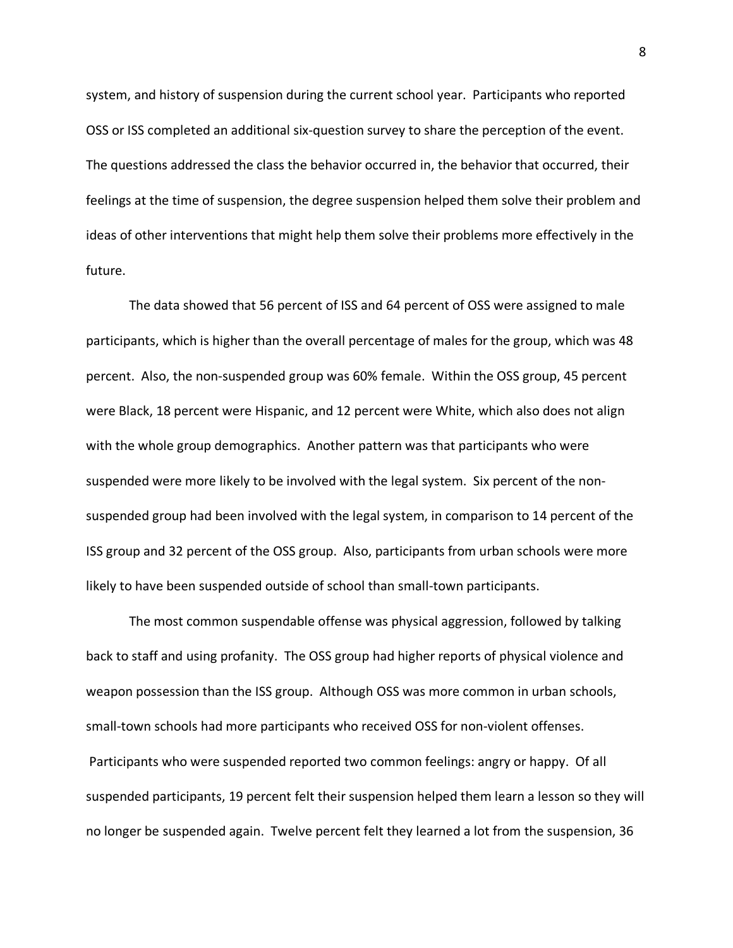system, and history of suspension during the current school year. Participants who reported OSS or ISS completed an additional six-question survey to share the perception of the event. The questions addressed the class the behavior occurred in, the behavior that occurred, their feelings at the time of suspension, the degree suspension helped them solve their problem and ideas of other interventions that might help them solve their problems more effectively in the future.

The data showed that 56 percent of ISS and 64 percent of OSS were assigned to male participants, which is higher than the overall percentage of males for the group, which was 48 percent. Also, the non-suspended group was 60% female. Within the OSS group, 45 percent were Black, 18 percent were Hispanic, and 12 percent were White, which also does not align with the whole group demographics. Another pattern was that participants who were suspended were more likely to be involved with the legal system. Six percent of the nonsuspended group had been involved with the legal system, in comparison to 14 percent of the ISS group and 32 percent of the OSS group. Also, participants from urban schools were more likely to have been suspended outside of school than small-town participants.

The most common suspendable offense was physical aggression, followed by talking back to staff and using profanity. The OSS group had higher reports of physical violence and weapon possession than the ISS group. Although OSS was more common in urban schools, small-town schools had more participants who received OSS for non-violent offenses. Participants who were suspended reported two common feelings: angry or happy. Of all suspended participants, 19 percent felt their suspension helped them learn a lesson so they will no longer be suspended again. Twelve percent felt they learned a lot from the suspension, 36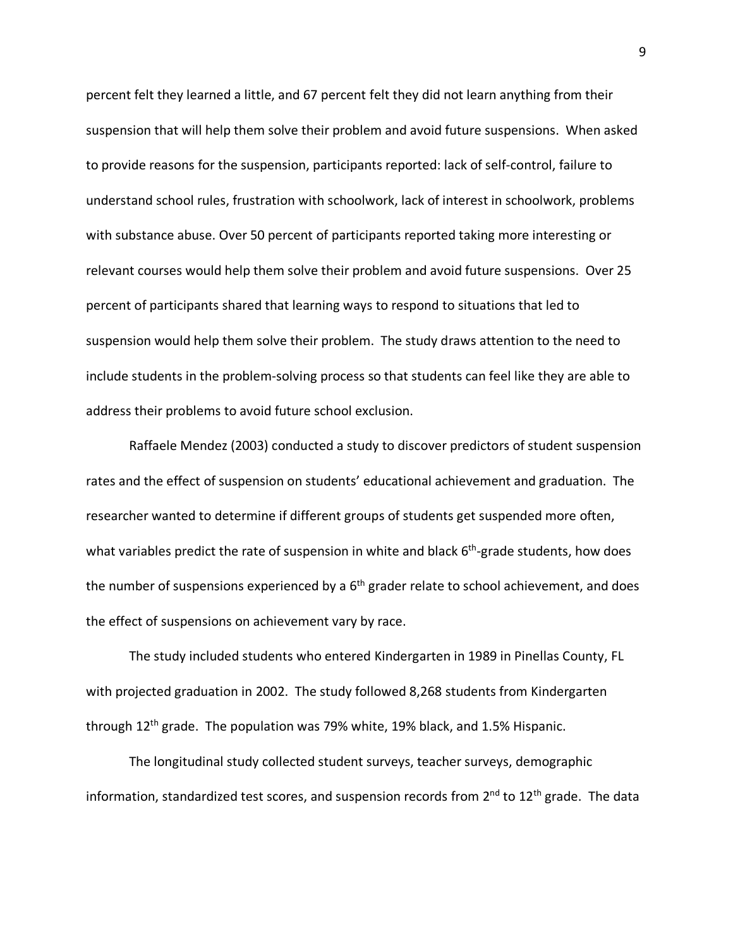percent felt they learned a little, and 67 percent felt they did not learn anything from their suspension that will help them solve their problem and avoid future suspensions. When asked to provide reasons for the suspension, participants reported: lack of self-control, failure to understand school rules, frustration with schoolwork, lack of interest in schoolwork, problems with substance abuse. Over 50 percent of participants reported taking more interesting or relevant courses would help them solve their problem and avoid future suspensions. Over 25 percent of participants shared that learning ways to respond to situations that led to suspension would help them solve their problem. The study draws attention to the need to include students in the problem-solving process so that students can feel like they are able to address their problems to avoid future school exclusion.

Raffaele Mendez (2003) conducted a study to discover predictors of student suspension rates and the effect of suspension on students' educational achievement and graduation. The researcher wanted to determine if different groups of students get suspended more often, what variables predict the rate of suspension in white and black  $6<sup>th</sup>$ -grade students, how does the number of suspensions experienced by a  $6<sup>th</sup>$  grader relate to school achievement, and does the effect of suspensions on achievement vary by race.

The study included students who entered Kindergarten in 1989 in Pinellas County, FL with projected graduation in 2002. The study followed 8,268 students from Kindergarten through 12th grade. The population was 79% white, 19% black, and 1.5% Hispanic.

The longitudinal study collected student surveys, teacher surveys, demographic information, standardized test scores, and suspension records from  $2^{nd}$  to  $12^{th}$  grade. The data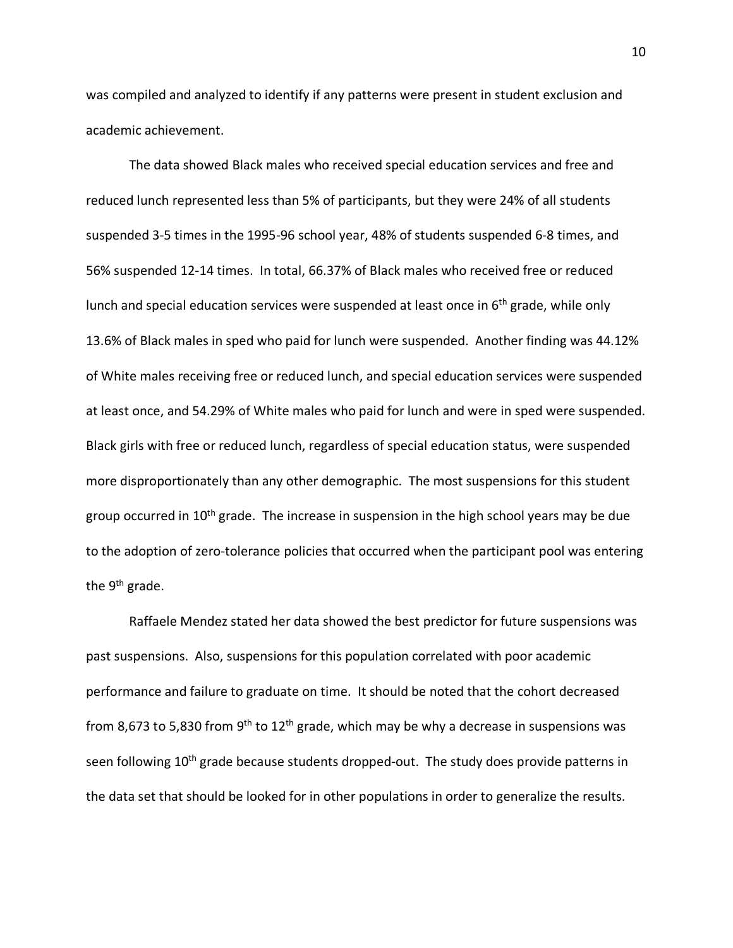was compiled and analyzed to identify if any patterns were present in student exclusion and academic achievement.

The data showed Black males who received special education services and free and reduced lunch represented less than 5% of participants, but they were 24% of all students suspended 3-5 times in the 1995-96 school year, 48% of students suspended 6-8 times, and 56% suspended 12-14 times. In total, 66.37% of Black males who received free or reduced lunch and special education services were suspended at least once in  $6<sup>th</sup>$  grade, while only 13.6% of Black males in sped who paid for lunch were suspended. Another finding was 44.12% of White males receiving free or reduced lunch, and special education services were suspended at least once, and 54.29% of White males who paid for lunch and were in sped were suspended. Black girls with free or reduced lunch, regardless of special education status, were suspended more disproportionately than any other demographic. The most suspensions for this student group occurred in 10<sup>th</sup> grade. The increase in suspension in the high school years may be due to the adoption of zero-tolerance policies that occurred when the participant pool was entering the 9<sup>th</sup> grade.

Raffaele Mendez stated her data showed the best predictor for future suspensions was past suspensions. Also, suspensions for this population correlated with poor academic performance and failure to graduate on time. It should be noted that the cohort decreased from 8,673 to 5,830 from 9<sup>th</sup> to 12<sup>th</sup> grade, which may be why a decrease in suspensions was seen following 10<sup>th</sup> grade because students dropped-out. The study does provide patterns in the data set that should be looked for in other populations in order to generalize the results.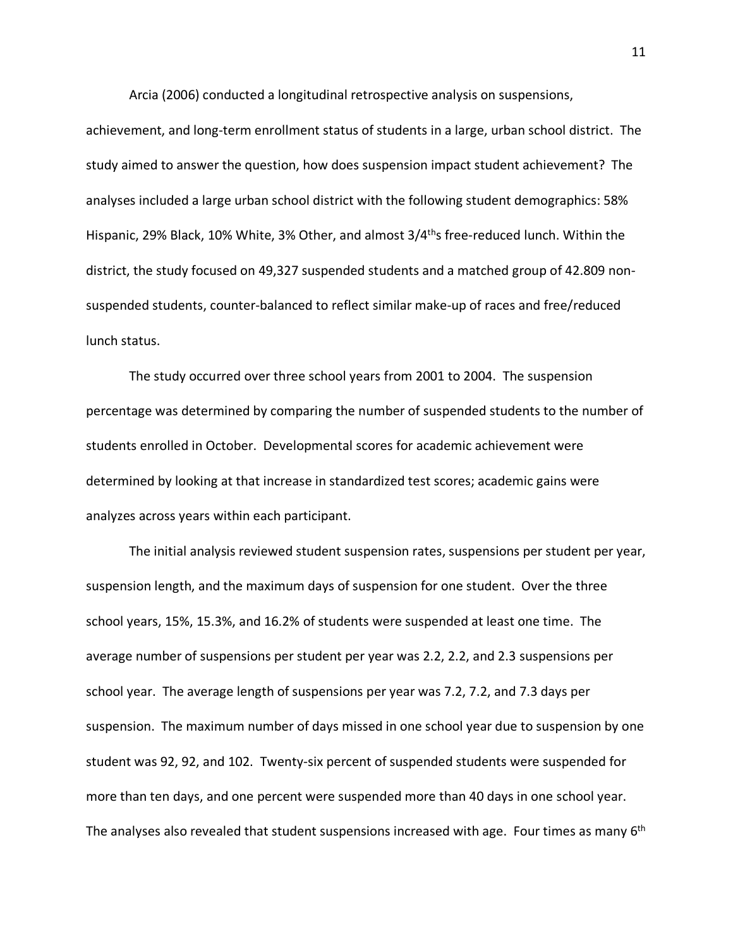Arcia (2006) conducted a longitudinal retrospective analysis on suspensions,

achievement, and long-term enrollment status of students in a large, urban school district. The study aimed to answer the question, how does suspension impact student achievement? The analyses included a large urban school district with the following student demographics: 58% Hispanic, 29% Black, 10% White, 3% Other, and almost 3/4<sup>th</sup>s free-reduced lunch. Within the district, the study focused on 49,327 suspended students and a matched group of 42.809 nonsuspended students, counter-balanced to reflect similar make-up of races and free/reduced lunch status.

The study occurred over three school years from 2001 to 2004. The suspension percentage was determined by comparing the number of suspended students to the number of students enrolled in October. Developmental scores for academic achievement were determined by looking at that increase in standardized test scores; academic gains were analyzes across years within each participant.

The initial analysis reviewed student suspension rates, suspensions per student per year, suspension length, and the maximum days of suspension for one student. Over the three school years, 15%, 15.3%, and 16.2% of students were suspended at least one time. The average number of suspensions per student per year was 2.2, 2.2, and 2.3 suspensions per school year. The average length of suspensions per year was 7.2, 7.2, and 7.3 days per suspension. The maximum number of days missed in one school year due to suspension by one student was 92, 92, and 102. Twenty-six percent of suspended students were suspended for more than ten days, and one percent were suspended more than 40 days in one school year. The analyses also revealed that student suspensions increased with age. Four times as many  $6<sup>th</sup>$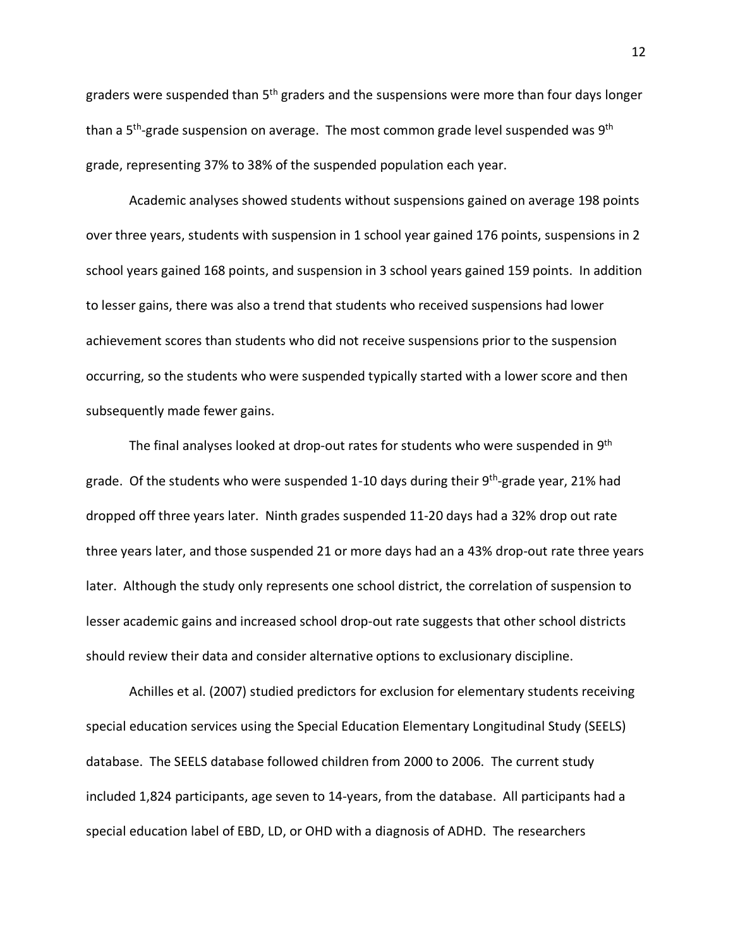graders were suspended than 5<sup>th</sup> graders and the suspensions were more than four days longer than a 5<sup>th</sup>-grade suspension on average. The most common grade level suspended was 9<sup>th</sup> grade, representing 37% to 38% of the suspended population each year.

Academic analyses showed students without suspensions gained on average 198 points over three years, students with suspension in 1 school year gained 176 points, suspensions in 2 school years gained 168 points, and suspension in 3 school years gained 159 points. In addition to lesser gains, there was also a trend that students who received suspensions had lower achievement scores than students who did not receive suspensions prior to the suspension occurring, so the students who were suspended typically started with a lower score and then subsequently made fewer gains.

The final analyses looked at drop-out rates for students who were suspended in 9<sup>th</sup> grade. Of the students who were suspended 1-10 days during their  $9<sup>th</sup>$ -grade year, 21% had dropped off three years later. Ninth grades suspended 11-20 days had a 32% drop out rate three years later, and those suspended 21 or more days had an a 43% drop-out rate three years later. Although the study only represents one school district, the correlation of suspension to lesser academic gains and increased school drop-out rate suggests that other school districts should review their data and consider alternative options to exclusionary discipline.

Achilles et al. (2007) studied predictors for exclusion for elementary students receiving special education services using the Special Education Elementary Longitudinal Study (SEELS) database. The SEELS database followed children from 2000 to 2006. The current study included 1,824 participants, age seven to 14-years, from the database. All participants had a special education label of EBD, LD, or OHD with a diagnosis of ADHD. The researchers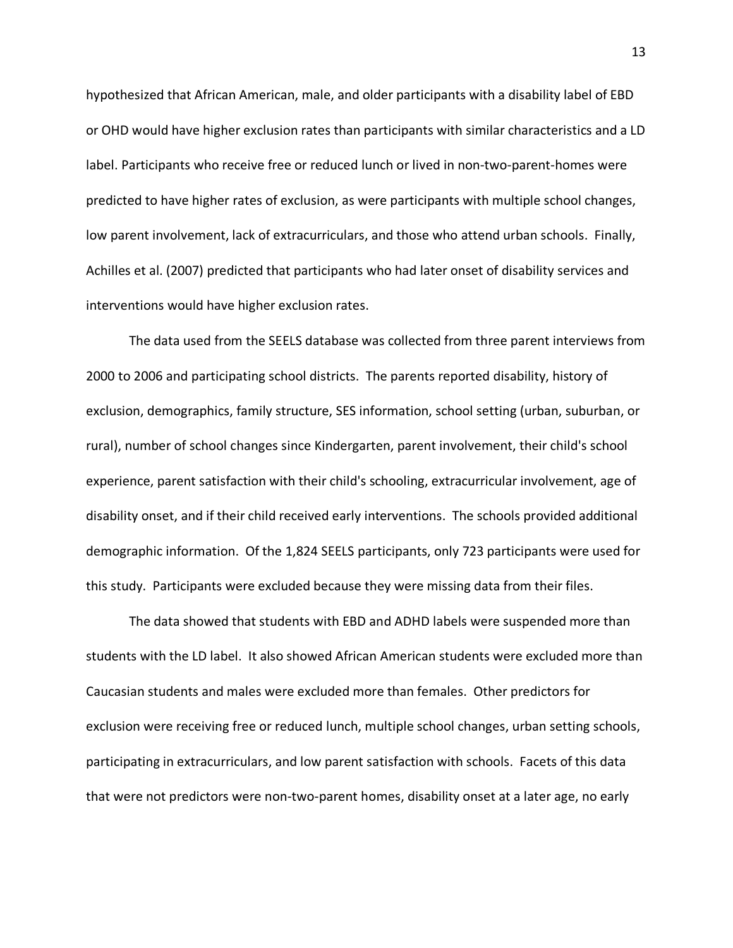hypothesized that African American, male, and older participants with a disability label of EBD or OHD would have higher exclusion rates than participants with similar characteristics and a LD label. Participants who receive free or reduced lunch or lived in non-two-parent-homes were predicted to have higher rates of exclusion, as were participants with multiple school changes, low parent involvement, lack of extracurriculars, and those who attend urban schools. Finally, Achilles et al. (2007) predicted that participants who had later onset of disability services and interventions would have higher exclusion rates.

The data used from the SEELS database was collected from three parent interviews from 2000 to 2006 and participating school districts. The parents reported disability, history of exclusion, demographics, family structure, SES information, school setting (urban, suburban, or rural), number of school changes since Kindergarten, parent involvement, their child's school experience, parent satisfaction with their child's schooling, extracurricular involvement, age of disability onset, and if their child received early interventions. The schools provided additional demographic information. Of the 1,824 SEELS participants, only 723 participants were used for this study. Participants were excluded because they were missing data from their files.

The data showed that students with EBD and ADHD labels were suspended more than students with the LD label. It also showed African American students were excluded more than Caucasian students and males were excluded more than females. Other predictors for exclusion were receiving free or reduced lunch, multiple school changes, urban setting schools, participating in extracurriculars, and low parent satisfaction with schools. Facets of this data that were not predictors were non-two-parent homes, disability onset at a later age, no early

13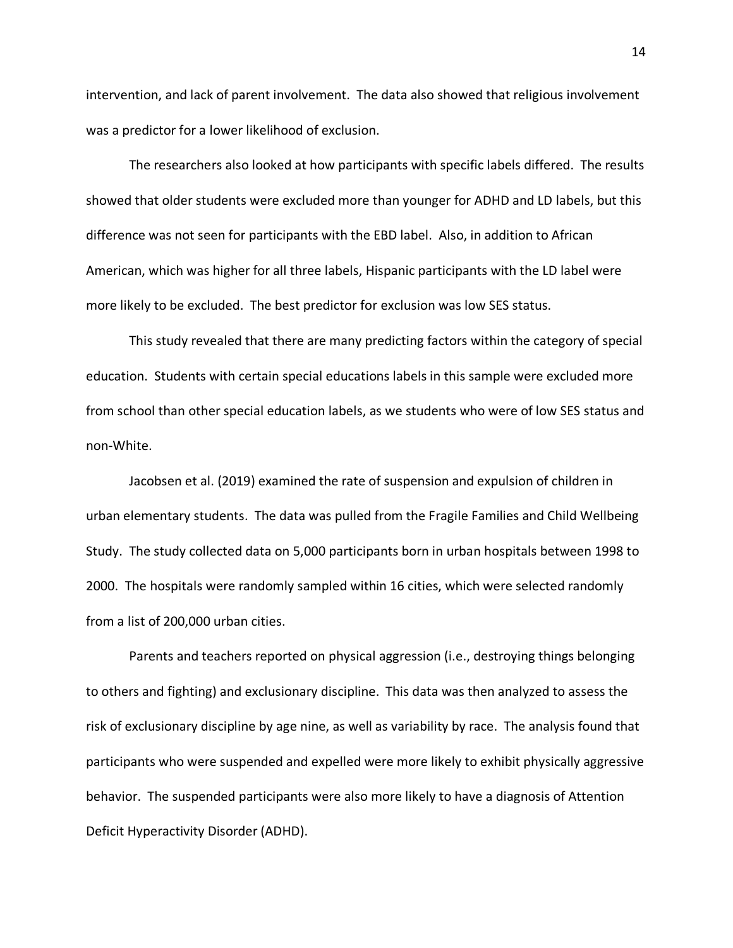intervention, and lack of parent involvement. The data also showed that religious involvement was a predictor for a lower likelihood of exclusion.

The researchers also looked at how participants with specific labels differed. The results showed that older students were excluded more than younger for ADHD and LD labels, but this difference was not seen for participants with the EBD label. Also, in addition to African American, which was higher for all three labels, Hispanic participants with the LD label were more likely to be excluded. The best predictor for exclusion was low SES status.

This study revealed that there are many predicting factors within the category of special education. Students with certain special educations labels in this sample were excluded more from school than other special education labels, as we students who were of low SES status and non-White.

Jacobsen et al. (2019) examined the rate of suspension and expulsion of children in urban elementary students. The data was pulled from the Fragile Families and Child Wellbeing Study. The study collected data on 5,000 participants born in urban hospitals between 1998 to 2000. The hospitals were randomly sampled within 16 cities, which were selected randomly from a list of 200,000 urban cities.

Parents and teachers reported on physical aggression (i.e., destroying things belonging to others and fighting) and exclusionary discipline. This data was then analyzed to assess the risk of exclusionary discipline by age nine, as well as variability by race. The analysis found that participants who were suspended and expelled were more likely to exhibit physically aggressive behavior. The suspended participants were also more likely to have a diagnosis of Attention Deficit Hyperactivity Disorder (ADHD).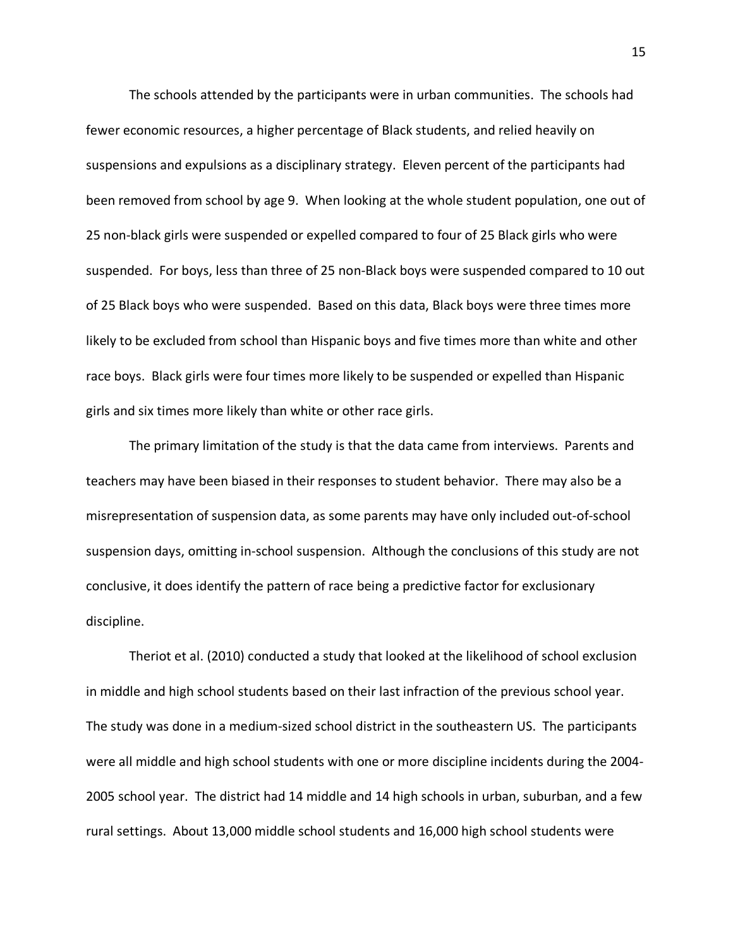The schools attended by the participants were in urban communities. The schools had fewer economic resources, a higher percentage of Black students, and relied heavily on suspensions and expulsions as a disciplinary strategy. Eleven percent of the participants had been removed from school by age 9. When looking at the whole student population, one out of 25 non-black girls were suspended or expelled compared to four of 25 Black girls who were suspended. For boys, less than three of 25 non-Black boys were suspended compared to 10 out of 25 Black boys who were suspended. Based on this data, Black boys were three times more likely to be excluded from school than Hispanic boys and five times more than white and other race boys. Black girls were four times more likely to be suspended or expelled than Hispanic girls and six times more likely than white or other race girls.

The primary limitation of the study is that the data came from interviews. Parents and teachers may have been biased in their responses to student behavior. There may also be a misrepresentation of suspension data, as some parents may have only included out-of-school suspension days, omitting in-school suspension. Although the conclusions of this study are not conclusive, it does identify the pattern of race being a predictive factor for exclusionary discipline.

Theriot et al. (2010) conducted a study that looked at the likelihood of school exclusion in middle and high school students based on their last infraction of the previous school year. The study was done in a medium-sized school district in the southeastern US. The participants were all middle and high school students with one or more discipline incidents during the 2004- 2005 school year. The district had 14 middle and 14 high schools in urban, suburban, and a few rural settings. About 13,000 middle school students and 16,000 high school students were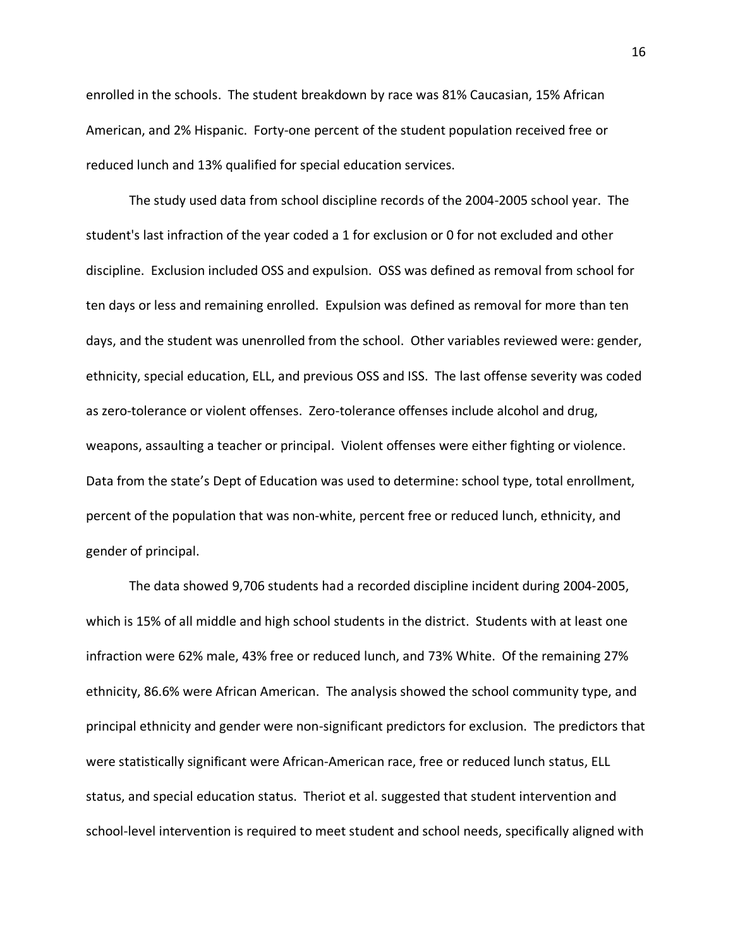enrolled in the schools. The student breakdown by race was 81% Caucasian, 15% African American, and 2% Hispanic. Forty-one percent of the student population received free or reduced lunch and 13% qualified for special education services.

The study used data from school discipline records of the 2004-2005 school year. The student's last infraction of the year coded a 1 for exclusion or 0 for not excluded and other discipline. Exclusion included OSS and expulsion. OSS was defined as removal from school for ten days or less and remaining enrolled. Expulsion was defined as removal for more than ten days, and the student was unenrolled from the school. Other variables reviewed were: gender, ethnicity, special education, ELL, and previous OSS and ISS. The last offense severity was coded as zero-tolerance or violent offenses. Zero-tolerance offenses include alcohol and drug, weapons, assaulting a teacher or principal. Violent offenses were either fighting or violence. Data from the state's Dept of Education was used to determine: school type, total enrollment, percent of the population that was non-white, percent free or reduced lunch, ethnicity, and gender of principal.

The data showed 9,706 students had a recorded discipline incident during 2004-2005, which is 15% of all middle and high school students in the district. Students with at least one infraction were 62% male, 43% free or reduced lunch, and 73% White. Of the remaining 27% ethnicity, 86.6% were African American. The analysis showed the school community type, and principal ethnicity and gender were non-significant predictors for exclusion. The predictors that were statistically significant were African-American race, free or reduced lunch status, ELL status, and special education status. Theriot et al. suggested that student intervention and school-level intervention is required to meet student and school needs, specifically aligned with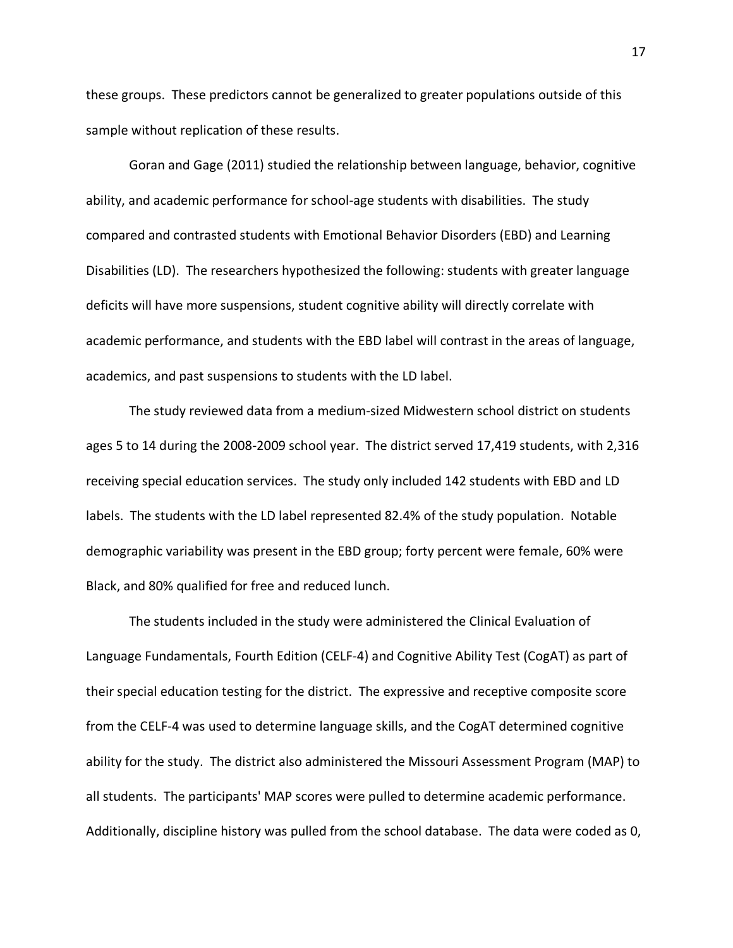these groups. These predictors cannot be generalized to greater populations outside of this sample without replication of these results.

Goran and Gage (2011) studied the relationship between language, behavior, cognitive ability, and academic performance for school-age students with disabilities. The study compared and contrasted students with Emotional Behavior Disorders (EBD) and Learning Disabilities (LD). The researchers hypothesized the following: students with greater language deficits will have more suspensions, student cognitive ability will directly correlate with academic performance, and students with the EBD label will contrast in the areas of language, academics, and past suspensions to students with the LD label.

The study reviewed data from a medium-sized Midwestern school district on students ages 5 to 14 during the 2008-2009 school year. The district served 17,419 students, with 2,316 receiving special education services. The study only included 142 students with EBD and LD labels. The students with the LD label represented 82.4% of the study population. Notable demographic variability was present in the EBD group; forty percent were female, 60% were Black, and 80% qualified for free and reduced lunch.

The students included in the study were administered the Clinical Evaluation of Language Fundamentals, Fourth Edition (CELF-4) and Cognitive Ability Test (CogAT) as part of their special education testing for the district. The expressive and receptive composite score from the CELF-4 was used to determine language skills, and the CogAT determined cognitive ability for the study. The district also administered the Missouri Assessment Program (MAP) to all students. The participants' MAP scores were pulled to determine academic performance. Additionally, discipline history was pulled from the school database. The data were coded as 0,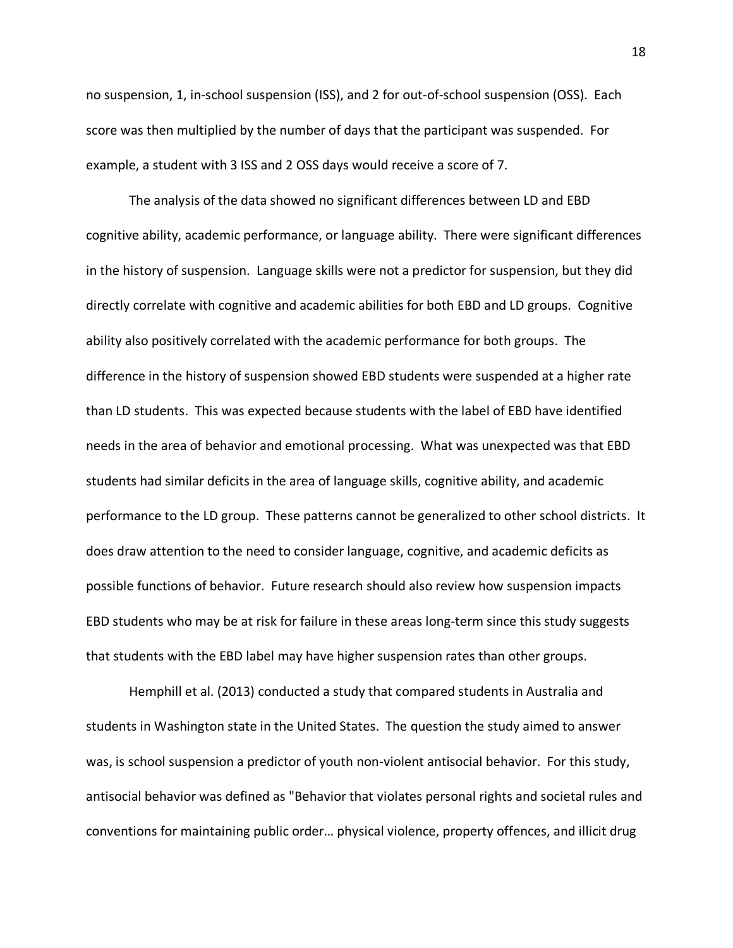no suspension, 1, in-school suspension (ISS), and 2 for out-of-school suspension (OSS). Each score was then multiplied by the number of days that the participant was suspended. For example, a student with 3 ISS and 2 OSS days would receive a score of 7.

The analysis of the data showed no significant differences between LD and EBD cognitive ability, academic performance, or language ability. There were significant differences in the history of suspension. Language skills were not a predictor for suspension, but they did directly correlate with cognitive and academic abilities for both EBD and LD groups. Cognitive ability also positively correlated with the academic performance for both groups. The difference in the history of suspension showed EBD students were suspended at a higher rate than LD students. This was expected because students with the label of EBD have identified needs in the area of behavior and emotional processing. What was unexpected was that EBD students had similar deficits in the area of language skills, cognitive ability, and academic performance to the LD group. These patterns cannot be generalized to other school districts. It does draw attention to the need to consider language, cognitive, and academic deficits as possible functions of behavior. Future research should also review how suspension impacts EBD students who may be at risk for failure in these areas long-term since this study suggests that students with the EBD label may have higher suspension rates than other groups.

Hemphill et al. (2013) conducted a study that compared students in Australia and students in Washington state in the United States. The question the study aimed to answer was, is school suspension a predictor of youth non-violent antisocial behavior. For this study, antisocial behavior was defined as "Behavior that violates personal rights and societal rules and conventions for maintaining public order… physical violence, property offences, and illicit drug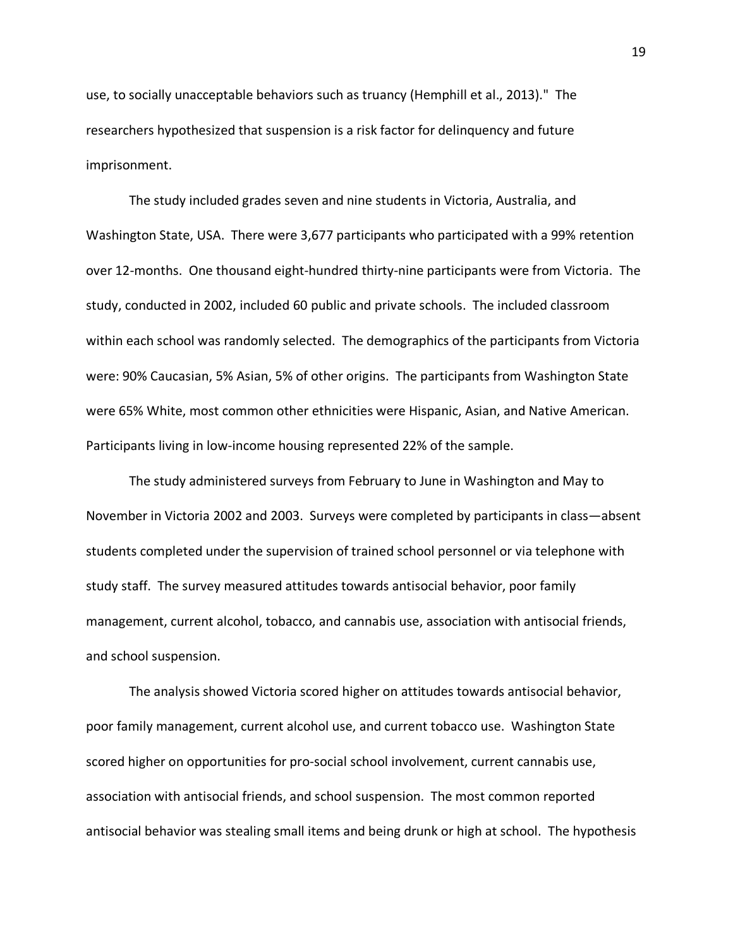use, to socially unacceptable behaviors such as truancy (Hemphill et al., 2013)." The researchers hypothesized that suspension is a risk factor for delinquency and future imprisonment.

The study included grades seven and nine students in Victoria, Australia, and Washington State, USA. There were 3,677 participants who participated with a 99% retention over 12-months. One thousand eight-hundred thirty-nine participants were from Victoria. The study, conducted in 2002, included 60 public and private schools. The included classroom within each school was randomly selected. The demographics of the participants from Victoria were: 90% Caucasian, 5% Asian, 5% of other origins. The participants from Washington State were 65% White, most common other ethnicities were Hispanic, Asian, and Native American. Participants living in low-income housing represented 22% of the sample.

The study administered surveys from February to June in Washington and May to November in Victoria 2002 and 2003. Surveys were completed by participants in class—absent students completed under the supervision of trained school personnel or via telephone with study staff. The survey measured attitudes towards antisocial behavior, poor family management, current alcohol, tobacco, and cannabis use, association with antisocial friends, and school suspension.

The analysis showed Victoria scored higher on attitudes towards antisocial behavior, poor family management, current alcohol use, and current tobacco use. Washington State scored higher on opportunities for pro-social school involvement, current cannabis use, association with antisocial friends, and school suspension. The most common reported antisocial behavior was stealing small items and being drunk or high at school. The hypothesis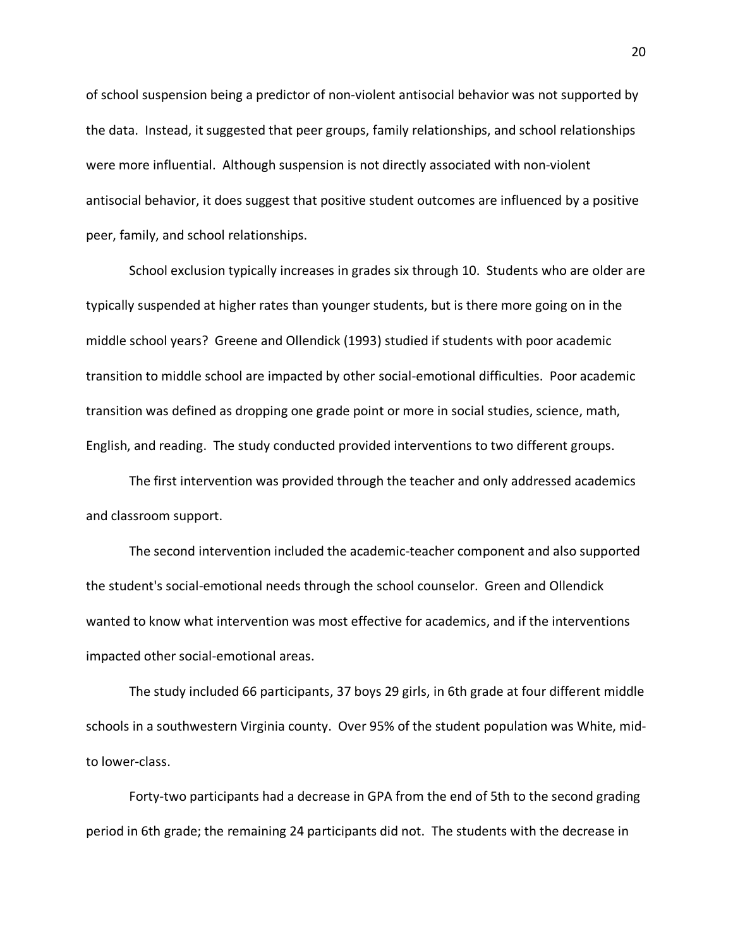of school suspension being a predictor of non-violent antisocial behavior was not supported by the data. Instead, it suggested that peer groups, family relationships, and school relationships were more influential. Although suspension is not directly associated with non-violent antisocial behavior, it does suggest that positive student outcomes are influenced by a positive peer, family, and school relationships.

School exclusion typically increases in grades six through 10. Students who are older are typically suspended at higher rates than younger students, but is there more going on in the middle school years? Greene and Ollendick (1993) studied if students with poor academic transition to middle school are impacted by other social-emotional difficulties. Poor academic transition was defined as dropping one grade point or more in social studies, science, math, English, and reading. The study conducted provided interventions to two different groups.

The first intervention was provided through the teacher and only addressed academics and classroom support.

The second intervention included the academic-teacher component and also supported the student's social-emotional needs through the school counselor. Green and Ollendick wanted to know what intervention was most effective for academics, and if the interventions impacted other social-emotional areas.

The study included 66 participants, 37 boys 29 girls, in 6th grade at four different middle schools in a southwestern Virginia county. Over 95% of the student population was White, midto lower-class.

Forty-two participants had a decrease in GPA from the end of 5th to the second grading period in 6th grade; the remaining 24 participants did not. The students with the decrease in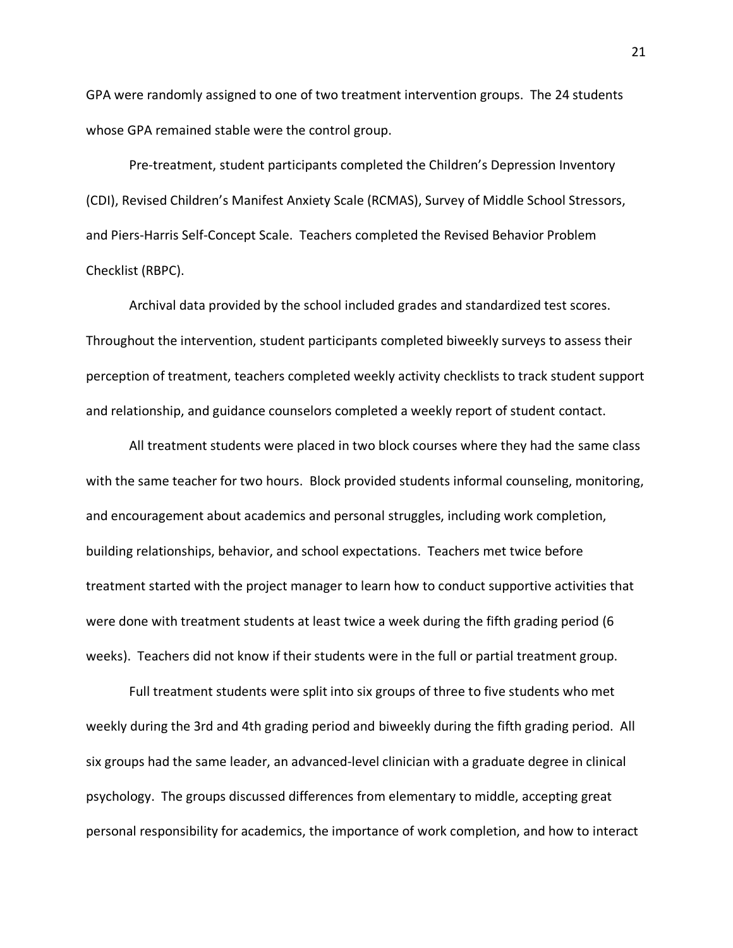GPA were randomly assigned to one of two treatment intervention groups. The 24 students whose GPA remained stable were the control group.

Pre-treatment, student participants completed the Children's Depression Inventory (CDI), Revised Children's Manifest Anxiety Scale (RCMAS), Survey of Middle School Stressors, and Piers-Harris Self-Concept Scale. Teachers completed the Revised Behavior Problem Checklist (RBPC).

Archival data provided by the school included grades and standardized test scores. Throughout the intervention, student participants completed biweekly surveys to assess their perception of treatment, teachers completed weekly activity checklists to track student support and relationship, and guidance counselors completed a weekly report of student contact.

All treatment students were placed in two block courses where they had the same class with the same teacher for two hours. Block provided students informal counseling, monitoring, and encouragement about academics and personal struggles, including work completion, building relationships, behavior, and school expectations. Teachers met twice before treatment started with the project manager to learn how to conduct supportive activities that were done with treatment students at least twice a week during the fifth grading period (6 weeks). Teachers did not know if their students were in the full or partial treatment group.

Full treatment students were split into six groups of three to five students who met weekly during the 3rd and 4th grading period and biweekly during the fifth grading period. All six groups had the same leader, an advanced-level clinician with a graduate degree in clinical psychology. The groups discussed differences from elementary to middle, accepting great personal responsibility for academics, the importance of work completion, and how to interact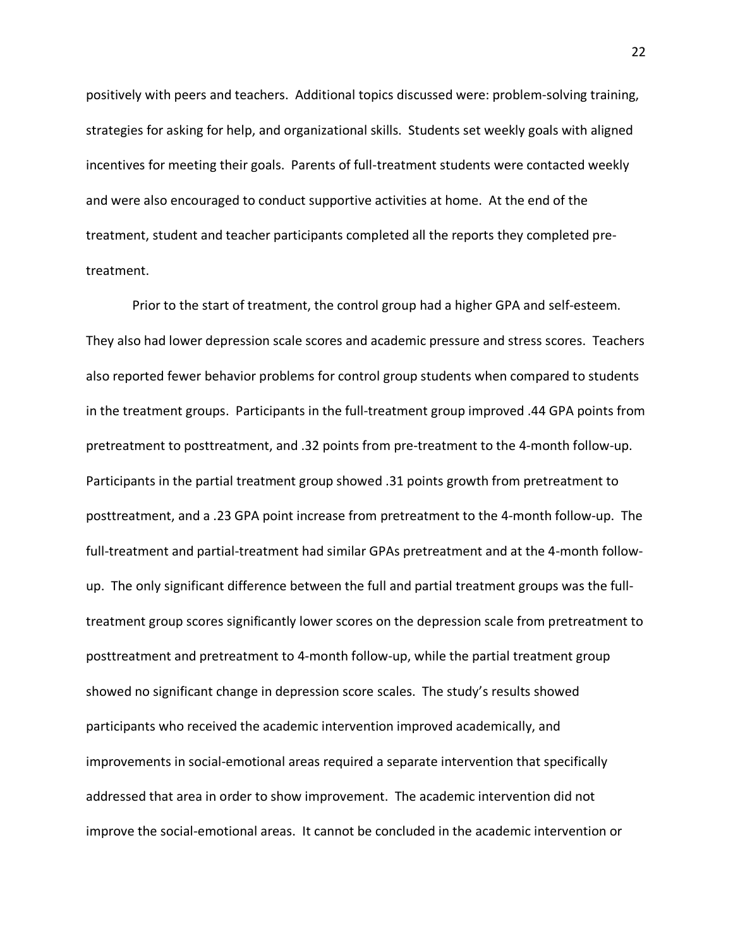positively with peers and teachers. Additional topics discussed were: problem-solving training, strategies for asking for help, and organizational skills. Students set weekly goals with aligned incentives for meeting their goals. Parents of full-treatment students were contacted weekly and were also encouraged to conduct supportive activities at home. At the end of the treatment, student and teacher participants completed all the reports they completed pretreatment.

Prior to the start of treatment, the control group had a higher GPA and self-esteem. They also had lower depression scale scores and academic pressure and stress scores. Teachers also reported fewer behavior problems for control group students when compared to students in the treatment groups. Participants in the full-treatment group improved .44 GPA points from pretreatment to posttreatment, and .32 points from pre-treatment to the 4-month follow-up. Participants in the partial treatment group showed .31 points growth from pretreatment to posttreatment, and a .23 GPA point increase from pretreatment to the 4-month follow-up. The full-treatment and partial-treatment had similar GPAs pretreatment and at the 4-month followup. The only significant difference between the full and partial treatment groups was the fulltreatment group scores significantly lower scores on the depression scale from pretreatment to posttreatment and pretreatment to 4-month follow-up, while the partial treatment group showed no significant change in depression score scales. The study's results showed participants who received the academic intervention improved academically, and improvements in social-emotional areas required a separate intervention that specifically addressed that area in order to show improvement. The academic intervention did not improve the social-emotional areas. It cannot be concluded in the academic intervention or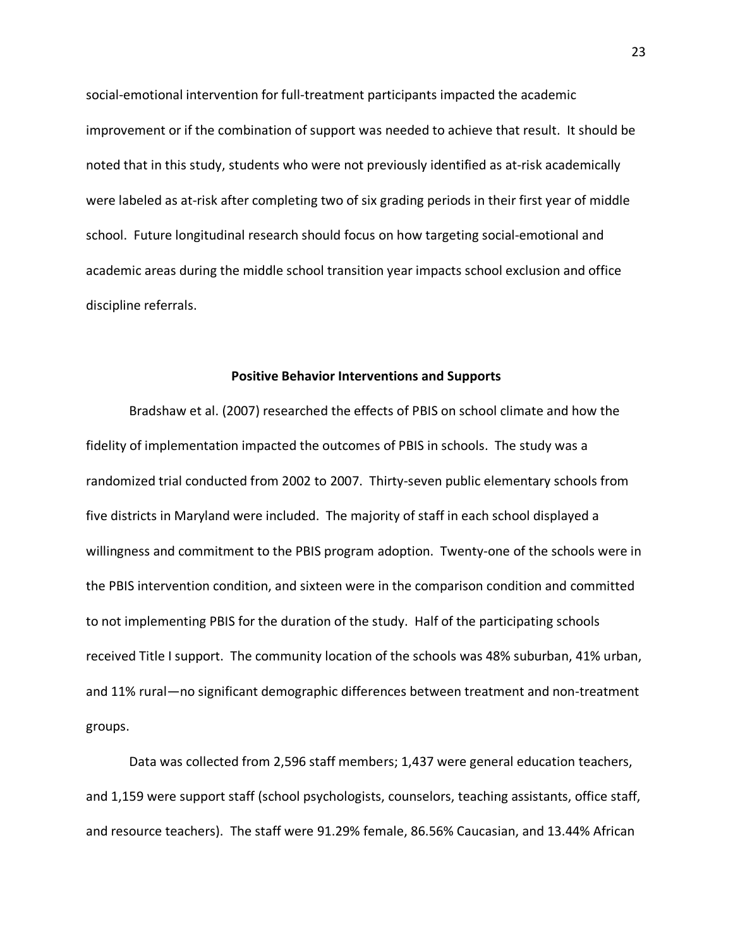social-emotional intervention for full-treatment participants impacted the academic improvement or if the combination of support was needed to achieve that result. It should be noted that in this study, students who were not previously identified as at-risk academically were labeled as at-risk after completing two of six grading periods in their first year of middle school. Future longitudinal research should focus on how targeting social-emotional and academic areas during the middle school transition year impacts school exclusion and office discipline referrals.

### **Positive Behavior Interventions and Supports**

Bradshaw et al. (2007) researched the effects of PBIS on school climate and how the fidelity of implementation impacted the outcomes of PBIS in schools. The study was a randomized trial conducted from 2002 to 2007. Thirty-seven public elementary schools from five districts in Maryland were included. The majority of staff in each school displayed a willingness and commitment to the PBIS program adoption. Twenty-one of the schools were in the PBIS intervention condition, and sixteen were in the comparison condition and committed to not implementing PBIS for the duration of the study. Half of the participating schools received Title I support. The community location of the schools was 48% suburban, 41% urban, and 11% rural—no significant demographic differences between treatment and non-treatment groups.

Data was collected from 2,596 staff members; 1,437 were general education teachers, and 1,159 were support staff (school psychologists, counselors, teaching assistants, office staff, and resource teachers). The staff were 91.29% female, 86.56% Caucasian, and 13.44% African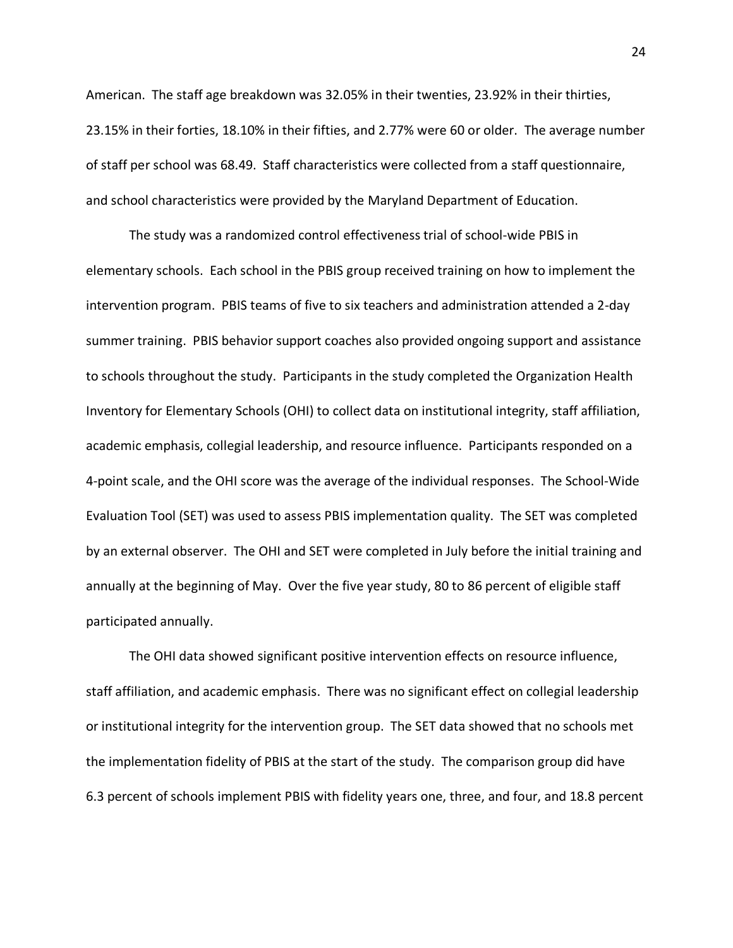American. The staff age breakdown was 32.05% in their twenties, 23.92% in their thirties, 23.15% in their forties, 18.10% in their fifties, and 2.77% were 60 or older. The average number of staff per school was 68.49. Staff characteristics were collected from a staff questionnaire, and school characteristics were provided by the Maryland Department of Education.

The study was a randomized control effectiveness trial of school-wide PBIS in elementary schools. Each school in the PBIS group received training on how to implement the intervention program. PBIS teams of five to six teachers and administration attended a 2-day summer training. PBIS behavior support coaches also provided ongoing support and assistance to schools throughout the study. Participants in the study completed the Organization Health Inventory for Elementary Schools (OHI) to collect data on institutional integrity, staff affiliation, academic emphasis, collegial leadership, and resource influence. Participants responded on a 4-point scale, and the OHI score was the average of the individual responses. The School-Wide Evaluation Tool (SET) was used to assess PBIS implementation quality. The SET was completed by an external observer. The OHI and SET were completed in July before the initial training and annually at the beginning of May. Over the five year study, 80 to 86 percent of eligible staff participated annually.

The OHI data showed significant positive intervention effects on resource influence, staff affiliation, and academic emphasis. There was no significant effect on collegial leadership or institutional integrity for the intervention group. The SET data showed that no schools met the implementation fidelity of PBIS at the start of the study. The comparison group did have 6.3 percent of schools implement PBIS with fidelity years one, three, and four, and 18.8 percent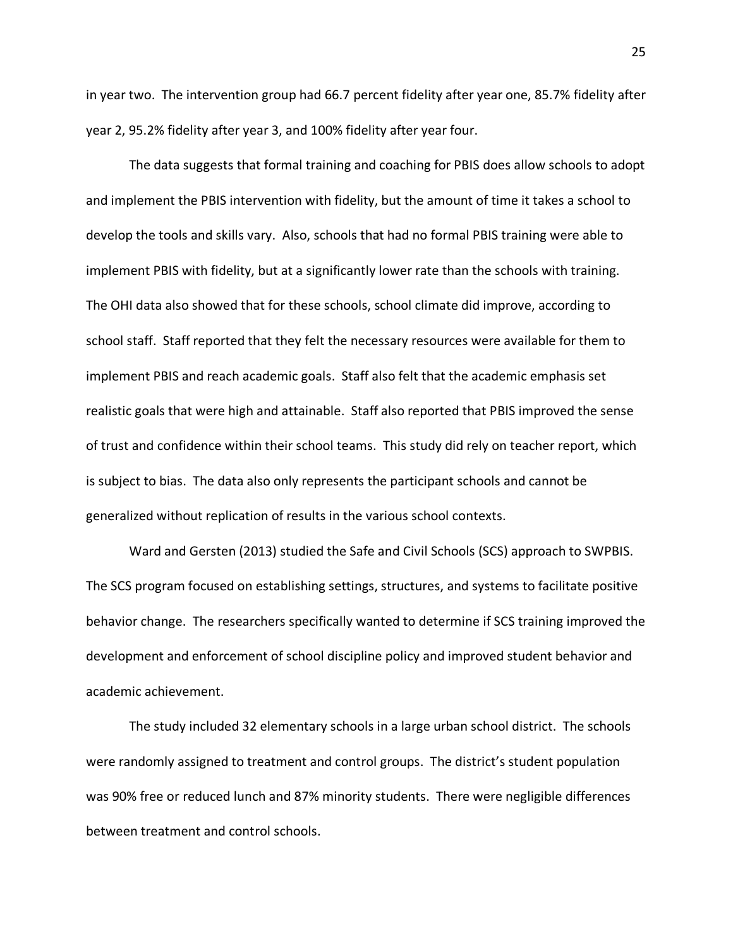in year two. The intervention group had 66.7 percent fidelity after year one, 85.7% fidelity after year 2, 95.2% fidelity after year 3, and 100% fidelity after year four.

The data suggests that formal training and coaching for PBIS does allow schools to adopt and implement the PBIS intervention with fidelity, but the amount of time it takes a school to develop the tools and skills vary. Also, schools that had no formal PBIS training were able to implement PBIS with fidelity, but at a significantly lower rate than the schools with training. The OHI data also showed that for these schools, school climate did improve, according to school staff. Staff reported that they felt the necessary resources were available for them to implement PBIS and reach academic goals. Staff also felt that the academic emphasis set realistic goals that were high and attainable. Staff also reported that PBIS improved the sense of trust and confidence within their school teams. This study did rely on teacher report, which is subject to bias. The data also only represents the participant schools and cannot be generalized without replication of results in the various school contexts.

Ward and Gersten (2013) studied the Safe and Civil Schools (SCS) approach to SWPBIS. The SCS program focused on establishing settings, structures, and systems to facilitate positive behavior change. The researchers specifically wanted to determine if SCS training improved the development and enforcement of school discipline policy and improved student behavior and academic achievement.

The study included 32 elementary schools in a large urban school district. The schools were randomly assigned to treatment and control groups. The district's student population was 90% free or reduced lunch and 87% minority students. There were negligible differences between treatment and control schools.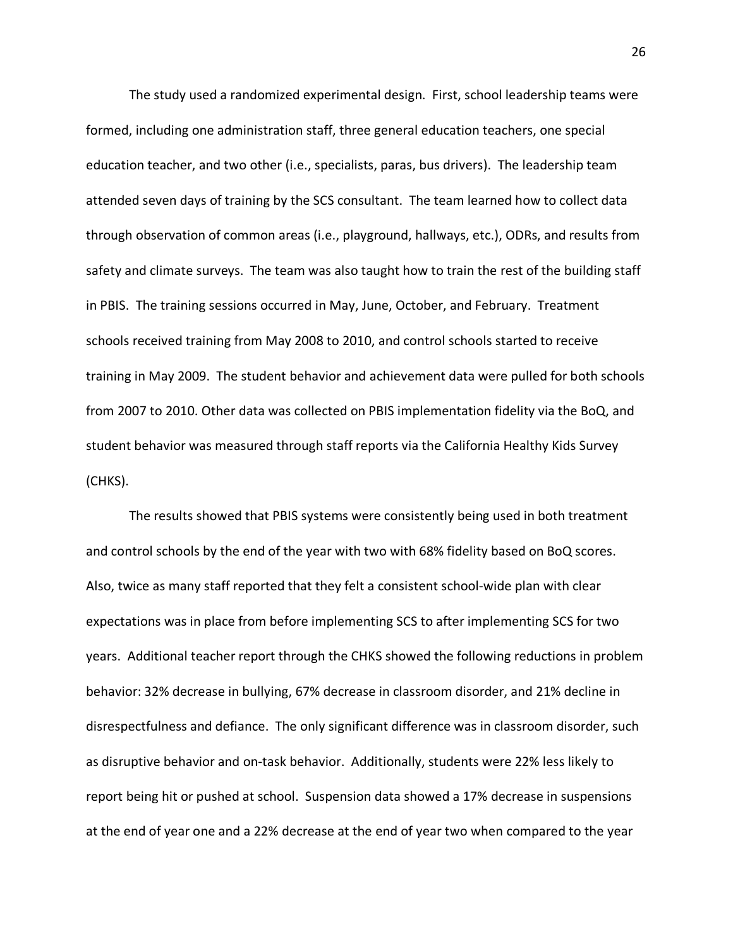The study used a randomized experimental design. First, school leadership teams were formed, including one administration staff, three general education teachers, one special education teacher, and two other (i.e., specialists, paras, bus drivers). The leadership team attended seven days of training by the SCS consultant. The team learned how to collect data through observation of common areas (i.e., playground, hallways, etc.), ODRs, and results from safety and climate surveys. The team was also taught how to train the rest of the building staff in PBIS. The training sessions occurred in May, June, October, and February. Treatment schools received training from May 2008 to 2010, and control schools started to receive training in May 2009. The student behavior and achievement data were pulled for both schools from 2007 to 2010. Other data was collected on PBIS implementation fidelity via the BoQ, and student behavior was measured through staff reports via the California Healthy Kids Survey (CHKS).

The results showed that PBIS systems were consistently being used in both treatment and control schools by the end of the year with two with 68% fidelity based on BoQ scores. Also, twice as many staff reported that they felt a consistent school-wide plan with clear expectations was in place from before implementing SCS to after implementing SCS for two years. Additional teacher report through the CHKS showed the following reductions in problem behavior: 32% decrease in bullying, 67% decrease in classroom disorder, and 21% decline in disrespectfulness and defiance. The only significant difference was in classroom disorder, such as disruptive behavior and on-task behavior. Additionally, students were 22% less likely to report being hit or pushed at school. Suspension data showed a 17% decrease in suspensions at the end of year one and a 22% decrease at the end of year two when compared to the year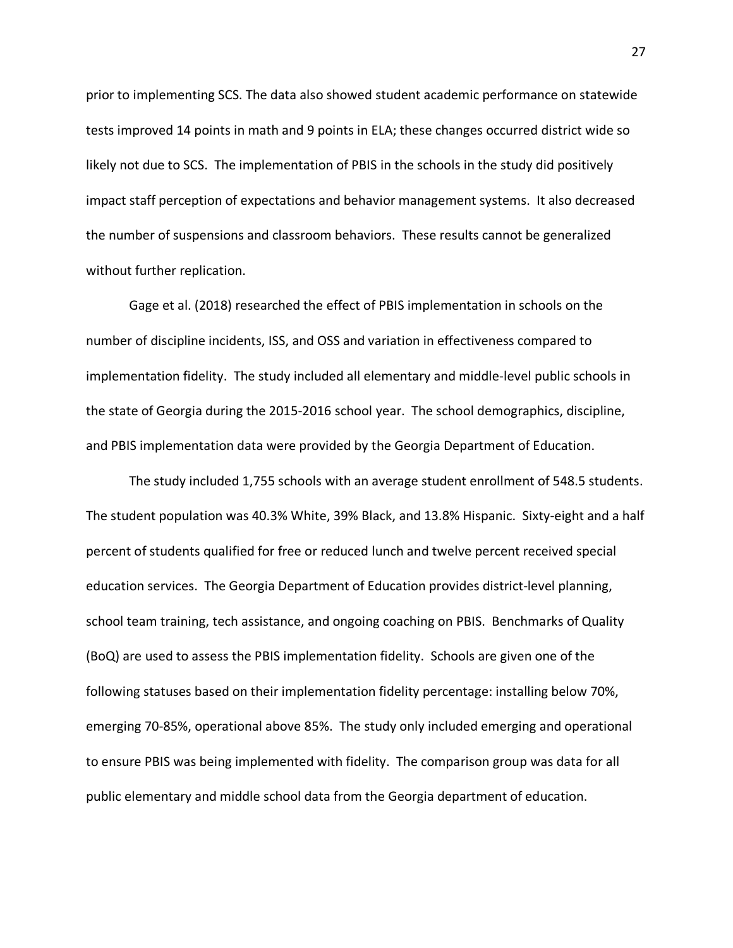prior to implementing SCS. The data also showed student academic performance on statewide tests improved 14 points in math and 9 points in ELA; these changes occurred district wide so likely not due to SCS. The implementation of PBIS in the schools in the study did positively impact staff perception of expectations and behavior management systems. It also decreased the number of suspensions and classroom behaviors. These results cannot be generalized without further replication.

Gage et al. (2018) researched the effect of PBIS implementation in schools on the number of discipline incidents, ISS, and OSS and variation in effectiveness compared to implementation fidelity. The study included all elementary and middle-level public schools in the state of Georgia during the 2015-2016 school year. The school demographics, discipline, and PBIS implementation data were provided by the Georgia Department of Education.

The study included 1,755 schools with an average student enrollment of 548.5 students. The student population was 40.3% White, 39% Black, and 13.8% Hispanic. Sixty-eight and a half percent of students qualified for free or reduced lunch and twelve percent received special education services. The Georgia Department of Education provides district-level planning, school team training, tech assistance, and ongoing coaching on PBIS. Benchmarks of Quality (BoQ) are used to assess the PBIS implementation fidelity. Schools are given one of the following statuses based on their implementation fidelity percentage: installing below 70%, emerging 70-85%, operational above 85%. The study only included emerging and operational to ensure PBIS was being implemented with fidelity. The comparison group was data for all public elementary and middle school data from the Georgia department of education.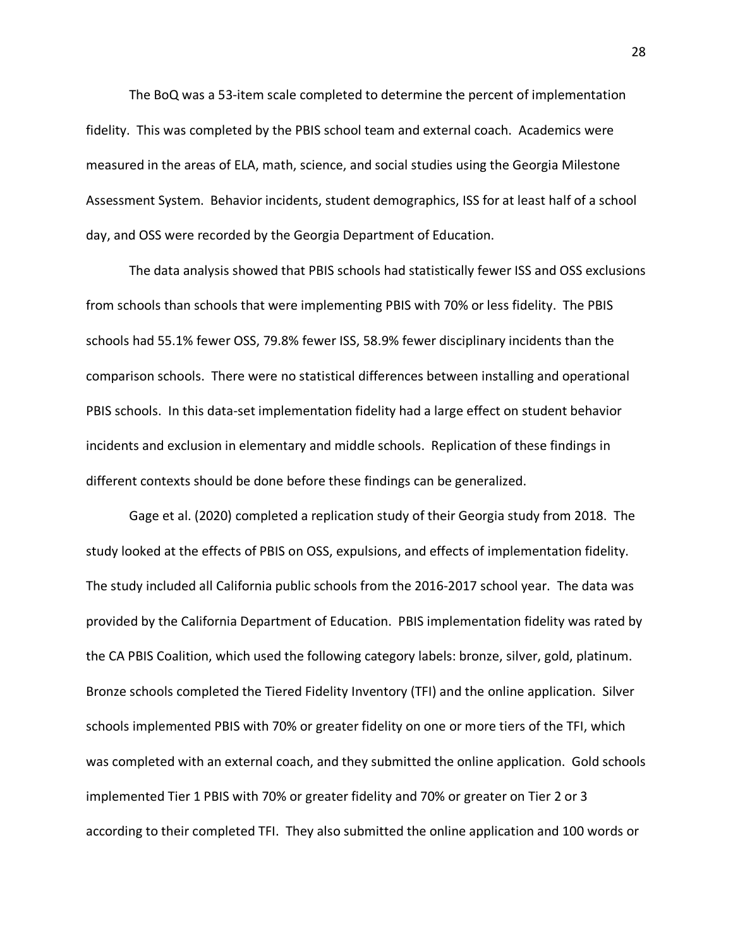The BoQ was a 53-item scale completed to determine the percent of implementation fidelity. This was completed by the PBIS school team and external coach. Academics were measured in the areas of ELA, math, science, and social studies using the Georgia Milestone Assessment System. Behavior incidents, student demographics, ISS for at least half of a school day, and OSS were recorded by the Georgia Department of Education.

The data analysis showed that PBIS schools had statistically fewer ISS and OSS exclusions from schools than schools that were implementing PBIS with 70% or less fidelity. The PBIS schools had 55.1% fewer OSS, 79.8% fewer ISS, 58.9% fewer disciplinary incidents than the comparison schools. There were no statistical differences between installing and operational PBIS schools. In this data-set implementation fidelity had a large effect on student behavior incidents and exclusion in elementary and middle schools. Replication of these findings in different contexts should be done before these findings can be generalized.

Gage et al. (2020) completed a replication study of their Georgia study from 2018. The study looked at the effects of PBIS on OSS, expulsions, and effects of implementation fidelity. The study included all California public schools from the 2016-2017 school year. The data was provided by the California Department of Education. PBIS implementation fidelity was rated by the CA PBIS Coalition, which used the following category labels: bronze, silver, gold, platinum. Bronze schools completed the Tiered Fidelity Inventory (TFI) and the online application. Silver schools implemented PBIS with 70% or greater fidelity on one or more tiers of the TFI, which was completed with an external coach, and they submitted the online application. Gold schools implemented Tier 1 PBIS with 70% or greater fidelity and 70% or greater on Tier 2 or 3 according to their completed TFI. They also submitted the online application and 100 words or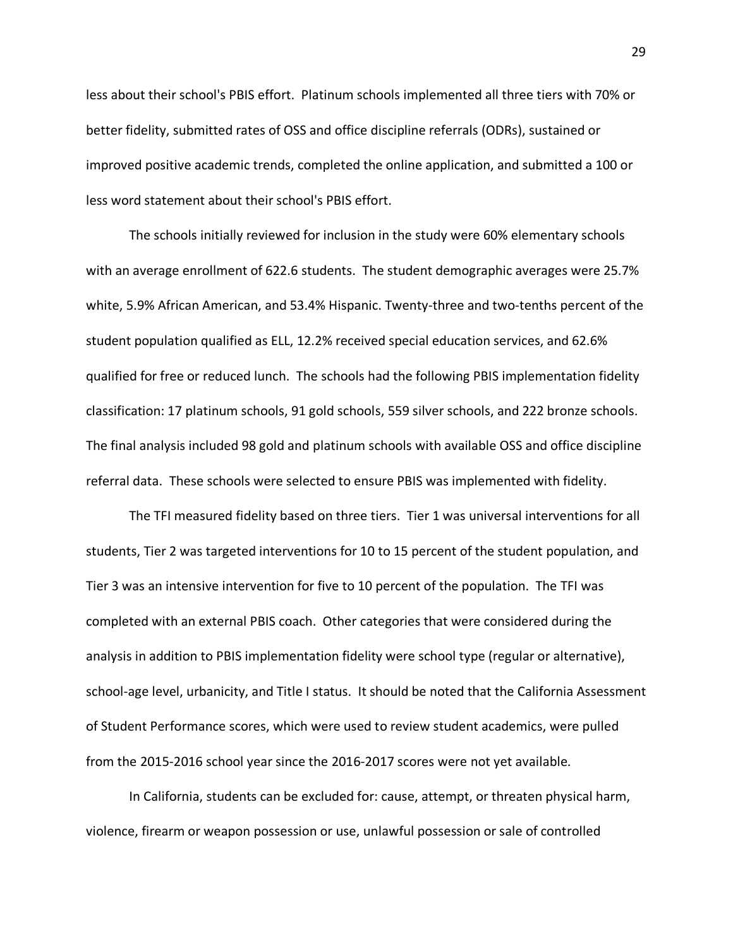less about their school's PBIS effort. Platinum schools implemented all three tiers with 70% or better fidelity, submitted rates of OSS and office discipline referrals (ODRs), sustained or improved positive academic trends, completed the online application, and submitted a 100 or less word statement about their school's PBIS effort.

The schools initially reviewed for inclusion in the study were 60% elementary schools with an average enrollment of 622.6 students. The student demographic averages were 25.7% white, 5.9% African American, and 53.4% Hispanic. Twenty-three and two-tenths percent of the student population qualified as ELL, 12.2% received special education services, and 62.6% qualified for free or reduced lunch. The schools had the following PBIS implementation fidelity classification: 17 platinum schools, 91 gold schools, 559 silver schools, and 222 bronze schools. The final analysis included 98 gold and platinum schools with available OSS and office discipline referral data. These schools were selected to ensure PBIS was implemented with fidelity.

The TFI measured fidelity based on three tiers. Tier 1 was universal interventions for all students, Tier 2 was targeted interventions for 10 to 15 percent of the student population, and Tier 3 was an intensive intervention for five to 10 percent of the population. The TFI was completed with an external PBIS coach. Other categories that were considered during the analysis in addition to PBIS implementation fidelity were school type (regular or alternative), school-age level, urbanicity, and Title I status. It should be noted that the California Assessment of Student Performance scores, which were used to review student academics, were pulled from the 2015-2016 school year since the 2016-2017 scores were not yet available.

In California, students can be excluded for: cause, attempt, or threaten physical harm, violence, firearm or weapon possession or use, unlawful possession or sale of controlled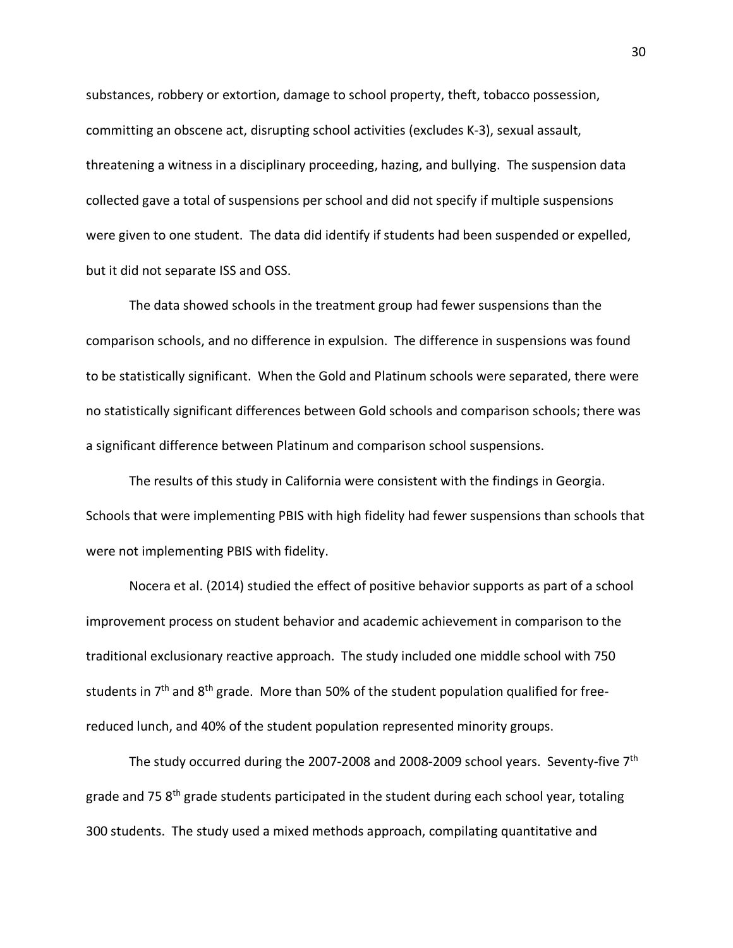substances, robbery or extortion, damage to school property, theft, tobacco possession, committing an obscene act, disrupting school activities (excludes K-3), sexual assault, threatening a witness in a disciplinary proceeding, hazing, and bullying. The suspension data collected gave a total of suspensions per school and did not specify if multiple suspensions were given to one student. The data did identify if students had been suspended or expelled, but it did not separate ISS and OSS.

The data showed schools in the treatment group had fewer suspensions than the comparison schools, and no difference in expulsion. The difference in suspensions was found to be statistically significant. When the Gold and Platinum schools were separated, there were no statistically significant differences between Gold schools and comparison schools; there was a significant difference between Platinum and comparison school suspensions.

The results of this study in California were consistent with the findings in Georgia. Schools that were implementing PBIS with high fidelity had fewer suspensions than schools that were not implementing PBIS with fidelity.

Nocera et al. (2014) studied the effect of positive behavior supports as part of a school improvement process on student behavior and academic achievement in comparison to the traditional exclusionary reactive approach. The study included one middle school with 750 students in  $7<sup>th</sup>$  and  $8<sup>th</sup>$  grade. More than 50% of the student population qualified for freereduced lunch, and 40% of the student population represented minority groups.

The study occurred during the 2007-2008 and 2008-2009 school years. Seventy-five 7th grade and 75 8<sup>th</sup> grade students participated in the student during each school year, totaling 300 students. The study used a mixed methods approach, compilating quantitative and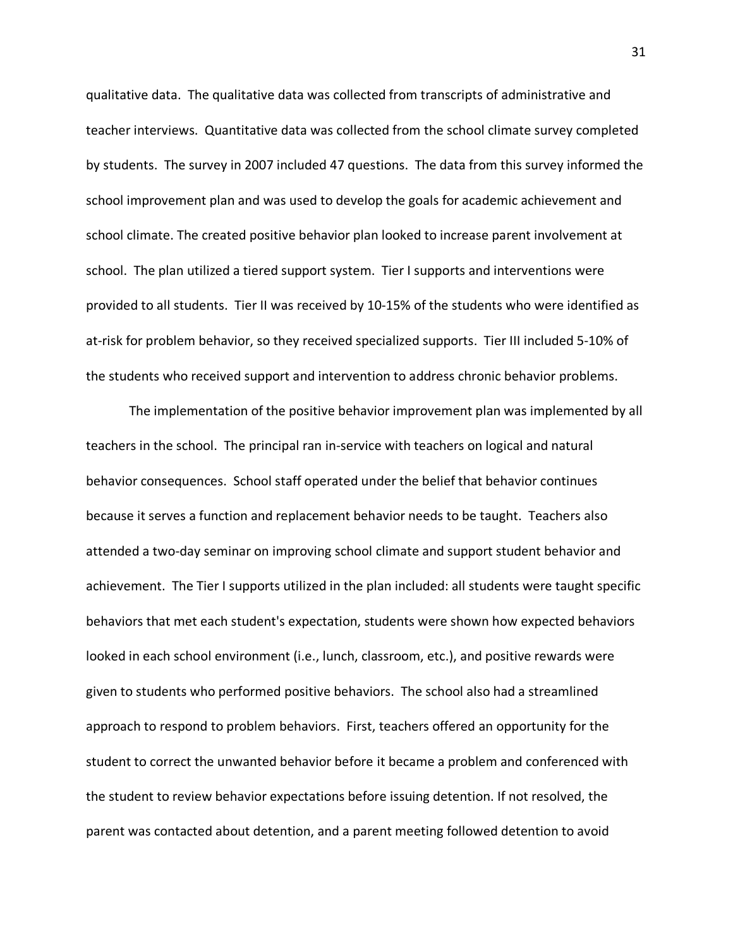qualitative data. The qualitative data was collected from transcripts of administrative and teacher interviews. Quantitative data was collected from the school climate survey completed by students. The survey in 2007 included 47 questions. The data from this survey informed the school improvement plan and was used to develop the goals for academic achievement and school climate. The created positive behavior plan looked to increase parent involvement at school. The plan utilized a tiered support system. Tier I supports and interventions were provided to all students. Tier II was received by 10-15% of the students who were identified as at-risk for problem behavior, so they received specialized supports. Tier III included 5-10% of the students who received support and intervention to address chronic behavior problems.

The implementation of the positive behavior improvement plan was implemented by all teachers in the school. The principal ran in-service with teachers on logical and natural behavior consequences. School staff operated under the belief that behavior continues because it serves a function and replacement behavior needs to be taught. Teachers also attended a two-day seminar on improving school climate and support student behavior and achievement. The Tier I supports utilized in the plan included: all students were taught specific behaviors that met each student's expectation, students were shown how expected behaviors looked in each school environment (i.e., lunch, classroom, etc.), and positive rewards were given to students who performed positive behaviors. The school also had a streamlined approach to respond to problem behaviors. First, teachers offered an opportunity for the student to correct the unwanted behavior before it became a problem and conferenced with the student to review behavior expectations before issuing detention. If not resolved, the parent was contacted about detention, and a parent meeting followed detention to avoid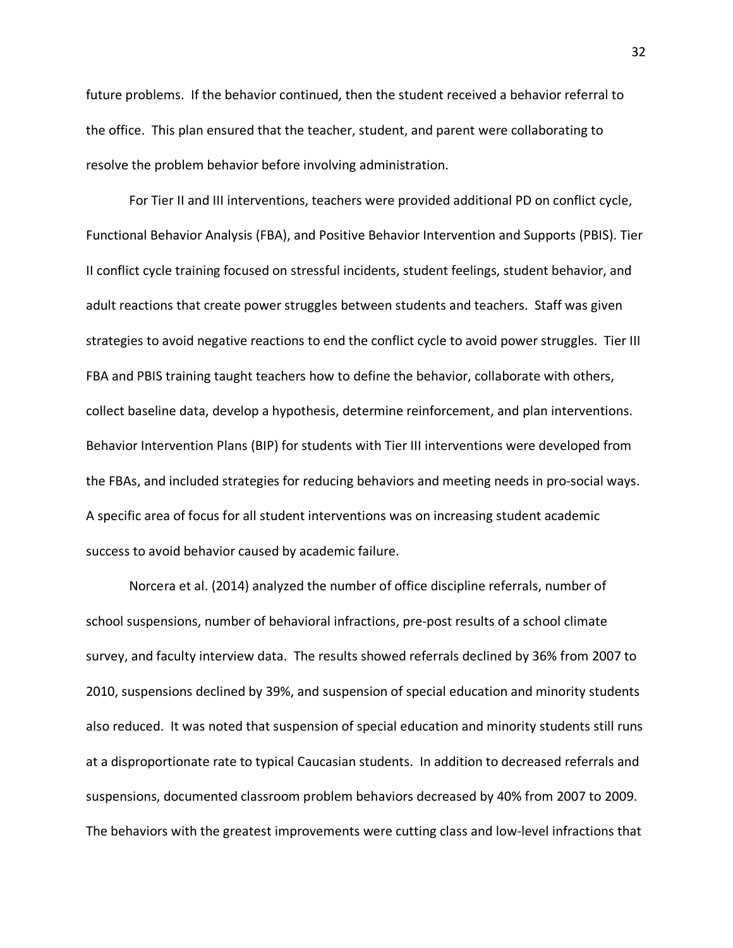future problems. If the behavior continued, then the student received a behavior referral to the office. This plan ensured that the teacher, student, and parent were collaborating to resolve the problem behavior before involving administration.

For Tier II and III interventions, teachers were provided additional PD on conflict cycle, Functional Behavior Analysis (FBA), and Positive Behavior Intervention and Supports (PBIS). Tier II conflict cycle training focused on stressful incidents, student feelings, student behavior, and adult reactions that create power struggles between students and teachers. Staff was given strategies to avoid negative reactions to end the conflict cycle to avoid power struggles. Tier III FBA and PBIS training taught teachers how to define the behavior, collaborate with others, collect baseline data, develop a hypothesis, determine reinforcement, and plan interventions. Behavior Intervention Plans (BIP) for students with Tier III interventions were developed from the FBAs, and included strategies for reducing behaviors and meeting needs in pro-social ways. A specific area of focus for all student interventions was on increasing student academic success to avoid behavior caused by academic failure.

Norcera et al. (2014) analyzed the number of office discipline referrals, number of school suspensions, number of behavioral infractions, pre-post results of a school climate survey, and faculty interview data. The results showed referrals declined by 36% from 2007 to 2010, suspensions declined by 39%, and suspension of special education and minority students also reduced. It was noted that suspension of special education and minority students still runs at a disproportionate rate to typical Caucasian students. In addition to decreased referrals and suspensions, documented classroom problem behaviors decreased by 40% from 2007 to 2009. The behaviors with the greatest improvements were cutting class and low-level infractions that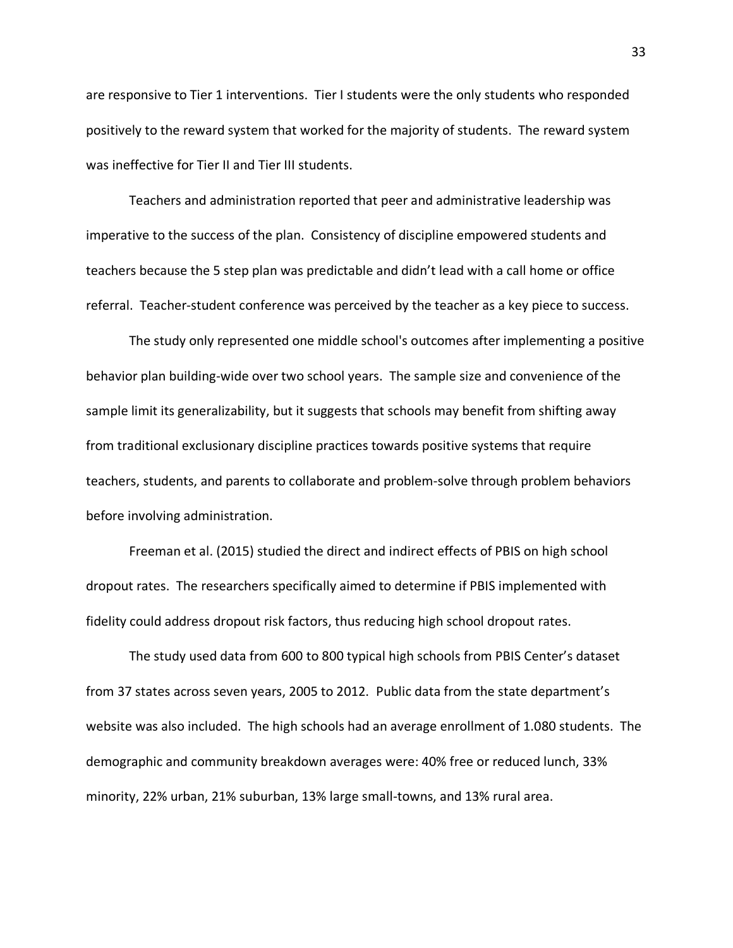are responsive to Tier 1 interventions. Tier I students were the only students who responded positively to the reward system that worked for the majority of students. The reward system was ineffective for Tier II and Tier III students.

Teachers and administration reported that peer and administrative leadership was imperative to the success of the plan. Consistency of discipline empowered students and teachers because the 5 step plan was predictable and didn't lead with a call home or office referral. Teacher-student conference was perceived by the teacher as a key piece to success.

The study only represented one middle school's outcomes after implementing a positive behavior plan building-wide over two school years. The sample size and convenience of the sample limit its generalizability, but it suggests that schools may benefit from shifting away from traditional exclusionary discipline practices towards positive systems that require teachers, students, and parents to collaborate and problem-solve through problem behaviors before involving administration.

Freeman et al. (2015) studied the direct and indirect effects of PBIS on high school dropout rates. The researchers specifically aimed to determine if PBIS implemented with fidelity could address dropout risk factors, thus reducing high school dropout rates.

The study used data from 600 to 800 typical high schools from PBIS Center's dataset from 37 states across seven years, 2005 to 2012. Public data from the state department's website was also included. The high schools had an average enrollment of 1.080 students. The demographic and community breakdown averages were: 40% free or reduced lunch, 33% minority, 22% urban, 21% suburban, 13% large small-towns, and 13% rural area.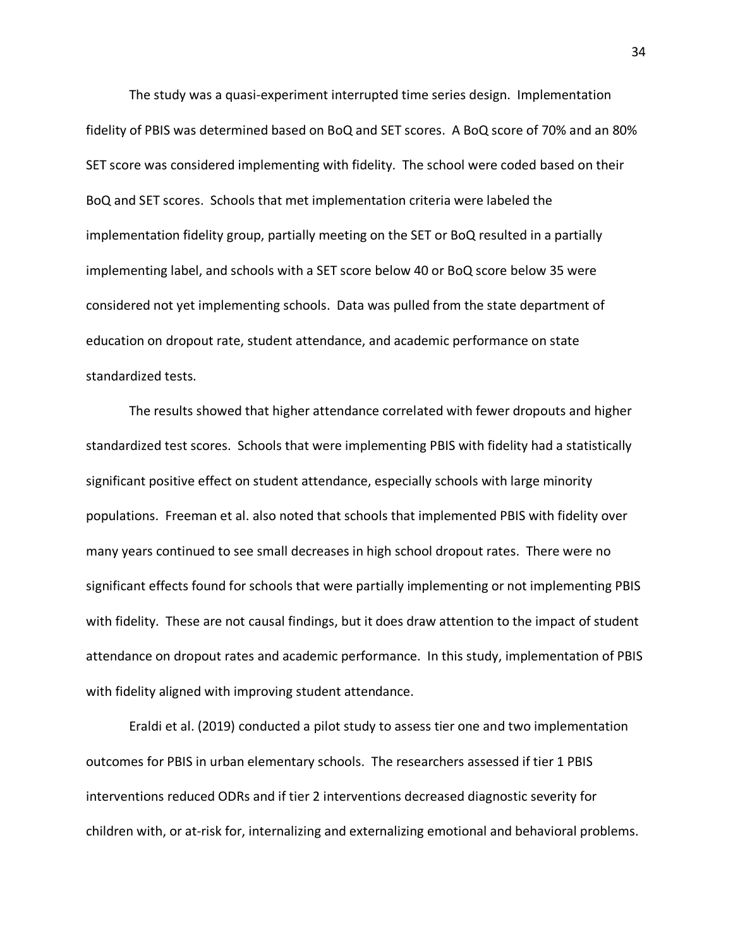The study was a quasi-experiment interrupted time series design. Implementation fidelity of PBIS was determined based on BoQ and SET scores. A BoQ score of 70% and an 80% SET score was considered implementing with fidelity. The school were coded based on their BoQ and SET scores. Schools that met implementation criteria were labeled the implementation fidelity group, partially meeting on the SET or BoQ resulted in a partially implementing label, and schools with a SET score below 40 or BoQ score below 35 were considered not yet implementing schools. Data was pulled from the state department of education on dropout rate, student attendance, and academic performance on state standardized tests.

The results showed that higher attendance correlated with fewer dropouts and higher standardized test scores. Schools that were implementing PBIS with fidelity had a statistically significant positive effect on student attendance, especially schools with large minority populations. Freeman et al. also noted that schools that implemented PBIS with fidelity over many years continued to see small decreases in high school dropout rates. There were no significant effects found for schools that were partially implementing or not implementing PBIS with fidelity. These are not causal findings, but it does draw attention to the impact of student attendance on dropout rates and academic performance. In this study, implementation of PBIS with fidelity aligned with improving student attendance.

Eraldi et al. (2019) conducted a pilot study to assess tier one and two implementation outcomes for PBIS in urban elementary schools. The researchers assessed if tier 1 PBIS interventions reduced ODRs and if tier 2 interventions decreased diagnostic severity for children with, or at-risk for, internalizing and externalizing emotional and behavioral problems.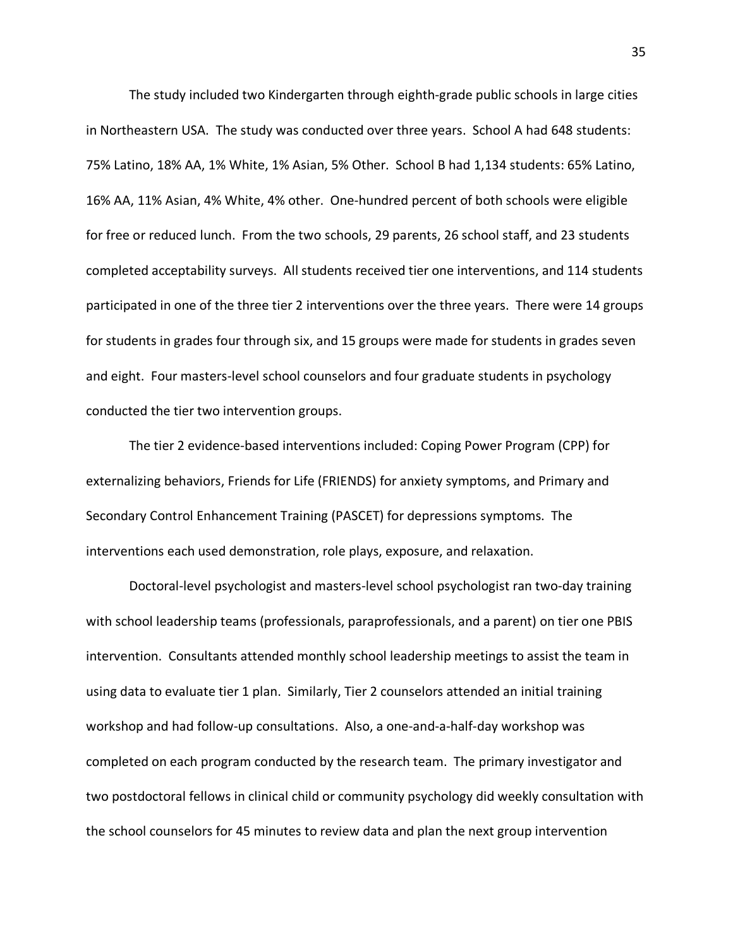The study included two Kindergarten through eighth-grade public schools in large cities in Northeastern USA. The study was conducted over three years. School A had 648 students: 75% Latino, 18% AA, 1% White, 1% Asian, 5% Other. School B had 1,134 students: 65% Latino, 16% AA, 11% Asian, 4% White, 4% other. One-hundred percent of both schools were eligible for free or reduced lunch. From the two schools, 29 parents, 26 school staff, and 23 students completed acceptability surveys. All students received tier one interventions, and 114 students participated in one of the three tier 2 interventions over the three years. There were 14 groups for students in grades four through six, and 15 groups were made for students in grades seven and eight. Four masters-level school counselors and four graduate students in psychology conducted the tier two intervention groups.

The tier 2 evidence-based interventions included: Coping Power Program (CPP) for externalizing behaviors, Friends for Life (FRIENDS) for anxiety symptoms, and Primary and Secondary Control Enhancement Training (PASCET) for depressions symptoms. The interventions each used demonstration, role plays, exposure, and relaxation.

Doctoral-level psychologist and masters-level school psychologist ran two-day training with school leadership teams (professionals, paraprofessionals, and a parent) on tier one PBIS intervention. Consultants attended monthly school leadership meetings to assist the team in using data to evaluate tier 1 plan. Similarly, Tier 2 counselors attended an initial training workshop and had follow-up consultations. Also, a one-and-a-half-day workshop was completed on each program conducted by the research team. The primary investigator and two postdoctoral fellows in clinical child or community psychology did weekly consultation with the school counselors for 45 minutes to review data and plan the next group intervention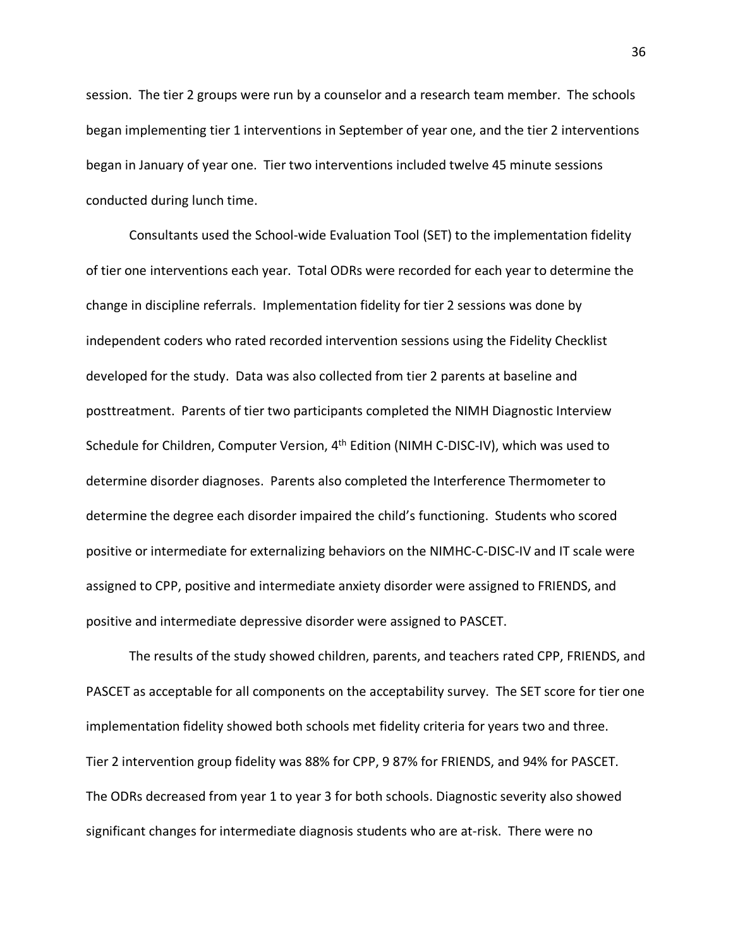session. The tier 2 groups were run by a counselor and a research team member. The schools began implementing tier 1 interventions in September of year one, and the tier 2 interventions began in January of year one. Tier two interventions included twelve 45 minute sessions conducted during lunch time.

Consultants used the School-wide Evaluation Tool (SET) to the implementation fidelity of tier one interventions each year. Total ODRs were recorded for each year to determine the change in discipline referrals. Implementation fidelity for tier 2 sessions was done by independent coders who rated recorded intervention sessions using the Fidelity Checklist developed for the study. Data was also collected from tier 2 parents at baseline and posttreatment. Parents of tier two participants completed the NIMH Diagnostic Interview Schedule for Children, Computer Version, 4<sup>th</sup> Edition (NIMH C-DISC-IV), which was used to determine disorder diagnoses. Parents also completed the Interference Thermometer to determine the degree each disorder impaired the child's functioning. Students who scored positive or intermediate for externalizing behaviors on the NIMHC-C-DISC-IV and IT scale were assigned to CPP, positive and intermediate anxiety disorder were assigned to FRIENDS, and positive and intermediate depressive disorder were assigned to PASCET.

The results of the study showed children, parents, and teachers rated CPP, FRIENDS, and PASCET as acceptable for all components on the acceptability survey. The SET score for tier one implementation fidelity showed both schools met fidelity criteria for years two and three. Tier 2 intervention group fidelity was 88% for CPP, 9 87% for FRIENDS, and 94% for PASCET. The ODRs decreased from year 1 to year 3 for both schools. Diagnostic severity also showed significant changes for intermediate diagnosis students who are at-risk. There were no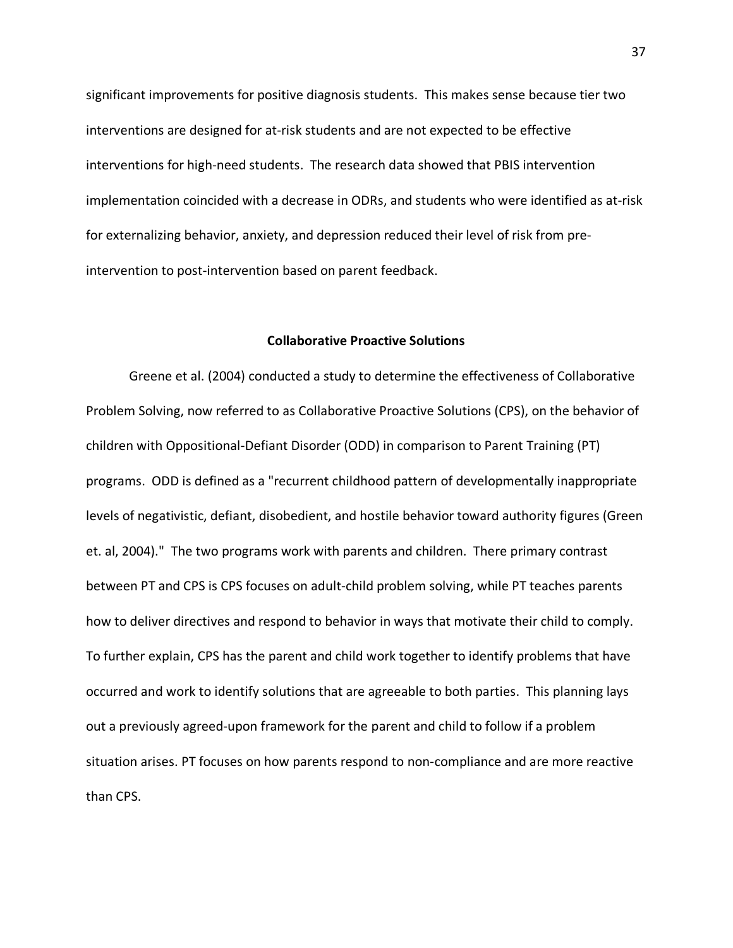significant improvements for positive diagnosis students. This makes sense because tier two interventions are designed for at-risk students and are not expected to be effective interventions for high-need students. The research data showed that PBIS intervention implementation coincided with a decrease in ODRs, and students who were identified as at-risk for externalizing behavior, anxiety, and depression reduced their level of risk from preintervention to post-intervention based on parent feedback.

## **Collaborative Proactive Solutions**

Greene et al. (2004) conducted a study to determine the effectiveness of Collaborative Problem Solving, now referred to as Collaborative Proactive Solutions (CPS), on the behavior of children with Oppositional-Defiant Disorder (ODD) in comparison to Parent Training (PT) programs. ODD is defined as a "recurrent childhood pattern of developmentally inappropriate levels of negativistic, defiant, disobedient, and hostile behavior toward authority figures (Green et. al, 2004)." The two programs work with parents and children. There primary contrast between PT and CPS is CPS focuses on adult-child problem solving, while PT teaches parents how to deliver directives and respond to behavior in ways that motivate their child to comply. To further explain, CPS has the parent and child work together to identify problems that have occurred and work to identify solutions that are agreeable to both parties. This planning lays out a previously agreed-upon framework for the parent and child to follow if a problem situation arises. PT focuses on how parents respond to non-compliance and are more reactive than CPS.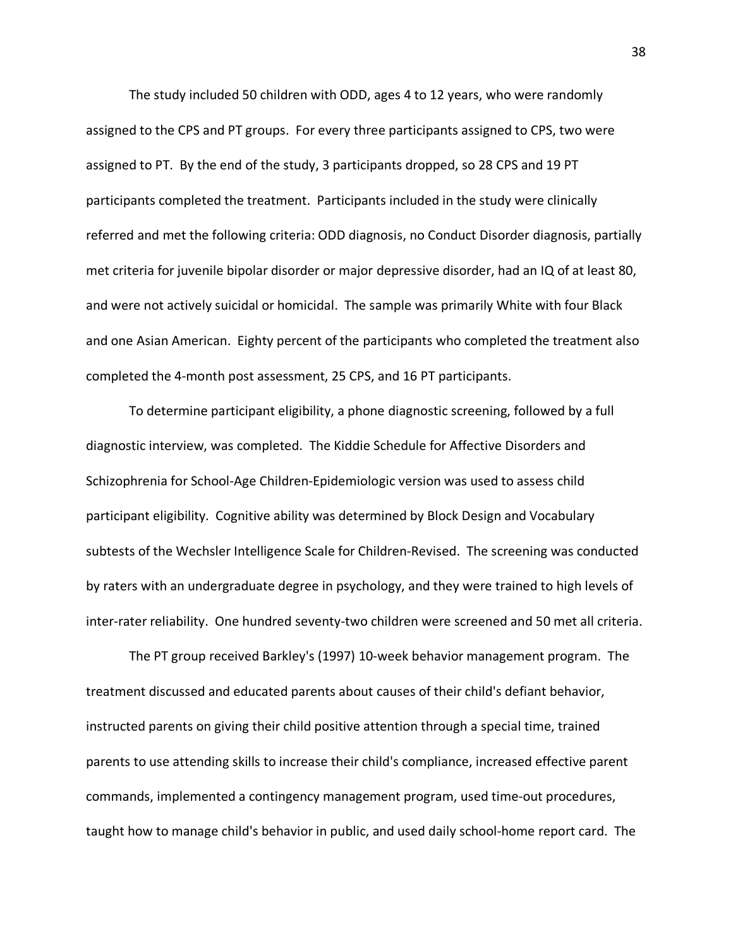The study included 50 children with ODD, ages 4 to 12 years, who were randomly assigned to the CPS and PT groups. For every three participants assigned to CPS, two were assigned to PT. By the end of the study, 3 participants dropped, so 28 CPS and 19 PT participants completed the treatment. Participants included in the study were clinically referred and met the following criteria: ODD diagnosis, no Conduct Disorder diagnosis, partially met criteria for juvenile bipolar disorder or major depressive disorder, had an IQ of at least 80, and were not actively suicidal or homicidal. The sample was primarily White with four Black and one Asian American. Eighty percent of the participants who completed the treatment also completed the 4-month post assessment, 25 CPS, and 16 PT participants.

To determine participant eligibility, a phone diagnostic screening, followed by a full diagnostic interview, was completed. The Kiddie Schedule for Affective Disorders and Schizophrenia for School-Age Children-Epidemiologic version was used to assess child participant eligibility. Cognitive ability was determined by Block Design and Vocabulary subtests of the Wechsler Intelligence Scale for Children-Revised. The screening was conducted by raters with an undergraduate degree in psychology, and they were trained to high levels of inter-rater reliability. One hundred seventy-two children were screened and 50 met all criteria.

The PT group received Barkley's (1997) 10-week behavior management program. The treatment discussed and educated parents about causes of their child's defiant behavior, instructed parents on giving their child positive attention through a special time, trained parents to use attending skills to increase their child's compliance, increased effective parent commands, implemented a contingency management program, used time-out procedures, taught how to manage child's behavior in public, and used daily school-home report card. The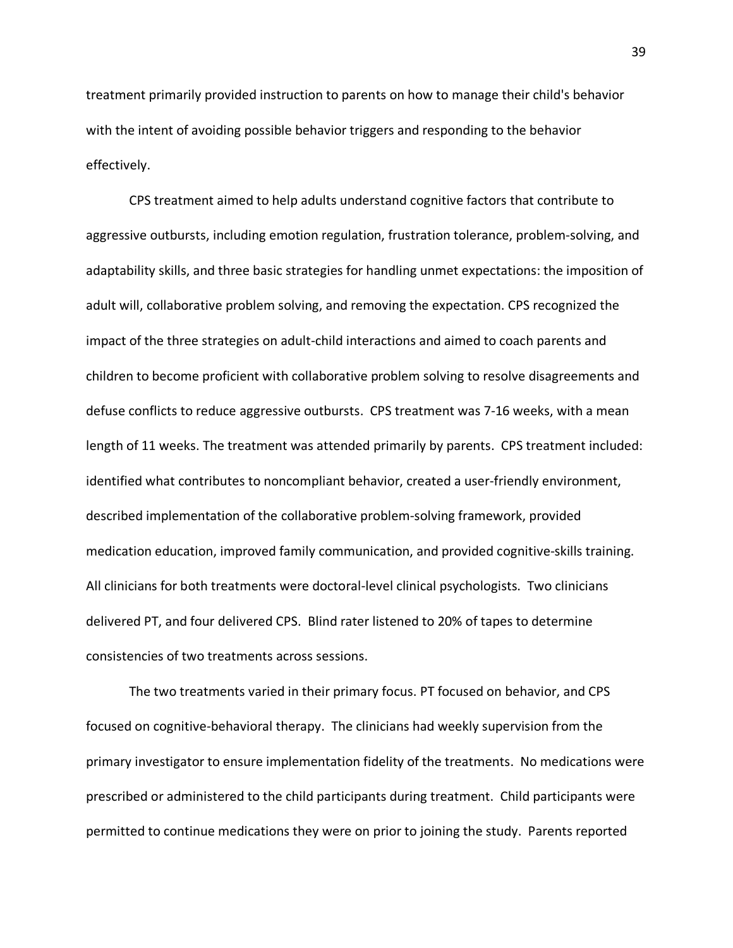treatment primarily provided instruction to parents on how to manage their child's behavior with the intent of avoiding possible behavior triggers and responding to the behavior effectively.

CPS treatment aimed to help adults understand cognitive factors that contribute to aggressive outbursts, including emotion regulation, frustration tolerance, problem-solving, and adaptability skills, and three basic strategies for handling unmet expectations: the imposition of adult will, collaborative problem solving, and removing the expectation. CPS recognized the impact of the three strategies on adult-child interactions and aimed to coach parents and children to become proficient with collaborative problem solving to resolve disagreements and defuse conflicts to reduce aggressive outbursts. CPS treatment was 7-16 weeks, with a mean length of 11 weeks. The treatment was attended primarily by parents. CPS treatment included: identified what contributes to noncompliant behavior, created a user-friendly environment, described implementation of the collaborative problem-solving framework, provided medication education, improved family communication, and provided cognitive-skills training. All clinicians for both treatments were doctoral-level clinical psychologists. Two clinicians delivered PT, and four delivered CPS. Blind rater listened to 20% of tapes to determine consistencies of two treatments across sessions.

The two treatments varied in their primary focus. PT focused on behavior, and CPS focused on cognitive-behavioral therapy. The clinicians had weekly supervision from the primary investigator to ensure implementation fidelity of the treatments. No medications were prescribed or administered to the child participants during treatment. Child participants were permitted to continue medications they were on prior to joining the study. Parents reported

39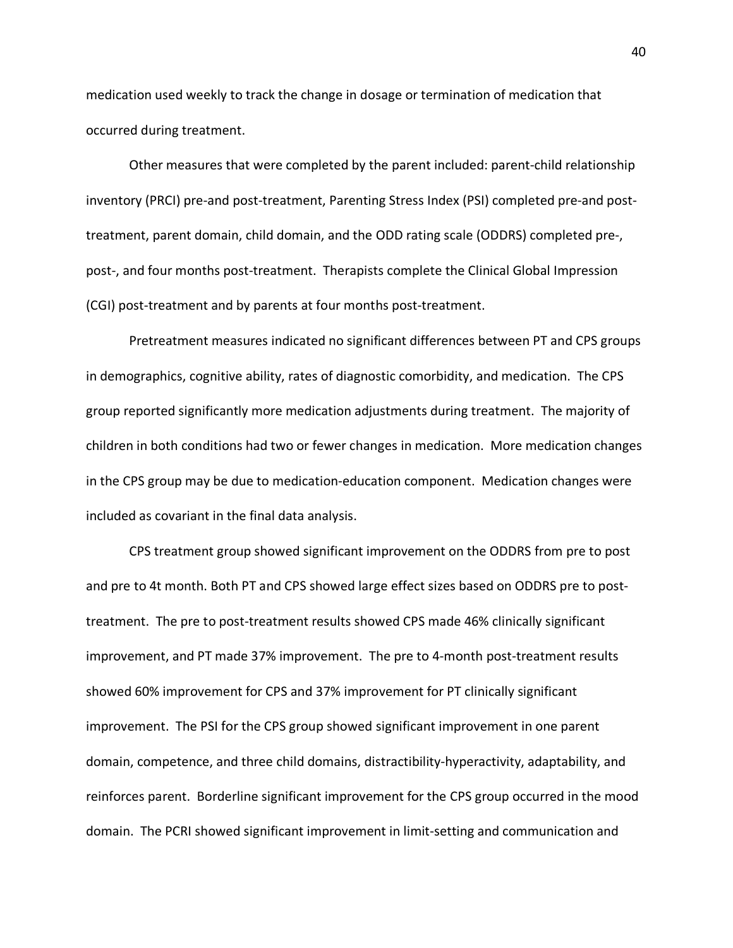medication used weekly to track the change in dosage or termination of medication that occurred during treatment.

Other measures that were completed by the parent included: parent-child relationship inventory (PRCI) pre-and post-treatment, Parenting Stress Index (PSI) completed pre-and posttreatment, parent domain, child domain, and the ODD rating scale (ODDRS) completed pre-, post-, and four months post-treatment. Therapists complete the Clinical Global Impression (CGI) post-treatment and by parents at four months post-treatment.

Pretreatment measures indicated no significant differences between PT and CPS groups in demographics, cognitive ability, rates of diagnostic comorbidity, and medication. The CPS group reported significantly more medication adjustments during treatment. The majority of children in both conditions had two or fewer changes in medication. More medication changes in the CPS group may be due to medication-education component. Medication changes were included as covariant in the final data analysis.

CPS treatment group showed significant improvement on the ODDRS from pre to post and pre to 4t month. Both PT and CPS showed large effect sizes based on ODDRS pre to posttreatment. The pre to post-treatment results showed CPS made 46% clinically significant improvement, and PT made 37% improvement. The pre to 4-month post-treatment results showed 60% improvement for CPS and 37% improvement for PT clinically significant improvement. The PSI for the CPS group showed significant improvement in one parent domain, competence, and three child domains, distractibility-hyperactivity, adaptability, and reinforces parent. Borderline significant improvement for the CPS group occurred in the mood domain. The PCRI showed significant improvement in limit-setting and communication and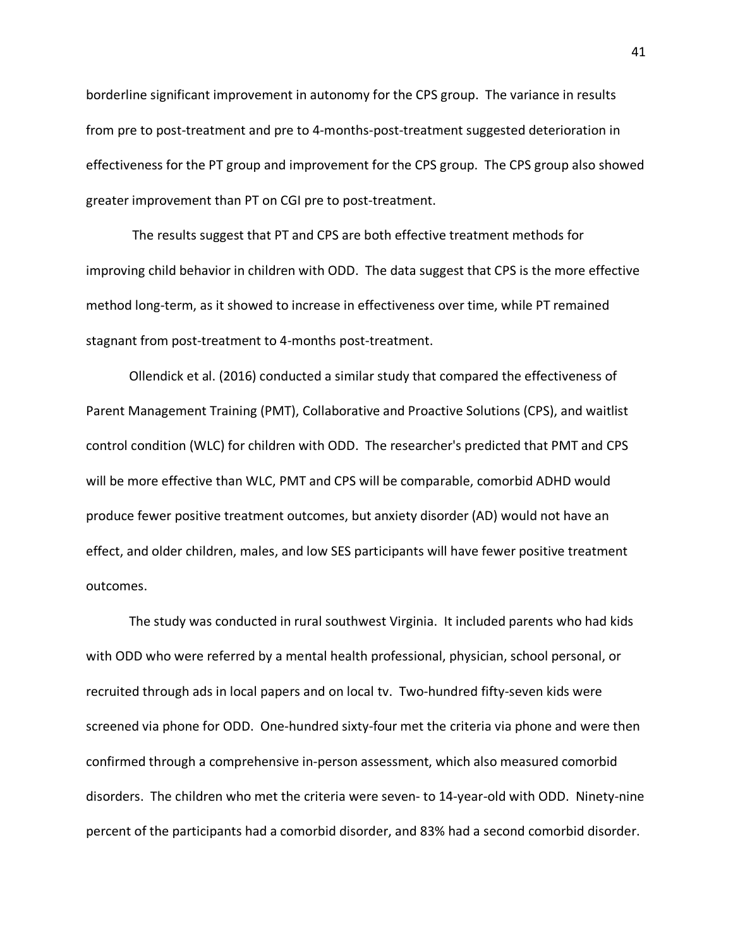borderline significant improvement in autonomy for the CPS group. The variance in results from pre to post-treatment and pre to 4-months-post-treatment suggested deterioration in effectiveness for the PT group and improvement for the CPS group. The CPS group also showed greater improvement than PT on CGI pre to post-treatment.

The results suggest that PT and CPS are both effective treatment methods for improving child behavior in children with ODD. The data suggest that CPS is the more effective method long-term, as it showed to increase in effectiveness over time, while PT remained stagnant from post-treatment to 4-months post-treatment.

Ollendick et al. (2016) conducted a similar study that compared the effectiveness of Parent Management Training (PMT), Collaborative and Proactive Solutions (CPS), and waitlist control condition (WLC) for children with ODD. The researcher's predicted that PMT and CPS will be more effective than WLC, PMT and CPS will be comparable, comorbid ADHD would produce fewer positive treatment outcomes, but anxiety disorder (AD) would not have an effect, and older children, males, and low SES participants will have fewer positive treatment outcomes.

The study was conducted in rural southwest Virginia. It included parents who had kids with ODD who were referred by a mental health professional, physician, school personal, or recruited through ads in local papers and on local tv. Two-hundred fifty-seven kids were screened via phone for ODD. One-hundred sixty-four met the criteria via phone and were then confirmed through a comprehensive in-person assessment, which also measured comorbid disorders. The children who met the criteria were seven- to 14-year-old with ODD. Ninety-nine percent of the participants had a comorbid disorder, and 83% had a second comorbid disorder.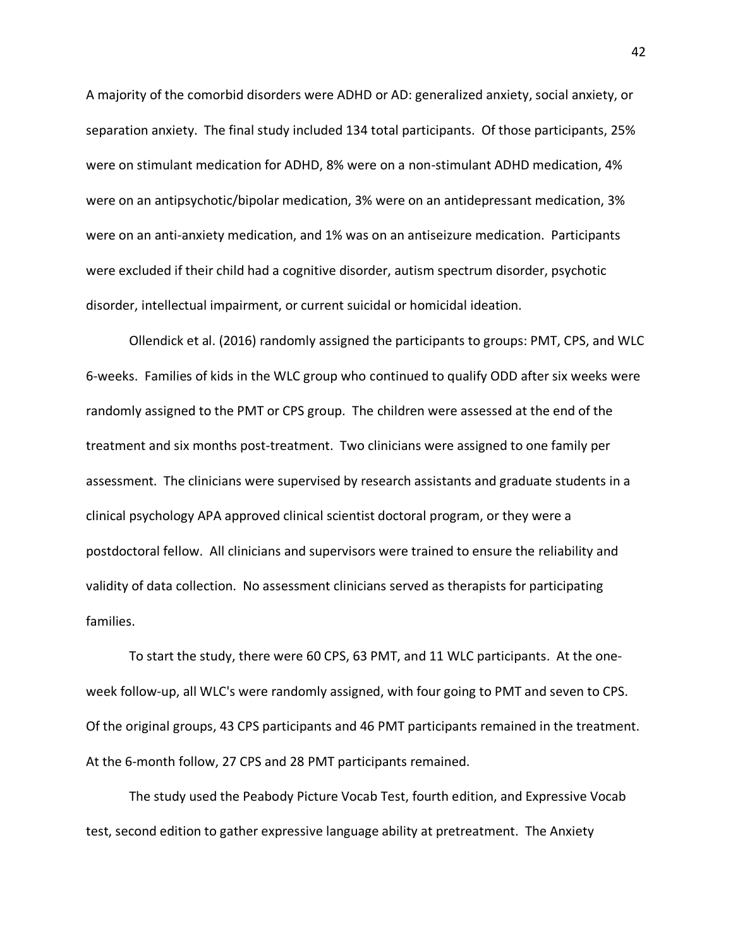A majority of the comorbid disorders were ADHD or AD: generalized anxiety, social anxiety, or separation anxiety. The final study included 134 total participants. Of those participants, 25% were on stimulant medication for ADHD, 8% were on a non-stimulant ADHD medication, 4% were on an antipsychotic/bipolar medication, 3% were on an antidepressant medication, 3% were on an anti-anxiety medication, and 1% was on an antiseizure medication. Participants were excluded if their child had a cognitive disorder, autism spectrum disorder, psychotic disorder, intellectual impairment, or current suicidal or homicidal ideation.

Ollendick et al. (2016) randomly assigned the participants to groups: PMT, CPS, and WLC 6-weeks. Families of kids in the WLC group who continued to qualify ODD after six weeks were randomly assigned to the PMT or CPS group. The children were assessed at the end of the treatment and six months post-treatment. Two clinicians were assigned to one family per assessment. The clinicians were supervised by research assistants and graduate students in a clinical psychology APA approved clinical scientist doctoral program, or they were a postdoctoral fellow. All clinicians and supervisors were trained to ensure the reliability and validity of data collection. No assessment clinicians served as therapists for participating families.

To start the study, there were 60 CPS, 63 PMT, and 11 WLC participants. At the oneweek follow-up, all WLC's were randomly assigned, with four going to PMT and seven to CPS. Of the original groups, 43 CPS participants and 46 PMT participants remained in the treatment. At the 6-month follow, 27 CPS and 28 PMT participants remained.

The study used the Peabody Picture Vocab Test, fourth edition, and Expressive Vocab test, second edition to gather expressive language ability at pretreatment. The Anxiety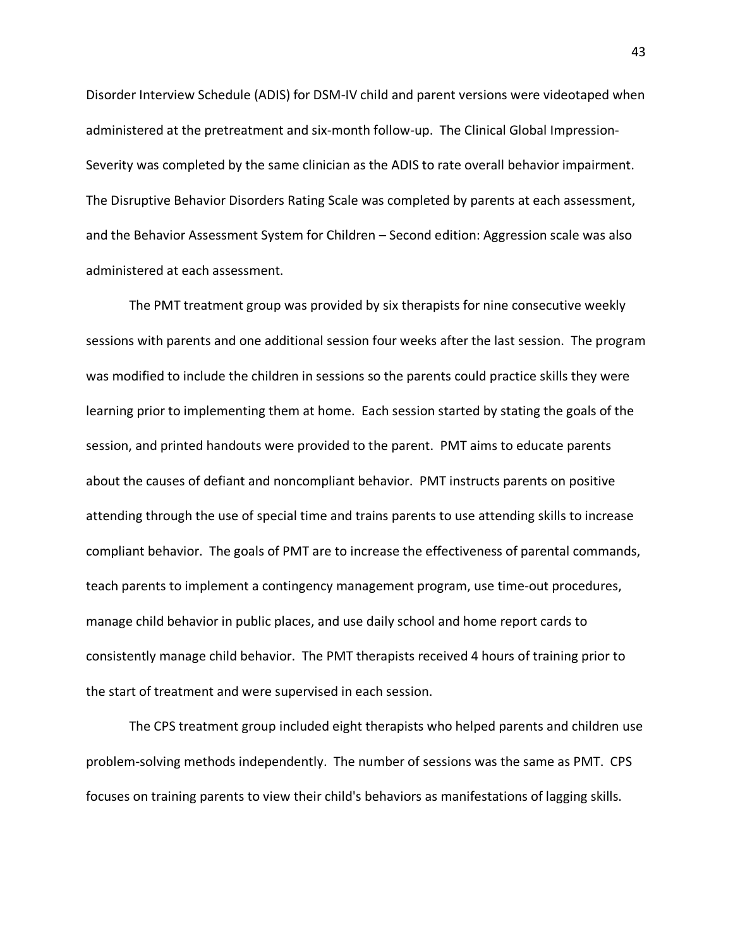Disorder Interview Schedule (ADIS) for DSM-IV child and parent versions were videotaped when administered at the pretreatment and six-month follow-up. The Clinical Global Impression-Severity was completed by the same clinician as the ADIS to rate overall behavior impairment. The Disruptive Behavior Disorders Rating Scale was completed by parents at each assessment, and the Behavior Assessment System for Children – Second edition: Aggression scale was also administered at each assessment.

The PMT treatment group was provided by six therapists for nine consecutive weekly sessions with parents and one additional session four weeks after the last session. The program was modified to include the children in sessions so the parents could practice skills they were learning prior to implementing them at home. Each session started by stating the goals of the session, and printed handouts were provided to the parent. PMT aims to educate parents about the causes of defiant and noncompliant behavior. PMT instructs parents on positive attending through the use of special time and trains parents to use attending skills to increase compliant behavior. The goals of PMT are to increase the effectiveness of parental commands, teach parents to implement a contingency management program, use time-out procedures, manage child behavior in public places, and use daily school and home report cards to consistently manage child behavior. The PMT therapists received 4 hours of training prior to the start of treatment and were supervised in each session.

The CPS treatment group included eight therapists who helped parents and children use problem-solving methods independently. The number of sessions was the same as PMT. CPS focuses on training parents to view their child's behaviors as manifestations of lagging skills.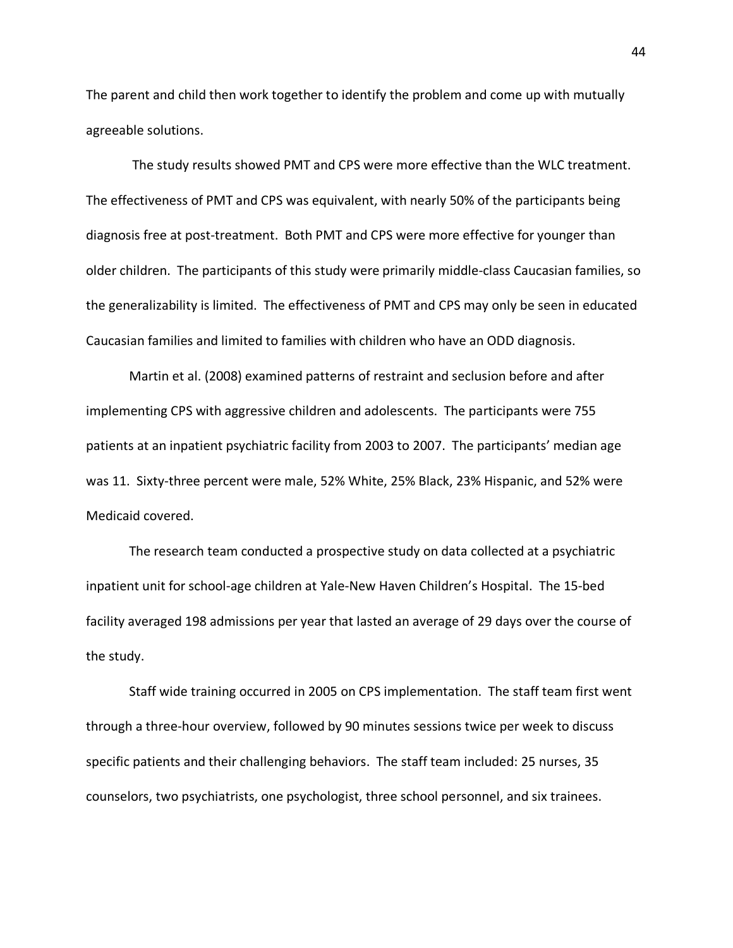The parent and child then work together to identify the problem and come up with mutually agreeable solutions.

The study results showed PMT and CPS were more effective than the WLC treatment. The effectiveness of PMT and CPS was equivalent, with nearly 50% of the participants being diagnosis free at post-treatment. Both PMT and CPS were more effective for younger than older children. The participants of this study were primarily middle-class Caucasian families, so the generalizability is limited. The effectiveness of PMT and CPS may only be seen in educated Caucasian families and limited to families with children who have an ODD diagnosis.

Martin et al. (2008) examined patterns of restraint and seclusion before and after implementing CPS with aggressive children and adolescents. The participants were 755 patients at an inpatient psychiatric facility from 2003 to 2007. The participants' median age was 11. Sixty-three percent were male, 52% White, 25% Black, 23% Hispanic, and 52% were Medicaid covered.

The research team conducted a prospective study on data collected at a psychiatric inpatient unit for school-age children at Yale-New Haven Children's Hospital. The 15-bed facility averaged 198 admissions per year that lasted an average of 29 days over the course of the study.

Staff wide training occurred in 2005 on CPS implementation. The staff team first went through a three-hour overview, followed by 90 minutes sessions twice per week to discuss specific patients and their challenging behaviors. The staff team included: 25 nurses, 35 counselors, two psychiatrists, one psychologist, three school personnel, and six trainees.

44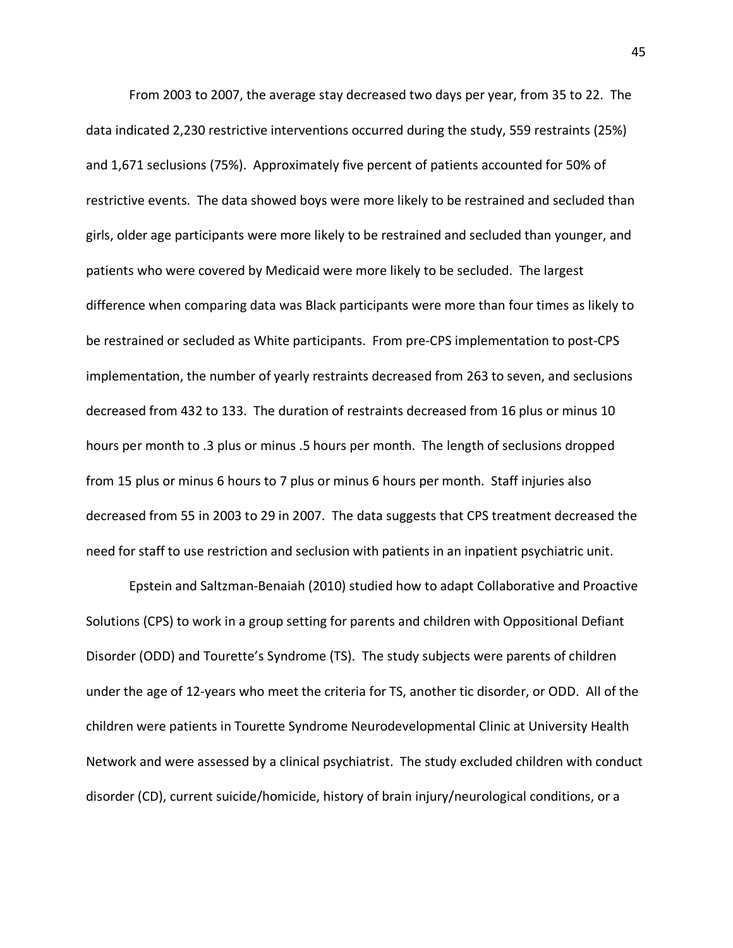From 2003 to 2007, the average stay decreased two days per year, from 35 to 22. The data indicated 2,230 restrictive interventions occurred during the study, 559 restraints (25%) and 1,671 seclusions (75%). Approximately five percent of patients accounted for 50% of restrictive events. The data showed boys were more likely to be restrained and secluded than girls, older age participants were more likely to be restrained and secluded than younger, and patients who were covered by Medicaid were more likely to be secluded. The largest difference when comparing data was Black participants were more than four times as likely to be restrained or secluded as White participants. From pre-CPS implementation to post-CPS implementation, the number of yearly restraints decreased from 263 to seven, and seclusions decreased from 432 to 133. The duration of restraints decreased from 16 plus or minus 10 hours per month to .3 plus or minus .5 hours per month. The length of seclusions dropped from 15 plus or minus 6 hours to 7 plus or minus 6 hours per month. Staff injuries also decreased from 55 in 2003 to 29 in 2007. The data suggests that CPS treatment decreased the need for staff to use restriction and seclusion with patients in an inpatient psychiatric unit.

Epstein and Saltzman-Benaiah (2010) studied how to adapt Collaborative and Proactive Solutions (CPS) to work in a group setting for parents and children with Oppositional Defiant Disorder (ODD) and Tourette's Syndrome (TS). The study subjects were parents of children under the age of 12-years who meet the criteria for TS, another tic disorder, or ODD. All of the children were patients in Tourette Syndrome Neurodevelopmental Clinic at University Health Network and were assessed by a clinical psychiatrist. The study excluded children with conduct disorder (CD), current suicide/homicide, history of brain injury/neurological conditions, or a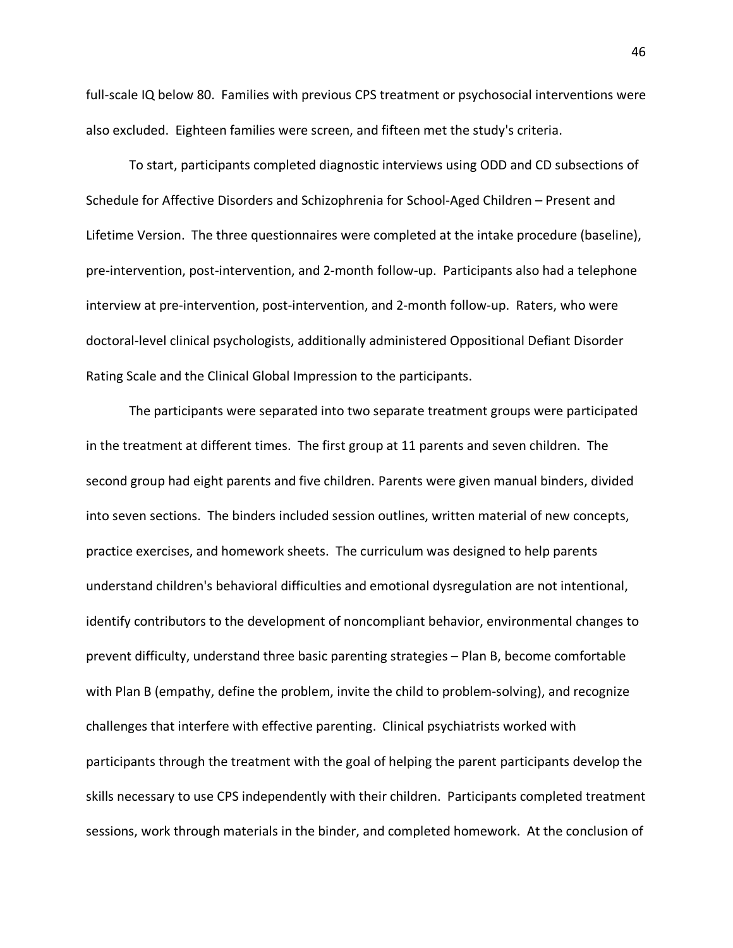full-scale IQ below 80. Families with previous CPS treatment or psychosocial interventions were also excluded. Eighteen families were screen, and fifteen met the study's criteria.

To start, participants completed diagnostic interviews using ODD and CD subsections of Schedule for Affective Disorders and Schizophrenia for School-Aged Children – Present and Lifetime Version. The three questionnaires were completed at the intake procedure (baseline), pre-intervention, post-intervention, and 2-month follow-up. Participants also had a telephone interview at pre-intervention, post-intervention, and 2-month follow-up. Raters, who were doctoral-level clinical psychologists, additionally administered Oppositional Defiant Disorder Rating Scale and the Clinical Global Impression to the participants.

The participants were separated into two separate treatment groups were participated in the treatment at different times. The first group at 11 parents and seven children. The second group had eight parents and five children. Parents were given manual binders, divided into seven sections. The binders included session outlines, written material of new concepts, practice exercises, and homework sheets. The curriculum was designed to help parents understand children's behavioral difficulties and emotional dysregulation are not intentional, identify contributors to the development of noncompliant behavior, environmental changes to prevent difficulty, understand three basic parenting strategies – Plan B, become comfortable with Plan B (empathy, define the problem, invite the child to problem-solving), and recognize challenges that interfere with effective parenting. Clinical psychiatrists worked with participants through the treatment with the goal of helping the parent participants develop the skills necessary to use CPS independently with their children. Participants completed treatment sessions, work through materials in the binder, and completed homework. At the conclusion of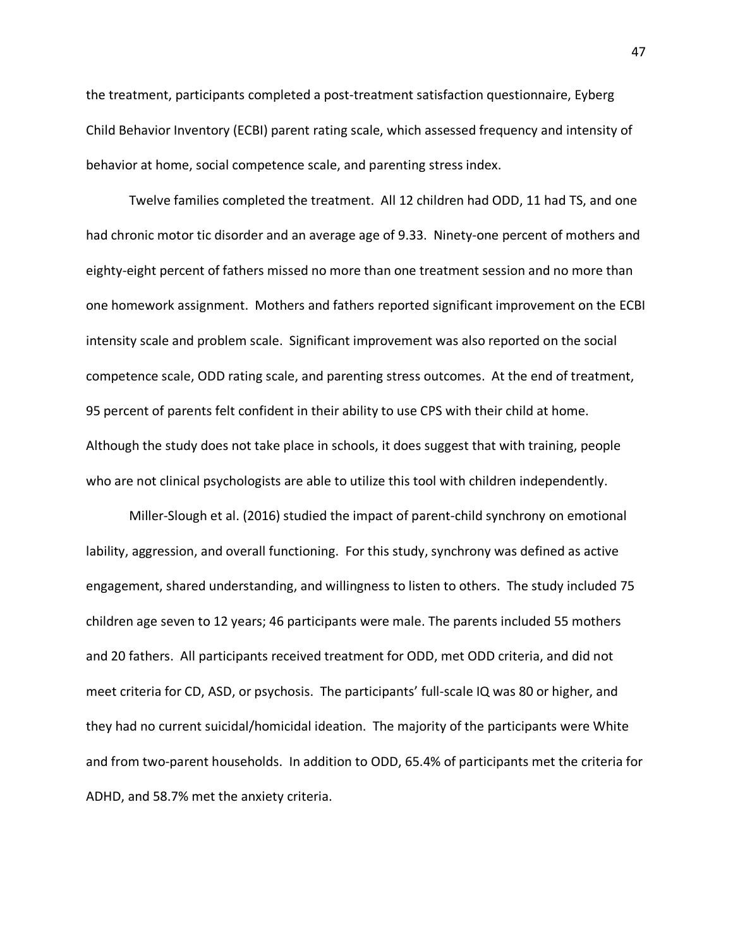the treatment, participants completed a post-treatment satisfaction questionnaire, Eyberg Child Behavior Inventory (ECBI) parent rating scale, which assessed frequency and intensity of behavior at home, social competence scale, and parenting stress index.

Twelve families completed the treatment. All 12 children had ODD, 11 had TS, and one had chronic motor tic disorder and an average age of 9.33. Ninety-one percent of mothers and eighty-eight percent of fathers missed no more than one treatment session and no more than one homework assignment. Mothers and fathers reported significant improvement on the ECBI intensity scale and problem scale. Significant improvement was also reported on the social competence scale, ODD rating scale, and parenting stress outcomes. At the end of treatment, 95 percent of parents felt confident in their ability to use CPS with their child at home. Although the study does not take place in schools, it does suggest that with training, people who are not clinical psychologists are able to utilize this tool with children independently.

Miller-Slough et al. (2016) studied the impact of parent-child synchrony on emotional lability, aggression, and overall functioning. For this study, synchrony was defined as active engagement, shared understanding, and willingness to listen to others. The study included 75 children age seven to 12 years; 46 participants were male. The parents included 55 mothers and 20 fathers. All participants received treatment for ODD, met ODD criteria, and did not meet criteria for CD, ASD, or psychosis. The participants' full-scale IQ was 80 or higher, and they had no current suicidal/homicidal ideation. The majority of the participants were White and from two-parent households. In addition to ODD, 65.4% of participants met the criteria for ADHD, and 58.7% met the anxiety criteria.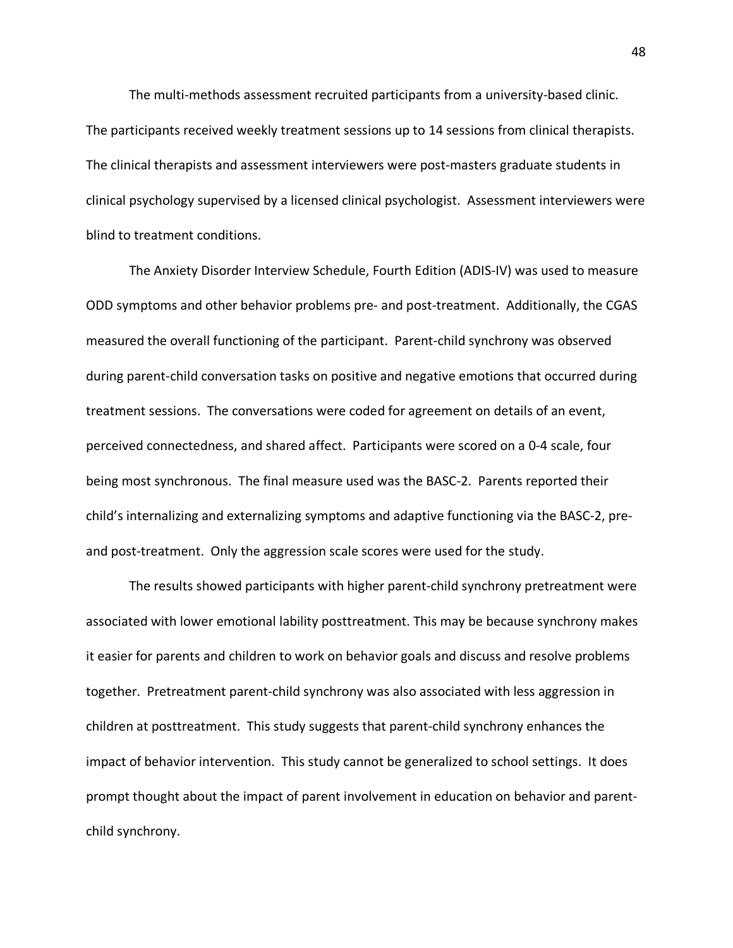The multi-methods assessment recruited participants from a university-based clinic. The participants received weekly treatment sessions up to 14 sessions from clinical therapists. The clinical therapists and assessment interviewers were post-masters graduate students in clinical psychology supervised by a licensed clinical psychologist. Assessment interviewers were blind to treatment conditions.

The Anxiety Disorder Interview Schedule, Fourth Edition (ADIS-IV) was used to measure ODD symptoms and other behavior problems pre- and post-treatment. Additionally, the CGAS measured the overall functioning of the participant. Parent-child synchrony was observed during parent-child conversation tasks on positive and negative emotions that occurred during treatment sessions. The conversations were coded for agreement on details of an event, perceived connectedness, and shared affect. Participants were scored on a 0-4 scale, four being most synchronous. The final measure used was the BASC-2. Parents reported their child's internalizing and externalizing symptoms and adaptive functioning via the BASC-2, preand post-treatment. Only the aggression scale scores were used for the study.

The results showed participants with higher parent-child synchrony pretreatment were associated with lower emotional lability posttreatment. This may be because synchrony makes it easier for parents and children to work on behavior goals and discuss and resolve problems together. Pretreatment parent-child synchrony was also associated with less aggression in children at posttreatment. This study suggests that parent-child synchrony enhances the impact of behavior intervention. This study cannot be generalized to school settings. It does prompt thought about the impact of parent involvement in education on behavior and parentchild synchrony.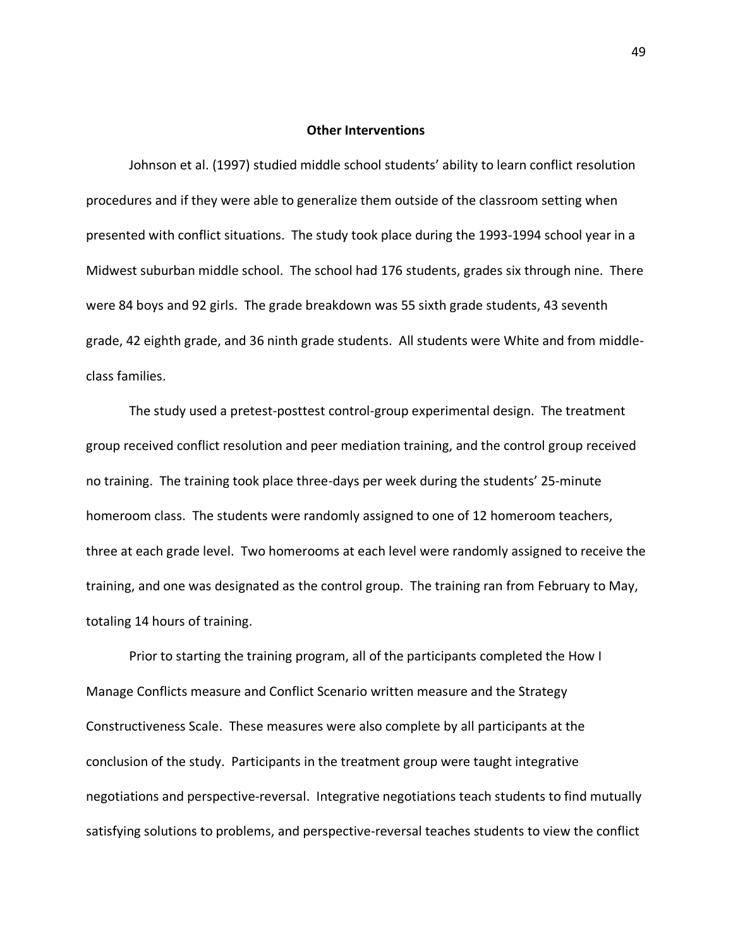#### **Other Interventions**

Johnson et al. (1997) studied middle school students' ability to learn conflict resolution procedures and if they were able to generalize them outside of the classroom setting when presented with conflict situations. The study took place during the 1993-1994 school year in a Midwest suburban middle school. The school had 176 students, grades six through nine. There were 84 boys and 92 girls. The grade breakdown was 55 sixth grade students, 43 seventh grade, 42 eighth grade, and 36 ninth grade students. All students were White and from middleclass families.

The study used a pretest-posttest control-group experimental design. The treatment group received conflict resolution and peer mediation training, and the control group received no training. The training took place three-days per week during the students' 25-minute homeroom class. The students were randomly assigned to one of 12 homeroom teachers, three at each grade level. Two homerooms at each level were randomly assigned to receive the training, and one was designated as the control group. The training ran from February to May, totaling 14 hours of training.

Prior to starting the training program, all of the participants completed the How I Manage Conflicts measure and Conflict Scenario written measure and the Strategy Constructiveness Scale. These measures were also complete by all participants at the conclusion of the study. Participants in the treatment group were taught integrative negotiations and perspective-reversal. Integrative negotiations teach students to find mutually satisfying solutions to problems, and perspective-reversal teaches students to view the conflict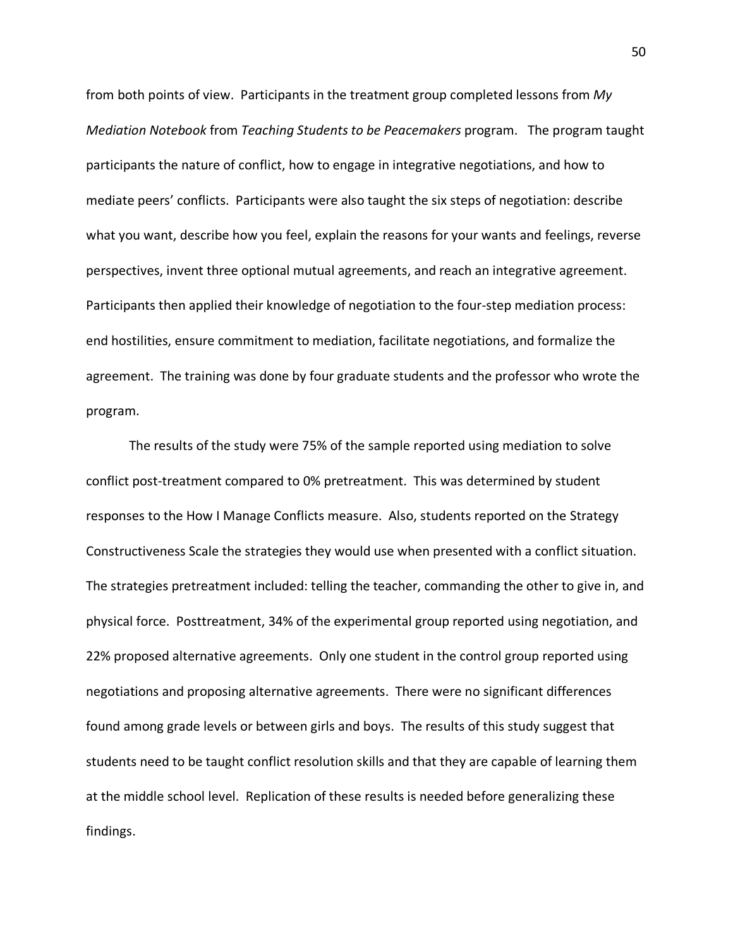from both points of view. Participants in the treatment group completed lessons from *My Mediation Notebook* from *Teaching Students to be Peacemakers* program. The program taught participants the nature of conflict, how to engage in integrative negotiations, and how to mediate peers' conflicts. Participants were also taught the six steps of negotiation: describe what you want, describe how you feel, explain the reasons for your wants and feelings, reverse perspectives, invent three optional mutual agreements, and reach an integrative agreement. Participants then applied their knowledge of negotiation to the four-step mediation process: end hostilities, ensure commitment to mediation, facilitate negotiations, and formalize the agreement. The training was done by four graduate students and the professor who wrote the program.

The results of the study were 75% of the sample reported using mediation to solve conflict post-treatment compared to 0% pretreatment. This was determined by student responses to the How I Manage Conflicts measure. Also, students reported on the Strategy Constructiveness Scale the strategies they would use when presented with a conflict situation. The strategies pretreatment included: telling the teacher, commanding the other to give in, and physical force. Posttreatment, 34% of the experimental group reported using negotiation, and 22% proposed alternative agreements. Only one student in the control group reported using negotiations and proposing alternative agreements. There were no significant differences found among grade levels or between girls and boys. The results of this study suggest that students need to be taught conflict resolution skills and that they are capable of learning them at the middle school level. Replication of these results is needed before generalizing these findings.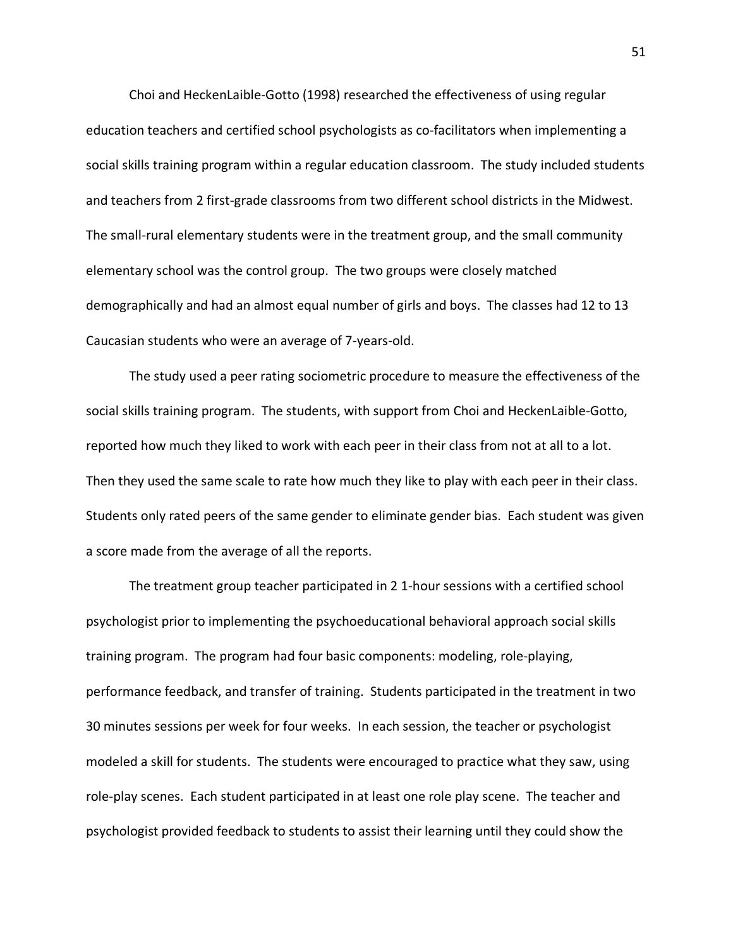Choi and HeckenLaible-Gotto (1998) researched the effectiveness of using regular education teachers and certified school psychologists as co-facilitators when implementing a social skills training program within a regular education classroom. The study included students and teachers from 2 first-grade classrooms from two different school districts in the Midwest. The small-rural elementary students were in the treatment group, and the small community elementary school was the control group. The two groups were closely matched demographically and had an almost equal number of girls and boys. The classes had 12 to 13 Caucasian students who were an average of 7-years-old.

The study used a peer rating sociometric procedure to measure the effectiveness of the social skills training program. The students, with support from Choi and HeckenLaible-Gotto, reported how much they liked to work with each peer in their class from not at all to a lot. Then they used the same scale to rate how much they like to play with each peer in their class. Students only rated peers of the same gender to eliminate gender bias. Each student was given a score made from the average of all the reports.

The treatment group teacher participated in 2 1-hour sessions with a certified school psychologist prior to implementing the psychoeducational behavioral approach social skills training program. The program had four basic components: modeling, role-playing, performance feedback, and transfer of training. Students participated in the treatment in two 30 minutes sessions per week for four weeks. In each session, the teacher or psychologist modeled a skill for students. The students were encouraged to practice what they saw, using role-play scenes. Each student participated in at least one role play scene. The teacher and psychologist provided feedback to students to assist their learning until they could show the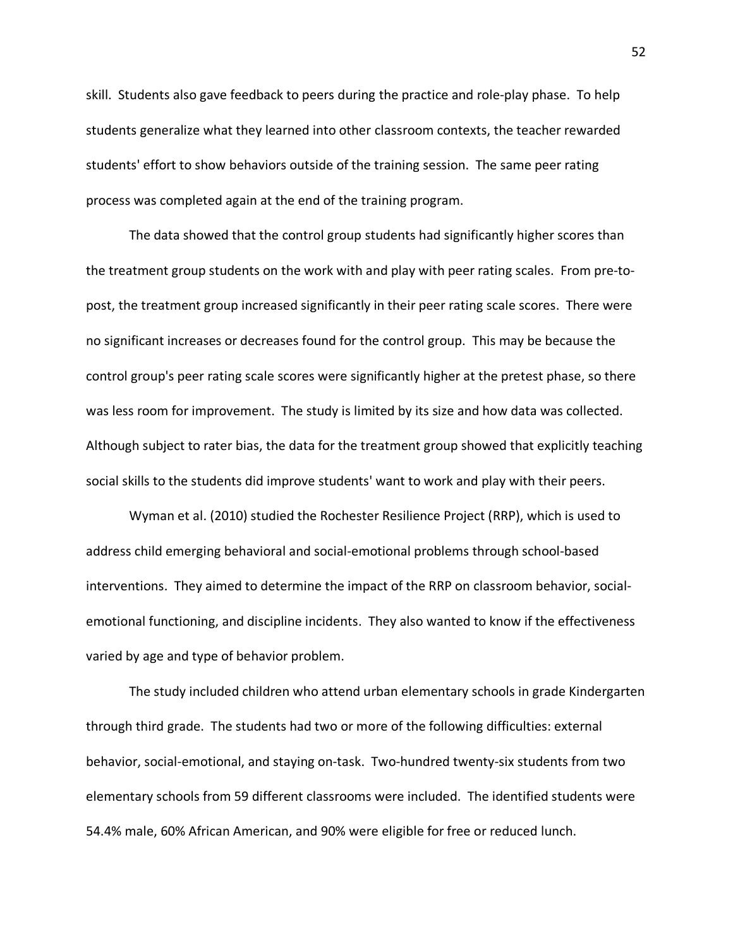skill. Students also gave feedback to peers during the practice and role-play phase. To help students generalize what they learned into other classroom contexts, the teacher rewarded students' effort to show behaviors outside of the training session. The same peer rating process was completed again at the end of the training program.

The data showed that the control group students had significantly higher scores than the treatment group students on the work with and play with peer rating scales. From pre-topost, the treatment group increased significantly in their peer rating scale scores. There were no significant increases or decreases found for the control group. This may be because the control group's peer rating scale scores were significantly higher at the pretest phase, so there was less room for improvement. The study is limited by its size and how data was collected. Although subject to rater bias, the data for the treatment group showed that explicitly teaching social skills to the students did improve students' want to work and play with their peers.

Wyman et al. (2010) studied the Rochester Resilience Project (RRP), which is used to address child emerging behavioral and social-emotional problems through school-based interventions. They aimed to determine the impact of the RRP on classroom behavior, socialemotional functioning, and discipline incidents. They also wanted to know if the effectiveness varied by age and type of behavior problem.

The study included children who attend urban elementary schools in grade Kindergarten through third grade. The students had two or more of the following difficulties: external behavior, social-emotional, and staying on-task. Two-hundred twenty-six students from two elementary schools from 59 different classrooms were included. The identified students were 54.4% male, 60% African American, and 90% were eligible for free or reduced lunch.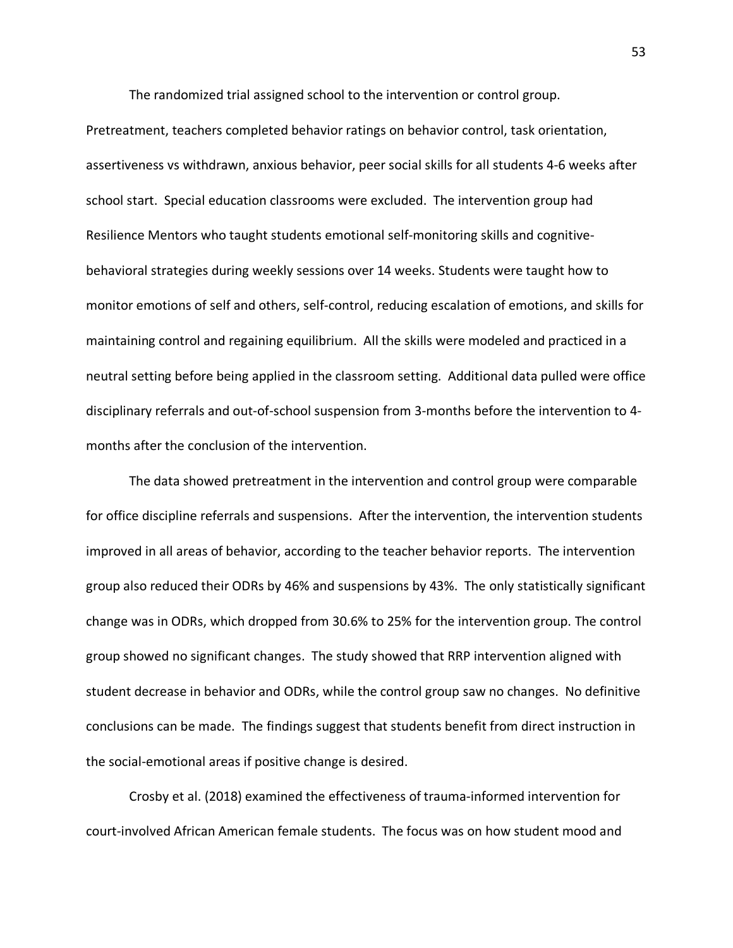The randomized trial assigned school to the intervention or control group.

Pretreatment, teachers completed behavior ratings on behavior control, task orientation, assertiveness vs withdrawn, anxious behavior, peer social skills for all students 4-6 weeks after school start. Special education classrooms were excluded. The intervention group had Resilience Mentors who taught students emotional self-monitoring skills and cognitivebehavioral strategies during weekly sessions over 14 weeks. Students were taught how to monitor emotions of self and others, self-control, reducing escalation of emotions, and skills for maintaining control and regaining equilibrium. All the skills were modeled and practiced in a neutral setting before being applied in the classroom setting. Additional data pulled were office disciplinary referrals and out-of-school suspension from 3-months before the intervention to 4 months after the conclusion of the intervention.

The data showed pretreatment in the intervention and control group were comparable for office discipline referrals and suspensions. After the intervention, the intervention students improved in all areas of behavior, according to the teacher behavior reports. The intervention group also reduced their ODRs by 46% and suspensions by 43%. The only statistically significant change was in ODRs, which dropped from 30.6% to 25% for the intervention group. The control group showed no significant changes. The study showed that RRP intervention aligned with student decrease in behavior and ODRs, while the control group saw no changes. No definitive conclusions can be made. The findings suggest that students benefit from direct instruction in the social-emotional areas if positive change is desired.

Crosby et al. (2018) examined the effectiveness of trauma-informed intervention for court-involved African American female students. The focus was on how student mood and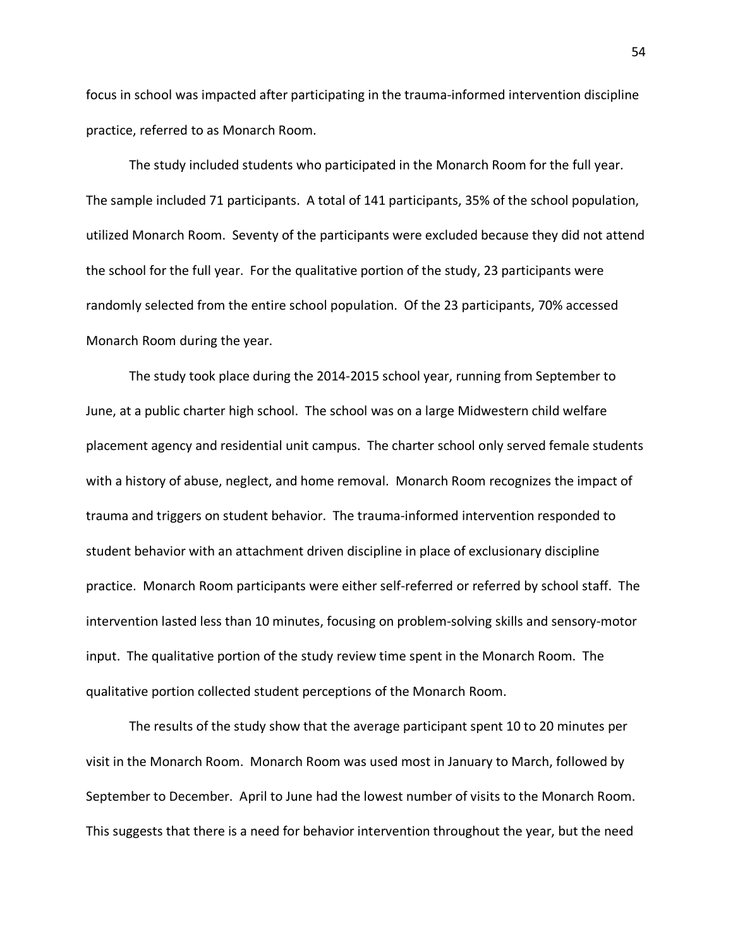focus in school was impacted after participating in the trauma-informed intervention discipline practice, referred to as Monarch Room.

The study included students who participated in the Monarch Room for the full year. The sample included 71 participants. A total of 141 participants, 35% of the school population, utilized Monarch Room. Seventy of the participants were excluded because they did not attend the school for the full year. For the qualitative portion of the study, 23 participants were randomly selected from the entire school population. Of the 23 participants, 70% accessed Monarch Room during the year.

The study took place during the 2014-2015 school year, running from September to June, at a public charter high school. The school was on a large Midwestern child welfare placement agency and residential unit campus. The charter school only served female students with a history of abuse, neglect, and home removal. Monarch Room recognizes the impact of trauma and triggers on student behavior. The trauma-informed intervention responded to student behavior with an attachment driven discipline in place of exclusionary discipline practice. Monarch Room participants were either self-referred or referred by school staff. The intervention lasted less than 10 minutes, focusing on problem-solving skills and sensory-motor input. The qualitative portion of the study review time spent in the Monarch Room. The qualitative portion collected student perceptions of the Monarch Room.

The results of the study show that the average participant spent 10 to 20 minutes per visit in the Monarch Room. Monarch Room was used most in January to March, followed by September to December. April to June had the lowest number of visits to the Monarch Room. This suggests that there is a need for behavior intervention throughout the year, but the need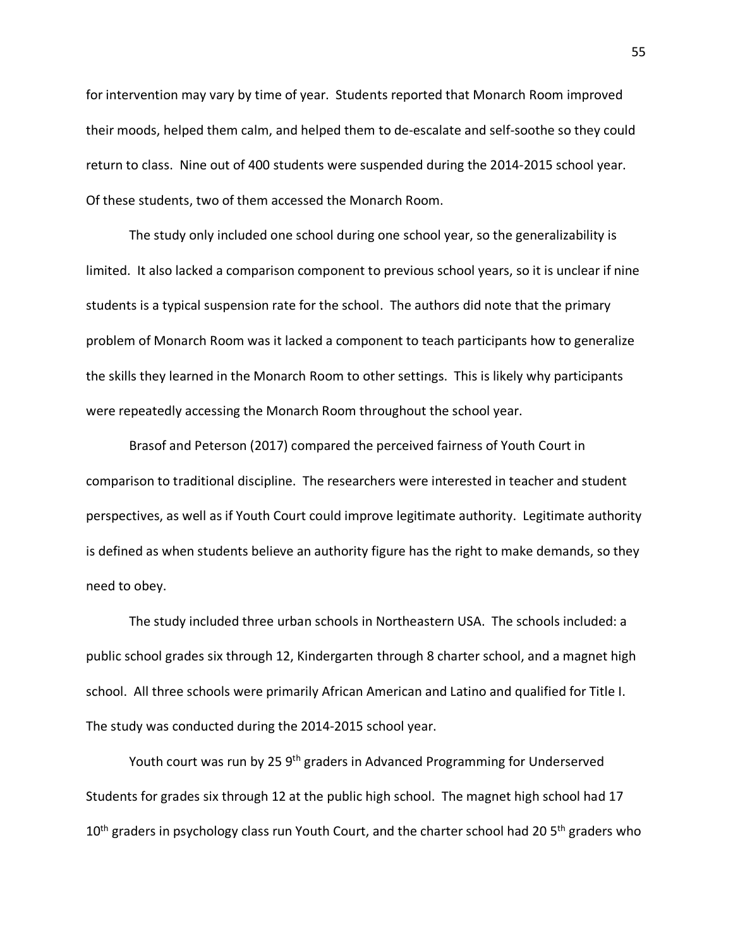for intervention may vary by time of year. Students reported that Monarch Room improved their moods, helped them calm, and helped them to de-escalate and self-soothe so they could return to class. Nine out of 400 students were suspended during the 2014-2015 school year. Of these students, two of them accessed the Monarch Room.

The study only included one school during one school year, so the generalizability is limited. It also lacked a comparison component to previous school years, so it is unclear if nine students is a typical suspension rate for the school. The authors did note that the primary problem of Monarch Room was it lacked a component to teach participants how to generalize the skills they learned in the Monarch Room to other settings. This is likely why participants were repeatedly accessing the Monarch Room throughout the school year.

Brasof and Peterson (2017) compared the perceived fairness of Youth Court in comparison to traditional discipline. The researchers were interested in teacher and student perspectives, as well as if Youth Court could improve legitimate authority. Legitimate authority is defined as when students believe an authority figure has the right to make demands, so they need to obey.

The study included three urban schools in Northeastern USA. The schools included: a public school grades six through 12, Kindergarten through 8 charter school, and a magnet high school. All three schools were primarily African American and Latino and qualified for Title I. The study was conducted during the 2014-2015 school year.

Youth court was run by 25 9<sup>th</sup> graders in Advanced Programming for Underserved Students for grades six through 12 at the public high school. The magnet high school had 17  $10<sup>th</sup>$  graders in psychology class run Youth Court, and the charter school had 20 5<sup>th</sup> graders who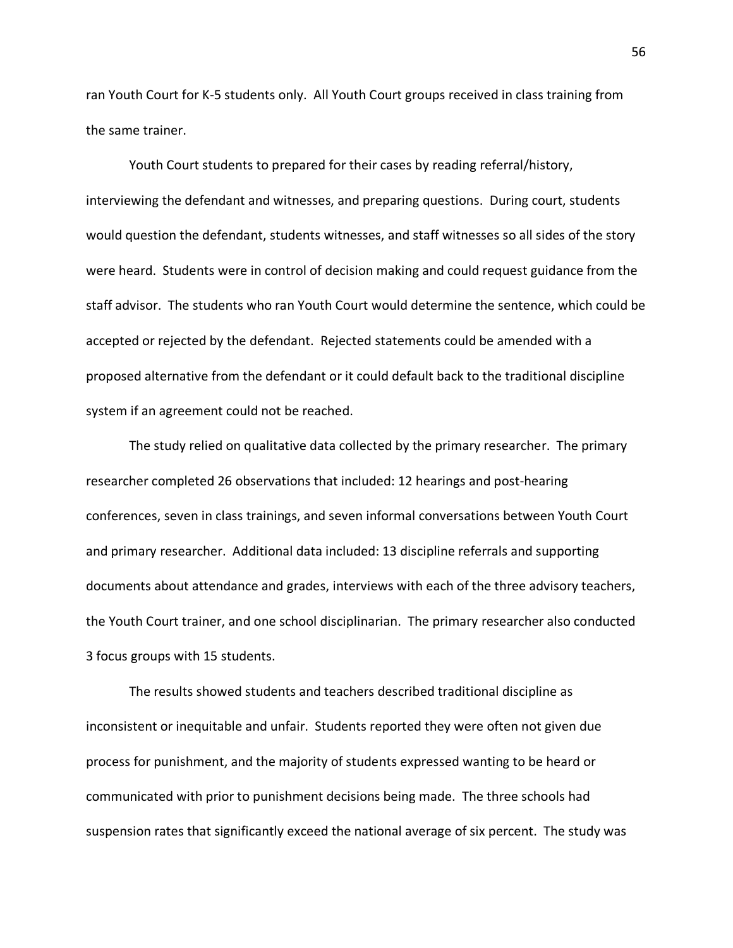ran Youth Court for K-5 students only. All Youth Court groups received in class training from the same trainer.

Youth Court students to prepared for their cases by reading referral/history, interviewing the defendant and witnesses, and preparing questions. During court, students would question the defendant, students witnesses, and staff witnesses so all sides of the story were heard. Students were in control of decision making and could request guidance from the staff advisor. The students who ran Youth Court would determine the sentence, which could be accepted or rejected by the defendant. Rejected statements could be amended with a proposed alternative from the defendant or it could default back to the traditional discipline system if an agreement could not be reached.

The study relied on qualitative data collected by the primary researcher. The primary researcher completed 26 observations that included: 12 hearings and post-hearing conferences, seven in class trainings, and seven informal conversations between Youth Court and primary researcher. Additional data included: 13 discipline referrals and supporting documents about attendance and grades, interviews with each of the three advisory teachers, the Youth Court trainer, and one school disciplinarian. The primary researcher also conducted 3 focus groups with 15 students.

The results showed students and teachers described traditional discipline as inconsistent or inequitable and unfair. Students reported they were often not given due process for punishment, and the majority of students expressed wanting to be heard or communicated with prior to punishment decisions being made. The three schools had suspension rates that significantly exceed the national average of six percent. The study was

56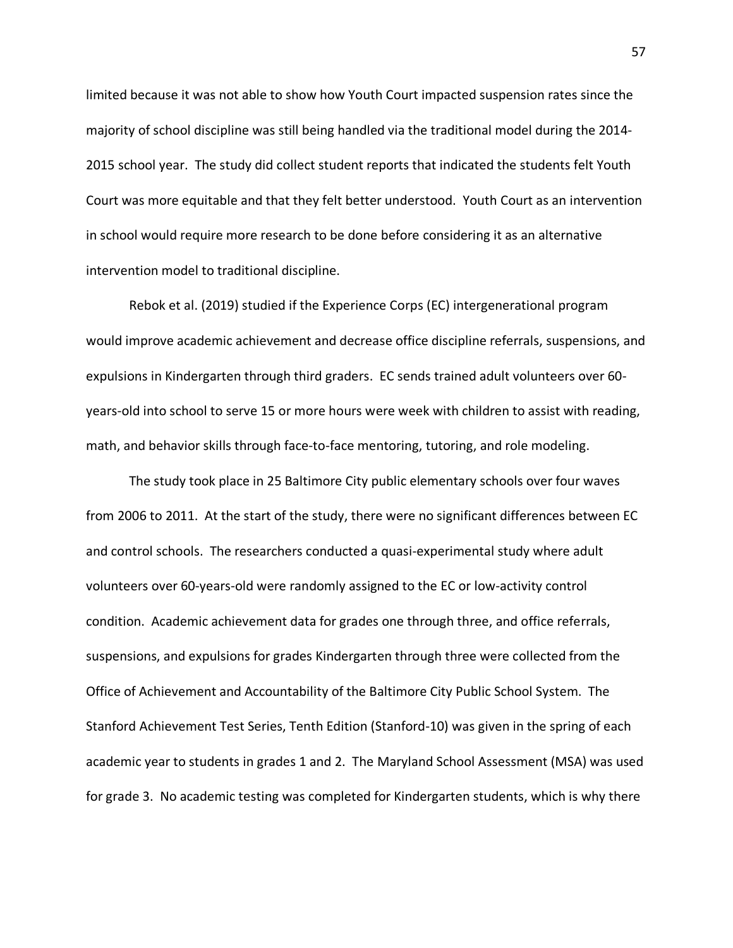limited because it was not able to show how Youth Court impacted suspension rates since the majority of school discipline was still being handled via the traditional model during the 2014- 2015 school year. The study did collect student reports that indicated the students felt Youth Court was more equitable and that they felt better understood. Youth Court as an intervention in school would require more research to be done before considering it as an alternative intervention model to traditional discipline.

Rebok et al. (2019) studied if the Experience Corps (EC) intergenerational program would improve academic achievement and decrease office discipline referrals, suspensions, and expulsions in Kindergarten through third graders. EC sends trained adult volunteers over 60 years-old into school to serve 15 or more hours were week with children to assist with reading, math, and behavior skills through face-to-face mentoring, tutoring, and role modeling.

The study took place in 25 Baltimore City public elementary schools over four waves from 2006 to 2011. At the start of the study, there were no significant differences between EC and control schools. The researchers conducted a quasi-experimental study where adult volunteers over 60-years-old were randomly assigned to the EC or low-activity control condition. Academic achievement data for grades one through three, and office referrals, suspensions, and expulsions for grades Kindergarten through three were collected from the Office of Achievement and Accountability of the Baltimore City Public School System. The Stanford Achievement Test Series, Tenth Edition (Stanford-10) was given in the spring of each academic year to students in grades 1 and 2. The Maryland School Assessment (MSA) was used for grade 3. No academic testing was completed for Kindergarten students, which is why there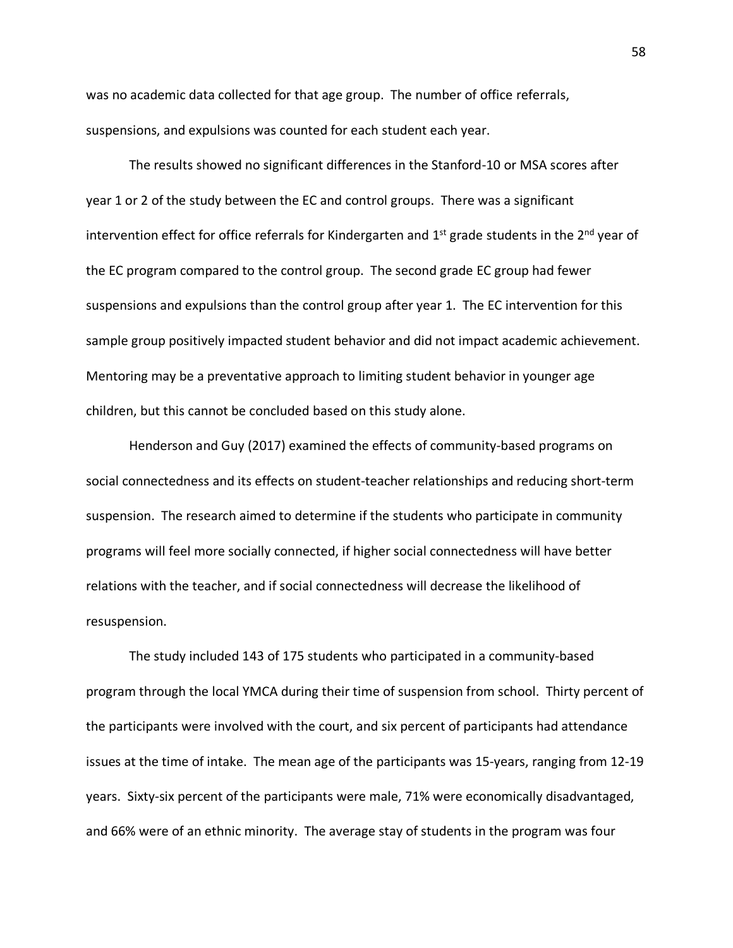was no academic data collected for that age group. The number of office referrals, suspensions, and expulsions was counted for each student each year.

The results showed no significant differences in the Stanford-10 or MSA scores after year 1 or 2 of the study between the EC and control groups. There was a significant intervention effect for office referrals for Kindergarten and  $1<sup>st</sup>$  grade students in the  $2<sup>nd</sup>$  year of the EC program compared to the control group. The second grade EC group had fewer suspensions and expulsions than the control group after year 1. The EC intervention for this sample group positively impacted student behavior and did not impact academic achievement. Mentoring may be a preventative approach to limiting student behavior in younger age children, but this cannot be concluded based on this study alone.

Henderson and Guy (2017) examined the effects of community-based programs on social connectedness and its effects on student-teacher relationships and reducing short-term suspension. The research aimed to determine if the students who participate in community programs will feel more socially connected, if higher social connectedness will have better relations with the teacher, and if social connectedness will decrease the likelihood of resuspension.

The study included 143 of 175 students who participated in a community-based program through the local YMCA during their time of suspension from school. Thirty percent of the participants were involved with the court, and six percent of participants had attendance issues at the time of intake. The mean age of the participants was 15-years, ranging from 12-19 years. Sixty-six percent of the participants were male, 71% were economically disadvantaged, and 66% were of an ethnic minority. The average stay of students in the program was four

58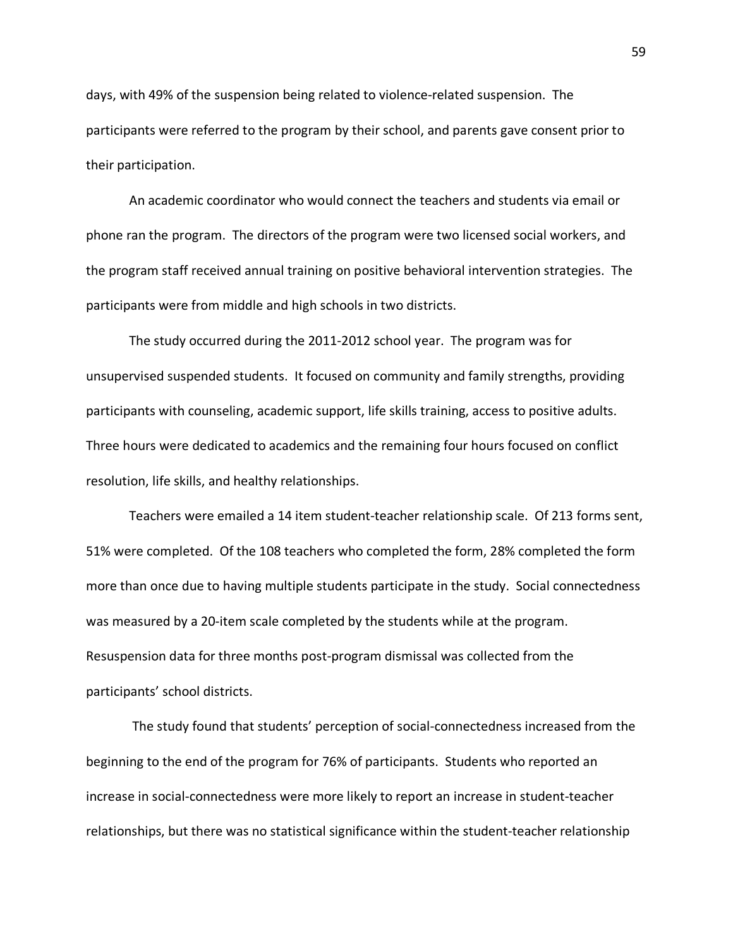days, with 49% of the suspension being related to violence-related suspension. The participants were referred to the program by their school, and parents gave consent prior to their participation.

An academic coordinator who would connect the teachers and students via email or phone ran the program. The directors of the program were two licensed social workers, and the program staff received annual training on positive behavioral intervention strategies. The participants were from middle and high schools in two districts.

The study occurred during the 2011-2012 school year. The program was for unsupervised suspended students. It focused on community and family strengths, providing participants with counseling, academic support, life skills training, access to positive adults. Three hours were dedicated to academics and the remaining four hours focused on conflict resolution, life skills, and healthy relationships.

Teachers were emailed a 14 item student-teacher relationship scale. Of 213 forms sent, 51% were completed. Of the 108 teachers who completed the form, 28% completed the form more than once due to having multiple students participate in the study. Social connectedness was measured by a 20-item scale completed by the students while at the program. Resuspension data for three months post-program dismissal was collected from the participants' school districts.

The study found that students' perception of social-connectedness increased from the beginning to the end of the program for 76% of participants. Students who reported an increase in social-connectedness were more likely to report an increase in student-teacher relationships, but there was no statistical significance within the student-teacher relationship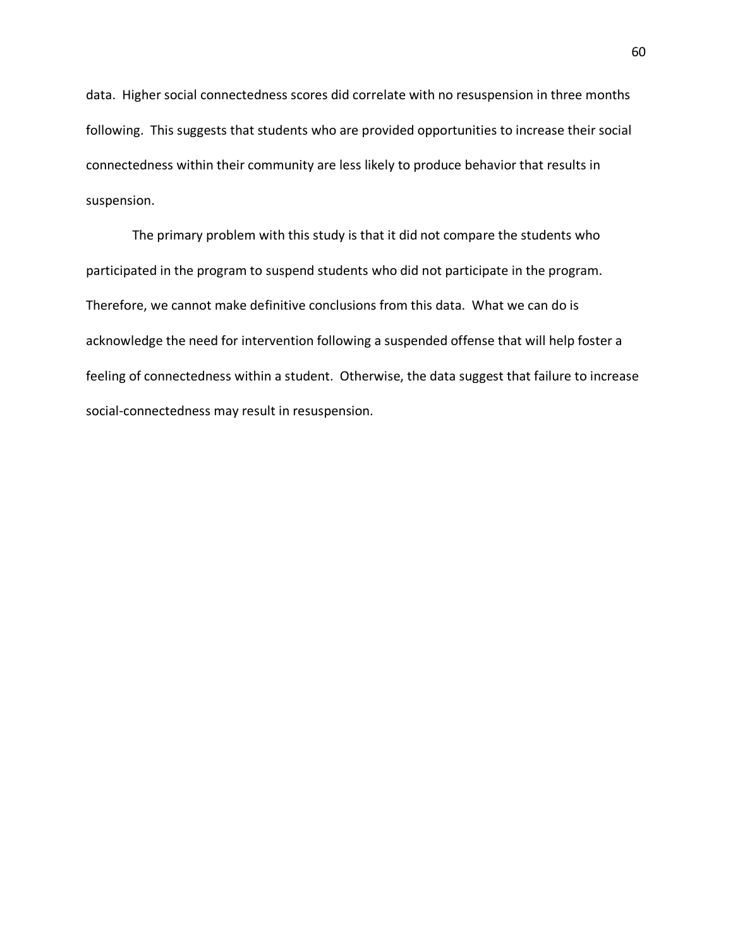data. Higher social connectedness scores did correlate with no resuspension in three months following. This suggests that students who are provided opportunities to increase their social connectedness within their community are less likely to produce behavior that results in suspension.

The primary problem with this study is that it did not compare the students who participated in the program to suspend students who did not participate in the program. Therefore, we cannot make definitive conclusions from this data. What we can do is acknowledge the need for intervention following a suspended offense that will help foster a feeling of connectedness within a student. Otherwise, the data suggest that failure to increase social-connectedness may result in resuspension.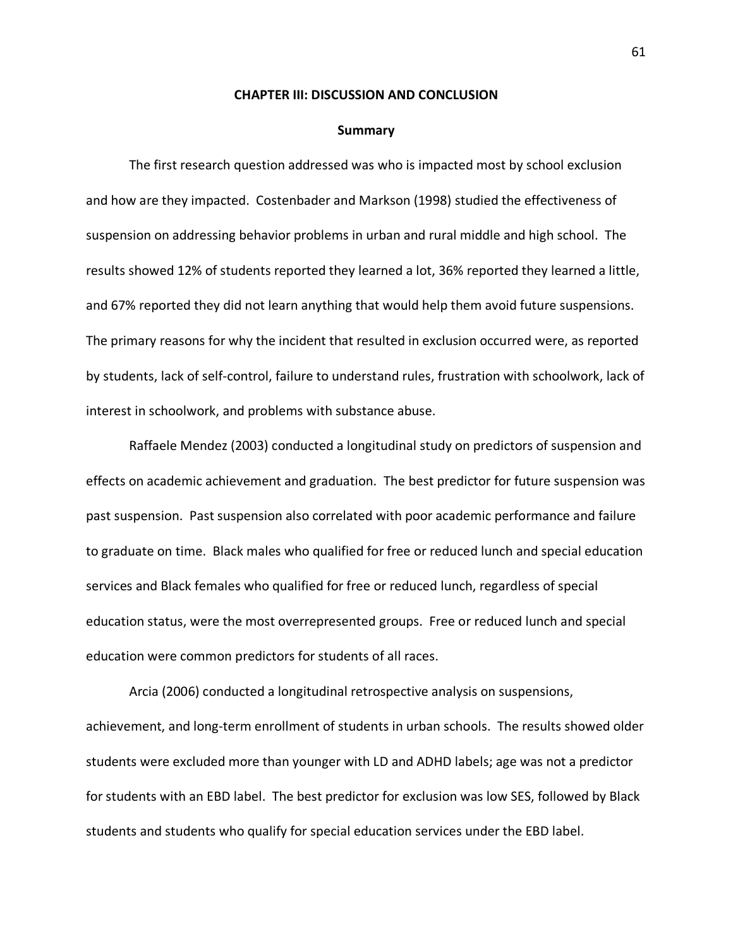#### **CHAPTER III: DISCUSSION AND CONCLUSION**

#### **Summary**

The first research question addressed was who is impacted most by school exclusion and how are they impacted. Costenbader and Markson (1998) studied the effectiveness of suspension on addressing behavior problems in urban and rural middle and high school. The results showed 12% of students reported they learned a lot, 36% reported they learned a little, and 67% reported they did not learn anything that would help them avoid future suspensions. The primary reasons for why the incident that resulted in exclusion occurred were, as reported by students, lack of self-control, failure to understand rules, frustration with schoolwork, lack of interest in schoolwork, and problems with substance abuse.

Raffaele Mendez (2003) conducted a longitudinal study on predictors of suspension and effects on academic achievement and graduation. The best predictor for future suspension was past suspension. Past suspension also correlated with poor academic performance and failure to graduate on time. Black males who qualified for free or reduced lunch and special education services and Black females who qualified for free or reduced lunch, regardless of special education status, were the most overrepresented groups. Free or reduced lunch and special education were common predictors for students of all races.

Arcia (2006) conducted a longitudinal retrospective analysis on suspensions, achievement, and long-term enrollment of students in urban schools. The results showed older students were excluded more than younger with LD and ADHD labels; age was not a predictor for students with an EBD label. The best predictor for exclusion was low SES, followed by Black students and students who qualify for special education services under the EBD label.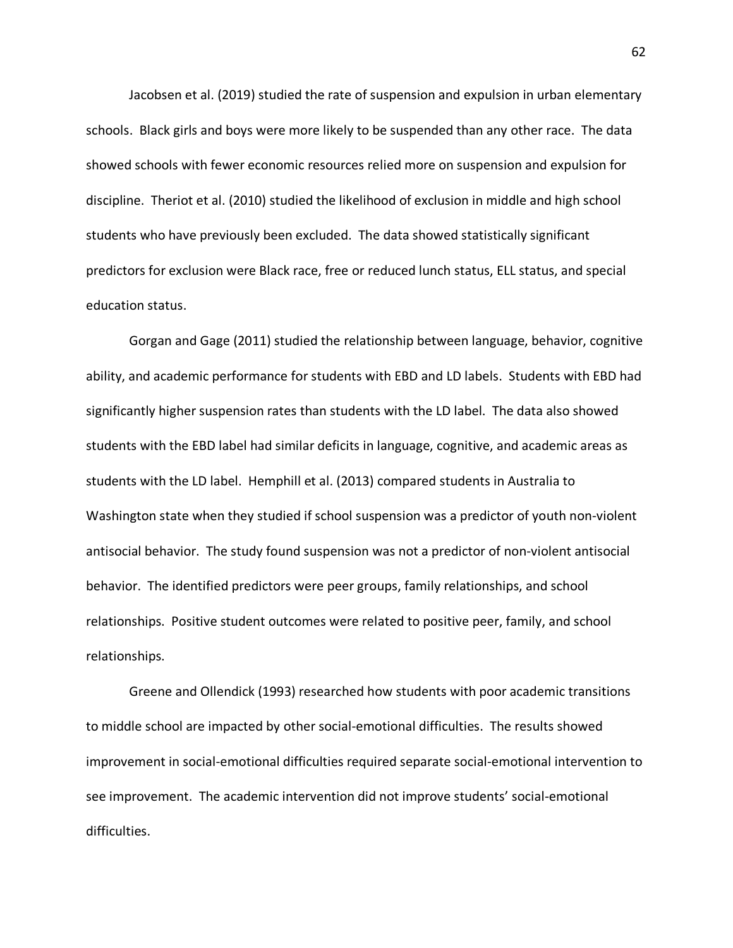Jacobsen et al. (2019) studied the rate of suspension and expulsion in urban elementary schools. Black girls and boys were more likely to be suspended than any other race. The data showed schools with fewer economic resources relied more on suspension and expulsion for discipline. Theriot et al. (2010) studied the likelihood of exclusion in middle and high school students who have previously been excluded. The data showed statistically significant predictors for exclusion were Black race, free or reduced lunch status, ELL status, and special education status.

Gorgan and Gage (2011) studied the relationship between language, behavior, cognitive ability, and academic performance for students with EBD and LD labels. Students with EBD had significantly higher suspension rates than students with the LD label. The data also showed students with the EBD label had similar deficits in language, cognitive, and academic areas as students with the LD label. Hemphill et al. (2013) compared students in Australia to Washington state when they studied if school suspension was a predictor of youth non-violent antisocial behavior. The study found suspension was not a predictor of non-violent antisocial behavior. The identified predictors were peer groups, family relationships, and school relationships. Positive student outcomes were related to positive peer, family, and school relationships.

Greene and Ollendick (1993) researched how students with poor academic transitions to middle school are impacted by other social-emotional difficulties. The results showed improvement in social-emotional difficulties required separate social-emotional intervention to see improvement. The academic intervention did not improve students' social-emotional difficulties.

62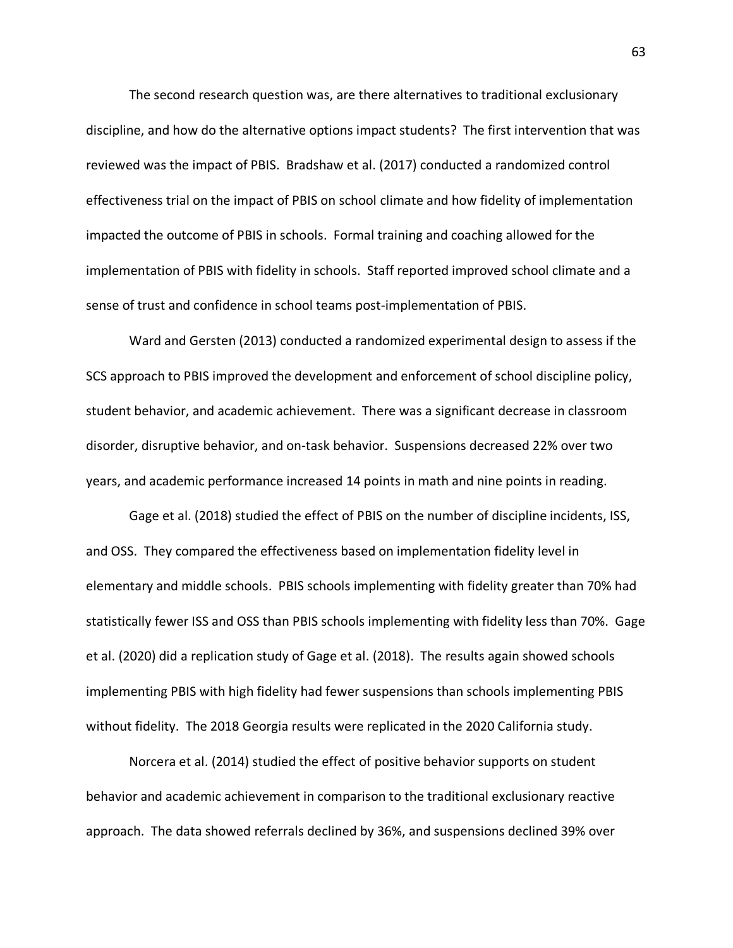The second research question was, are there alternatives to traditional exclusionary discipline, and how do the alternative options impact students? The first intervention that was reviewed was the impact of PBIS. Bradshaw et al. (2017) conducted a randomized control effectiveness trial on the impact of PBIS on school climate and how fidelity of implementation impacted the outcome of PBIS in schools. Formal training and coaching allowed for the implementation of PBIS with fidelity in schools. Staff reported improved school climate and a sense of trust and confidence in school teams post-implementation of PBIS.

Ward and Gersten (2013) conducted a randomized experimental design to assess if the SCS approach to PBIS improved the development and enforcement of school discipline policy, student behavior, and academic achievement. There was a significant decrease in classroom disorder, disruptive behavior, and on-task behavior. Suspensions decreased 22% over two years, and academic performance increased 14 points in math and nine points in reading.

Gage et al. (2018) studied the effect of PBIS on the number of discipline incidents, ISS, and OSS. They compared the effectiveness based on implementation fidelity level in elementary and middle schools. PBIS schools implementing with fidelity greater than 70% had statistically fewer ISS and OSS than PBIS schools implementing with fidelity less than 70%. Gage et al. (2020) did a replication study of Gage et al. (2018). The results again showed schools implementing PBIS with high fidelity had fewer suspensions than schools implementing PBIS without fidelity. The 2018 Georgia results were replicated in the 2020 California study.

Norcera et al. (2014) studied the effect of positive behavior supports on student behavior and academic achievement in comparison to the traditional exclusionary reactive approach. The data showed referrals declined by 36%, and suspensions declined 39% over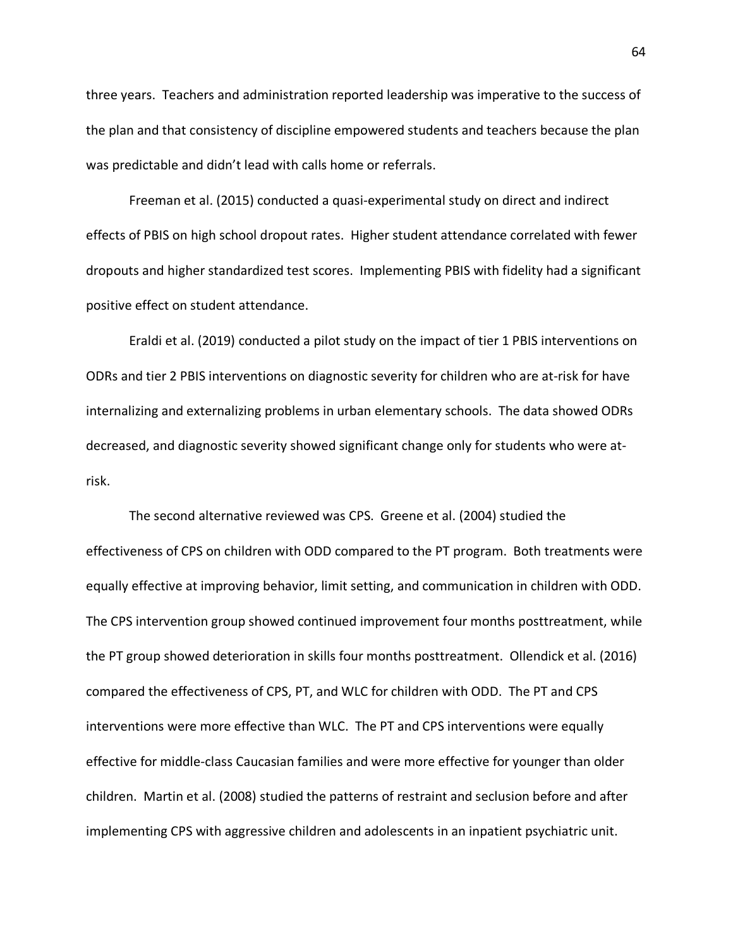three years. Teachers and administration reported leadership was imperative to the success of the plan and that consistency of discipline empowered students and teachers because the plan was predictable and didn't lead with calls home or referrals.

Freeman et al. (2015) conducted a quasi-experimental study on direct and indirect effects of PBIS on high school dropout rates. Higher student attendance correlated with fewer dropouts and higher standardized test scores. Implementing PBIS with fidelity had a significant positive effect on student attendance.

Eraldi et al. (2019) conducted a pilot study on the impact of tier 1 PBIS interventions on ODRs and tier 2 PBIS interventions on diagnostic severity for children who are at-risk for have internalizing and externalizing problems in urban elementary schools. The data showed ODRs decreased, and diagnostic severity showed significant change only for students who were atrisk.

The second alternative reviewed was CPS. Greene et al. (2004) studied the effectiveness of CPS on children with ODD compared to the PT program. Both treatments were equally effective at improving behavior, limit setting, and communication in children with ODD. The CPS intervention group showed continued improvement four months posttreatment, while the PT group showed deterioration in skills four months posttreatment. Ollendick et al. (2016) compared the effectiveness of CPS, PT, and WLC for children with ODD. The PT and CPS interventions were more effective than WLC. The PT and CPS interventions were equally effective for middle-class Caucasian families and were more effective for younger than older children. Martin et al. (2008) studied the patterns of restraint and seclusion before and after implementing CPS with aggressive children and adolescents in an inpatient psychiatric unit.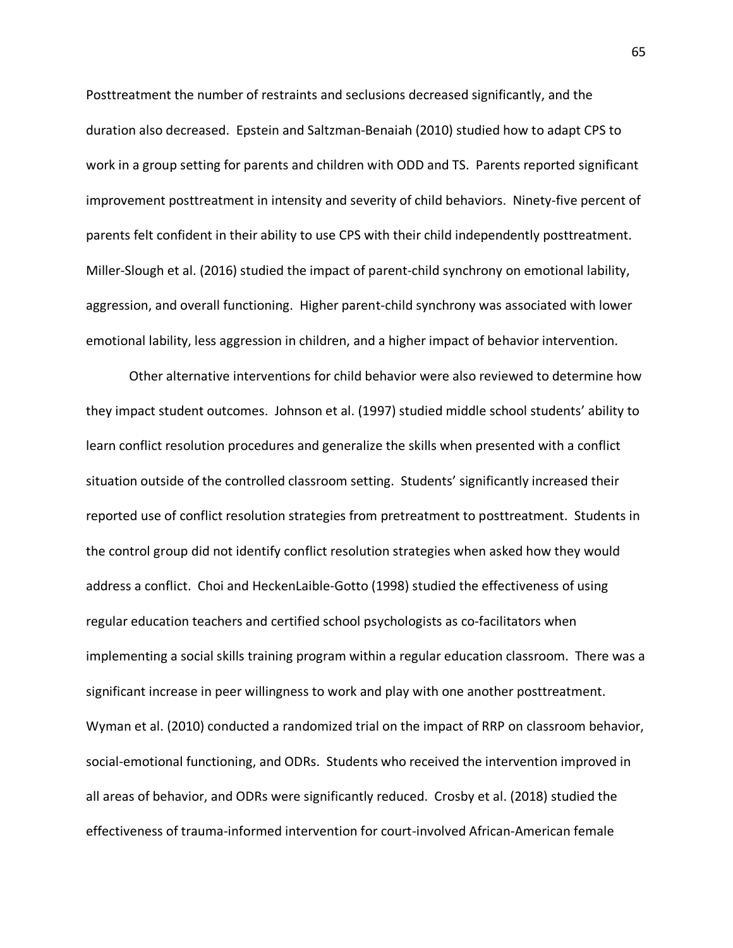Posttreatment the number of restraints and seclusions decreased significantly, and the duration also decreased. Epstein and Saltzman-Benaiah (2010) studied how to adapt CPS to work in a group setting for parents and children with ODD and TS. Parents reported significant improvement posttreatment in intensity and severity of child behaviors. Ninety-five percent of parents felt confident in their ability to use CPS with their child independently posttreatment. Miller-Slough et al. (2016) studied the impact of parent-child synchrony on emotional lability, aggression, and overall functioning. Higher parent-child synchrony was associated with lower emotional lability, less aggression in children, and a higher impact of behavior intervention.

Other alternative interventions for child behavior were also reviewed to determine how they impact student outcomes. Johnson et al. (1997) studied middle school students' ability to learn conflict resolution procedures and generalize the skills when presented with a conflict situation outside of the controlled classroom setting. Students' significantly increased their reported use of conflict resolution strategies from pretreatment to posttreatment. Students in the control group did not identify conflict resolution strategies when asked how they would address a conflict. Choi and HeckenLaible-Gotto (1998) studied the effectiveness of using regular education teachers and certified school psychologists as co-facilitators when implementing a social skills training program within a regular education classroom. There was a significant increase in peer willingness to work and play with one another posttreatment. Wyman et al. (2010) conducted a randomized trial on the impact of RRP on classroom behavior, social-emotional functioning, and ODRs. Students who received the intervention improved in all areas of behavior, and ODRs were significantly reduced. Crosby et al. (2018) studied the effectiveness of trauma-informed intervention for court-involved African-American female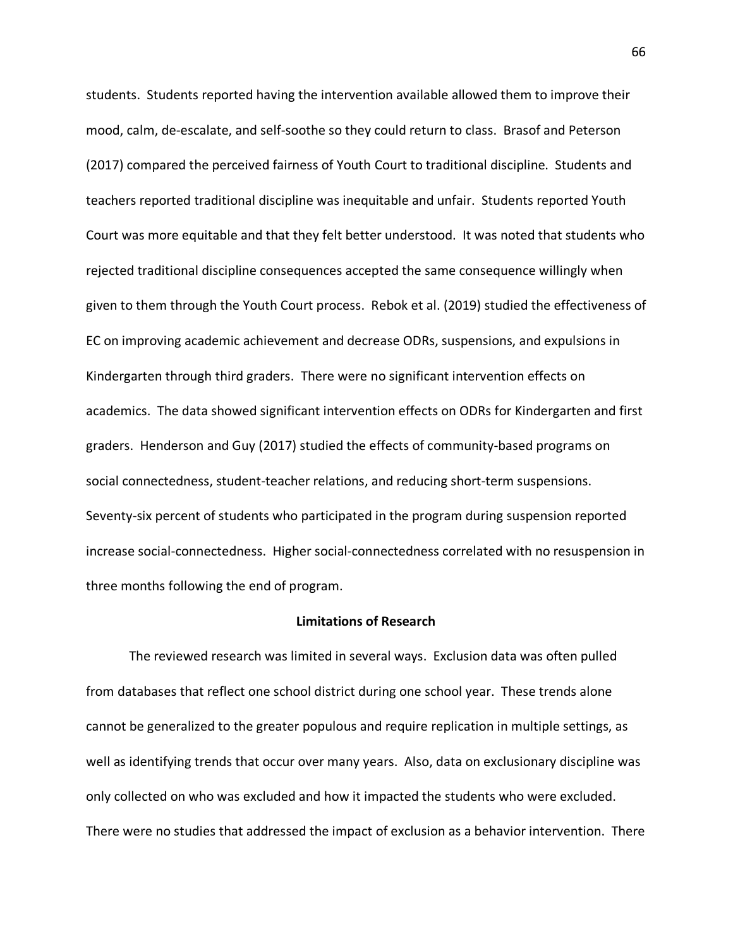students. Students reported having the intervention available allowed them to improve their mood, calm, de-escalate, and self-soothe so they could return to class. Brasof and Peterson (2017) compared the perceived fairness of Youth Court to traditional discipline. Students and teachers reported traditional discipline was inequitable and unfair. Students reported Youth Court was more equitable and that they felt better understood. It was noted that students who rejected traditional discipline consequences accepted the same consequence willingly when given to them through the Youth Court process. Rebok et al. (2019) studied the effectiveness of EC on improving academic achievement and decrease ODRs, suspensions, and expulsions in Kindergarten through third graders. There were no significant intervention effects on academics. The data showed significant intervention effects on ODRs for Kindergarten and first graders. Henderson and Guy (2017) studied the effects of community-based programs on social connectedness, student-teacher relations, and reducing short-term suspensions. Seventy-six percent of students who participated in the program during suspension reported increase social-connectedness. Higher social-connectedness correlated with no resuspension in three months following the end of program.

## **Limitations of Research**

The reviewed research was limited in several ways. Exclusion data was often pulled from databases that reflect one school district during one school year. These trends alone cannot be generalized to the greater populous and require replication in multiple settings, as well as identifying trends that occur over many years. Also, data on exclusionary discipline was only collected on who was excluded and how it impacted the students who were excluded. There were no studies that addressed the impact of exclusion as a behavior intervention. There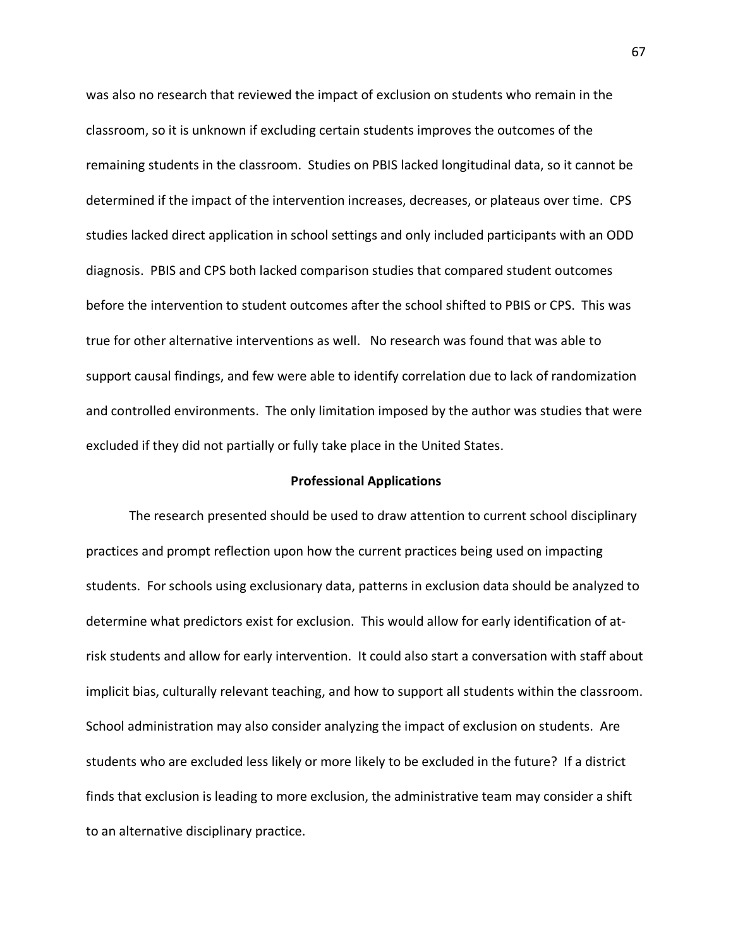was also no research that reviewed the impact of exclusion on students who remain in the classroom, so it is unknown if excluding certain students improves the outcomes of the remaining students in the classroom. Studies on PBIS lacked longitudinal data, so it cannot be determined if the impact of the intervention increases, decreases, or plateaus over time. CPS studies lacked direct application in school settings and only included participants with an ODD diagnosis. PBIS and CPS both lacked comparison studies that compared student outcomes before the intervention to student outcomes after the school shifted to PBIS or CPS. This was true for other alternative interventions as well. No research was found that was able to support causal findings, and few were able to identify correlation due to lack of randomization and controlled environments. The only limitation imposed by the author was studies that were excluded if they did not partially or fully take place in the United States.

# **Professional Applications**

The research presented should be used to draw attention to current school disciplinary practices and prompt reflection upon how the current practices being used on impacting students. For schools using exclusionary data, patterns in exclusion data should be analyzed to determine what predictors exist for exclusion. This would allow for early identification of atrisk students and allow for early intervention. It could also start a conversation with staff about implicit bias, culturally relevant teaching, and how to support all students within the classroom. School administration may also consider analyzing the impact of exclusion on students. Are students who are excluded less likely or more likely to be excluded in the future? If a district finds that exclusion is leading to more exclusion, the administrative team may consider a shift to an alternative disciplinary practice.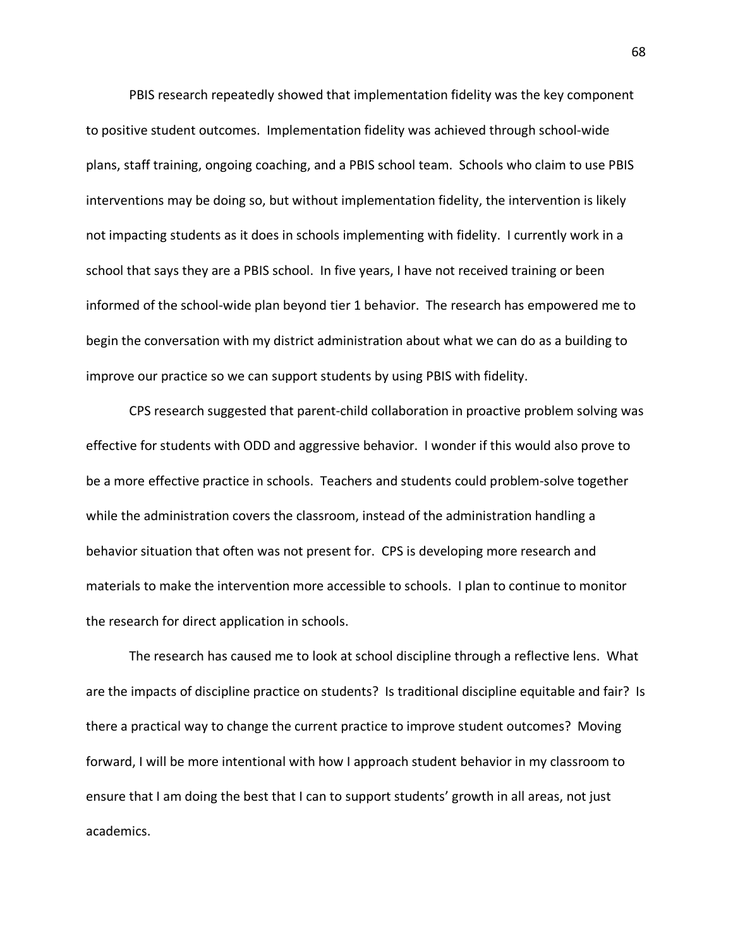PBIS research repeatedly showed that implementation fidelity was the key component to positive student outcomes. Implementation fidelity was achieved through school-wide plans, staff training, ongoing coaching, and a PBIS school team. Schools who claim to use PBIS interventions may be doing so, but without implementation fidelity, the intervention is likely not impacting students as it does in schools implementing with fidelity. I currently work in a school that says they are a PBIS school. In five years, I have not received training or been informed of the school-wide plan beyond tier 1 behavior. The research has empowered me to begin the conversation with my district administration about what we can do as a building to improve our practice so we can support students by using PBIS with fidelity.

CPS research suggested that parent-child collaboration in proactive problem solving was effective for students with ODD and aggressive behavior. I wonder if this would also prove to be a more effective practice in schools. Teachers and students could problem-solve together while the administration covers the classroom, instead of the administration handling a behavior situation that often was not present for. CPS is developing more research and materials to make the intervention more accessible to schools. I plan to continue to monitor the research for direct application in schools.

The research has caused me to look at school discipline through a reflective lens. What are the impacts of discipline practice on students? Is traditional discipline equitable and fair? Is there a practical way to change the current practice to improve student outcomes? Moving forward, I will be more intentional with how I approach student behavior in my classroom to ensure that I am doing the best that I can to support students' growth in all areas, not just academics.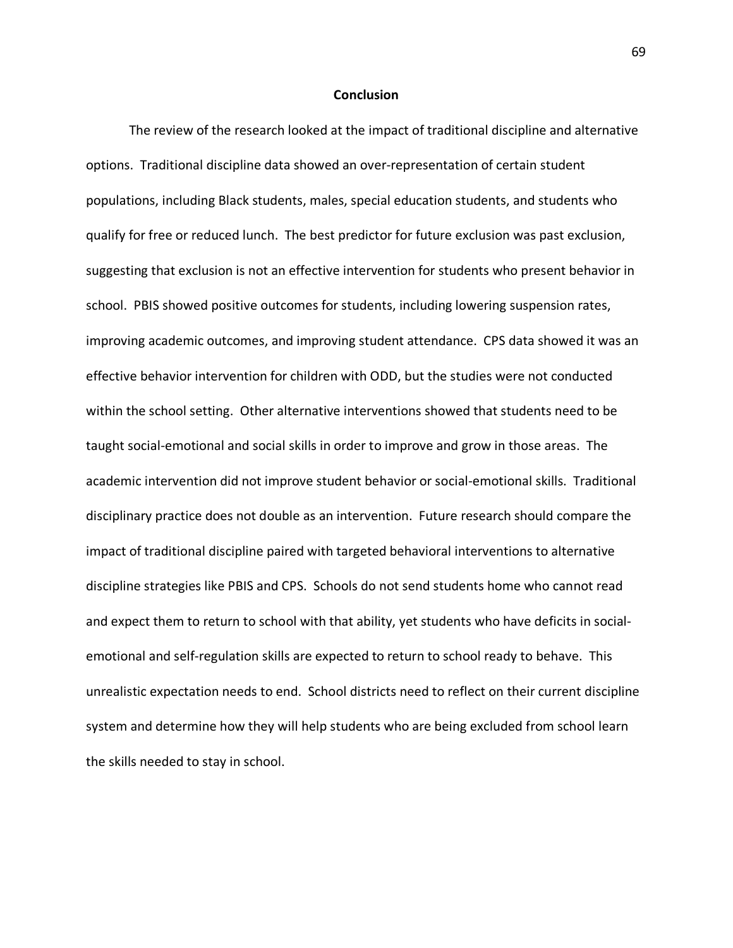### **Conclusion**

The review of the research looked at the impact of traditional discipline and alternative options. Traditional discipline data showed an over-representation of certain student populations, including Black students, males, special education students, and students who qualify for free or reduced lunch. The best predictor for future exclusion was past exclusion, suggesting that exclusion is not an effective intervention for students who present behavior in school. PBIS showed positive outcomes for students, including lowering suspension rates, improving academic outcomes, and improving student attendance. CPS data showed it was an effective behavior intervention for children with ODD, but the studies were not conducted within the school setting. Other alternative interventions showed that students need to be taught social-emotional and social skills in order to improve and grow in those areas. The academic intervention did not improve student behavior or social-emotional skills. Traditional disciplinary practice does not double as an intervention. Future research should compare the impact of traditional discipline paired with targeted behavioral interventions to alternative discipline strategies like PBIS and CPS. Schools do not send students home who cannot read and expect them to return to school with that ability, yet students who have deficits in socialemotional and self-regulation skills are expected to return to school ready to behave. This unrealistic expectation needs to end. School districts need to reflect on their current discipline system and determine how they will help students who are being excluded from school learn the skills needed to stay in school.

69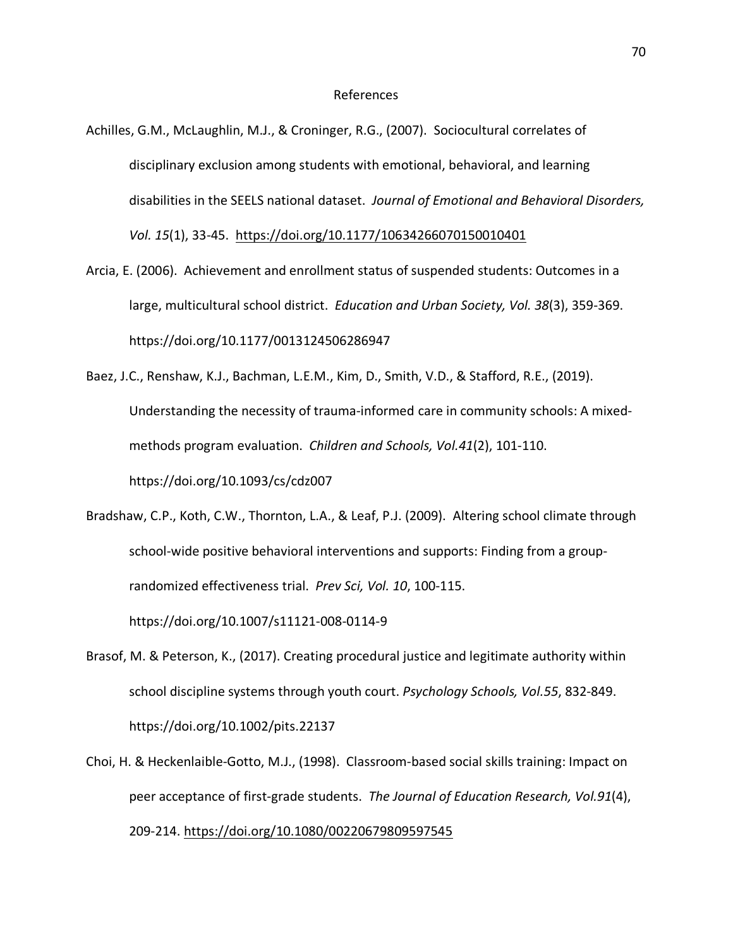- Achilles, G.M., McLaughlin, M.J., & Croninger, R.G., (2007). Sociocultural correlates of disciplinary exclusion among students with emotional, behavioral, and learning disabilities in the SEELS national dataset. *Journal of Emotional and Behavioral Disorders, Vol. 15*(1), 33-45. https://doi.org/10.1177/10634266070150010401
- Arcia, E. (2006). Achievement and enrollment status of suspended students: Outcomes in a large, multicultural school district. *Education and Urban Society, Vol. 38*(3), 359-369. https://doi.org/10.1177/0013124506286947
- Baez, J.C., Renshaw, K.J., Bachman, L.E.M., Kim, D., Smith, V.D., & Stafford, R.E., (2019). Understanding the necessity of trauma-informed care in community schools: A mixedmethods program evaluation. *Children and Schools, Vol.41*(2), 101-110. https://doi.org/10.1093/cs/cdz007
- Bradshaw, C.P., Koth, C.W., Thornton, L.A., & Leaf, P.J. (2009). Altering school climate through school-wide positive behavioral interventions and supports: Finding from a grouprandomized effectiveness trial. *Prev Sci, Vol. 10*, 100-115.

https://doi.org/10.1007/s11121-008-0114-9

- Brasof, M. & Peterson, K., (2017). Creating procedural justice and legitimate authority within school discipline systems through youth court. *Psychology Schools, Vol.55*, 832-849. https://doi.org/10.1002/pits.22137
- Choi, H. & Heckenlaible-Gotto, M.J., (1998). Classroom-based social skills training: Impact on peer acceptance of first-grade students. *The Journal of Education Research, Vol.91*(4), 209-214. https://doi.org/10.1080/00220679809597545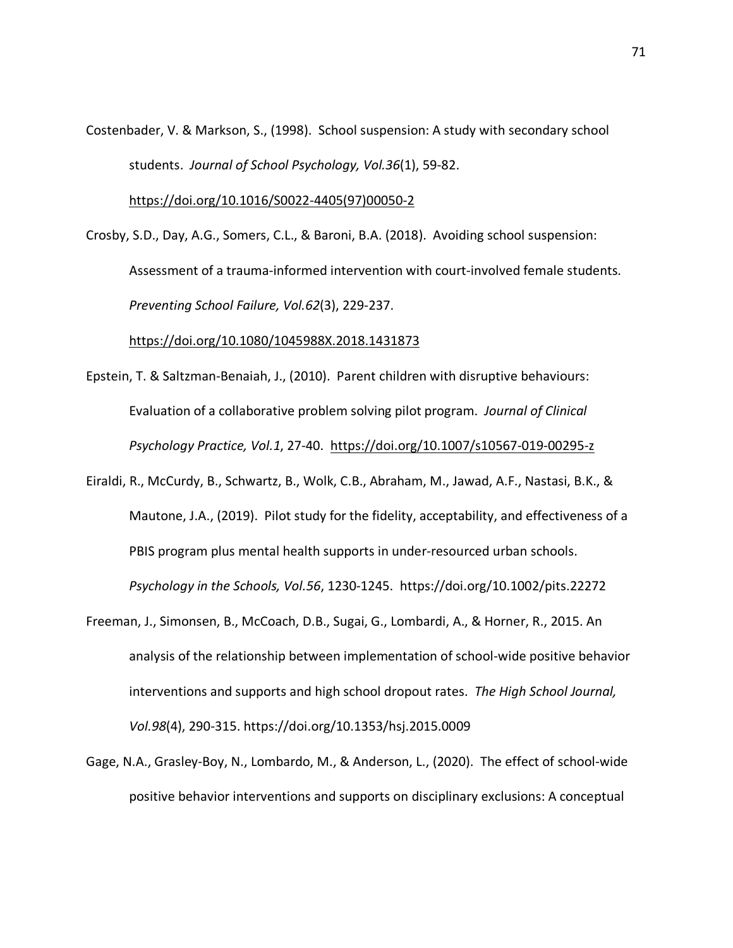Costenbader, V. & Markson, S., (1998). School suspension: A study with secondary school students. *Journal of School Psychology, Vol.36*(1), 59-82.

https://doi.org/10.1016/S0022-4405(97)00050-2

Crosby, S.D., Day, A.G., Somers, C.L., & Baroni, B.A. (2018). Avoiding school suspension: Assessment of a trauma-informed intervention with court-involved female students. *Preventing School Failure, Vol.62*(3), 229-237.

https://doi.org/10.1080/1045988X.2018.1431873

- Epstein, T. & Saltzman-Benaiah, J., (2010). Parent children with disruptive behaviours: Evaluation of a collaborative problem solving pilot program. *Journal of Clinical Psychology Practice, Vol.1*, 27-40. https://doi.org/10.1007/s10567-019-00295-z
- Eiraldi, R., McCurdy, B., Schwartz, B., Wolk, C.B., Abraham, M., Jawad, A.F., Nastasi, B.K., & Mautone, J.A., (2019). Pilot study for the fidelity, acceptability, and effectiveness of a PBIS program plus mental health supports in under-resourced urban schools. *Psychology in the Schools, Vol.56*, 1230-1245. https://doi.org/10.1002/pits.22272
- Freeman, J., Simonsen, B., McCoach, D.B., Sugai, G., Lombardi, A., & Horner, R., 2015. An analysis of the relationship between implementation of school-wide positive behavior interventions and supports and high school dropout rates. *The High School Journal, Vol.98*(4), 290-315. https://doi.org/10.1353/hsj.2015.0009
- Gage, N.A., Grasley-Boy, N., Lombardo, M., & Anderson, L., (2020). The effect of school-wide positive behavior interventions and supports on disciplinary exclusions: A conceptual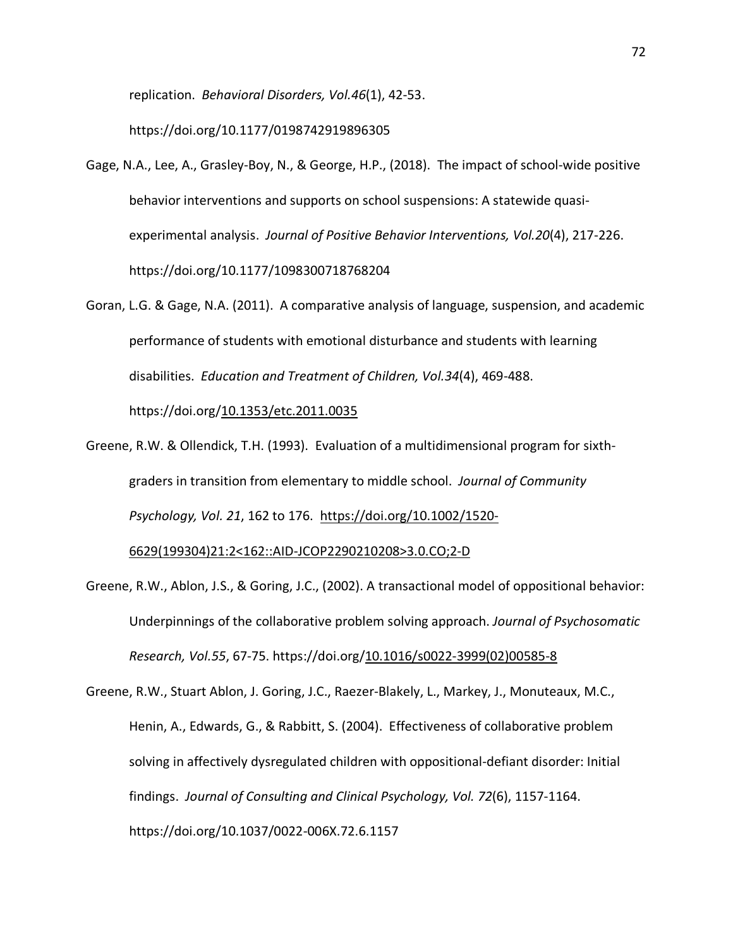replication. *Behavioral Disorders, Vol.46*(1), 42-53.

https://doi.org/10.1177/0198742919896305

- Gage, N.A., Lee, A., Grasley-Boy, N., & George, H.P., (2018). The impact of school-wide positive behavior interventions and supports on school suspensions: A statewide quasiexperimental analysis. *Journal of Positive Behavior Interventions, Vol.20*(4), 217-226. https://doi.org/10.1177/1098300718768204
- Goran, L.G. & Gage, N.A. (2011). A comparative analysis of language, suspension, and academic performance of students with emotional disturbance and students with learning disabilities. *Education and Treatment of Children, Vol.34*(4), 469-488. https://doi.org/10.1353/etc.2011.0035
- Greene, R.W. & Ollendick, T.H. (1993). Evaluation of a multidimensional program for sixthgraders in transition from elementary to middle school. *Journal of Community Psychology, Vol. 21*, 162 to 176. https://doi.org/10.1002/1520-

6629(199304)21:2<162::AID-JCOP2290210208>3.0.CO;2-D

- Greene, R.W., Ablon, J.S., & Goring, J.C., (2002). A transactional model of oppositional behavior: Underpinnings of the collaborative problem solving approach. *Journal of Psychosomatic Research, Vol.55*, 67-75. https://doi.org/10.1016/s0022-3999(02)00585-8
- Greene, R.W., Stuart Ablon, J. Goring, J.C., Raezer-Blakely, L., Markey, J., Monuteaux, M.C., Henin, A., Edwards, G., & Rabbitt, S. (2004). Effectiveness of collaborative problem solving in affectively dysregulated children with oppositional-defiant disorder: Initial findings. *Journal of Consulting and Clinical Psychology, Vol. 72*(6), 1157-1164. https://doi.org/10.1037/0022-006X.72.6.1157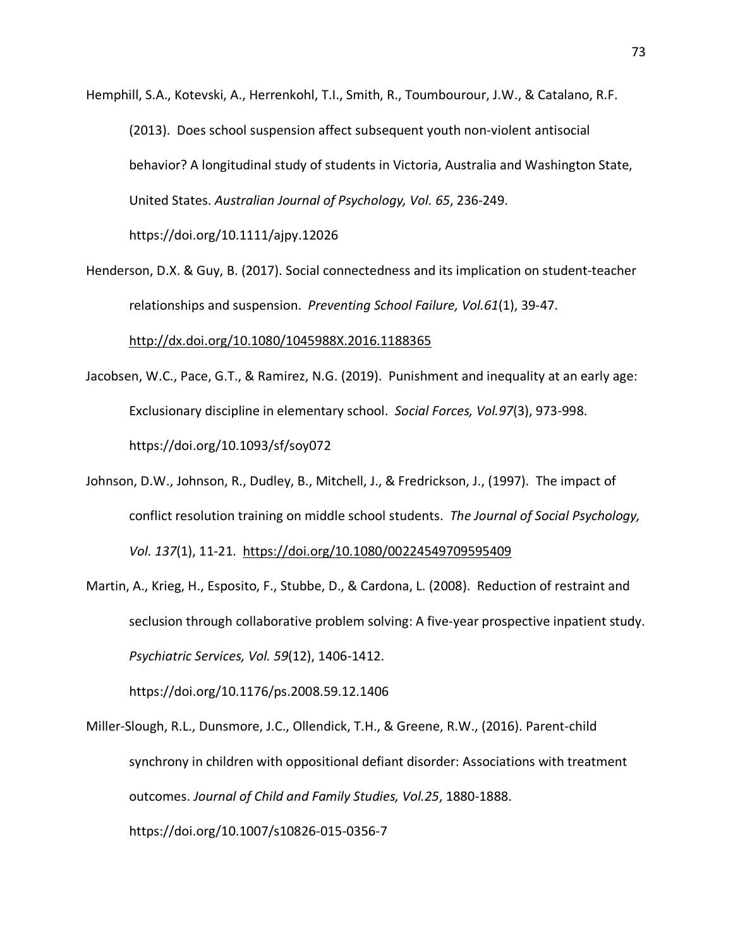Hemphill, S.A., Kotevski, A., Herrenkohl, T.I., Smith, R., Toumbourour, J.W., & Catalano, R.F. (2013). Does school suspension affect subsequent youth non-violent antisocial behavior? A longitudinal study of students in Victoria, Australia and Washington State, United States. *Australian Journal of Psychology, Vol. 65*, 236-249. https://doi.org/10.1111/ajpy.12026

Henderson, D.X. & Guy, B. (2017). Social connectedness and its implication on student-teacher relationships and suspension. *Preventing School Failure, Vol.61*(1), 39-47.

http://dx.doi.org/10.1080/1045988X.2016.1188365

- Jacobsen, W.C., Pace, G.T., & Ramirez, N.G. (2019). Punishment and inequality at an early age: Exclusionary discipline in elementary school. *Social Forces, Vol.97*(3), 973-998. https://doi.org/10.1093/sf/soy072
- Johnson, D.W., Johnson, R., Dudley, B., Mitchell, J., & Fredrickson, J., (1997). The impact of conflict resolution training on middle school students. *The Journal of Social Psychology, Vol. 137*(1), 11-21. https://doi.org/10.1080/00224549709595409
- Martin, A., Krieg, H., Esposito, F., Stubbe, D., & Cardona, L. (2008). Reduction of restraint and seclusion through collaborative problem solving: A five-year prospective inpatient study. *Psychiatric Services, Vol. 59*(12), 1406-1412.

https://doi.org/10.1176/ps.2008.59.12.1406

Miller-Slough, R.L., Dunsmore, J.C., Ollendick, T.H., & Greene, R.W., (2016). Parent-child synchrony in children with oppositional defiant disorder: Associations with treatment outcomes. *Journal of Child and Family Studies, Vol.25*, 1880-1888. https://doi.org/10.1007/s10826-015-0356-7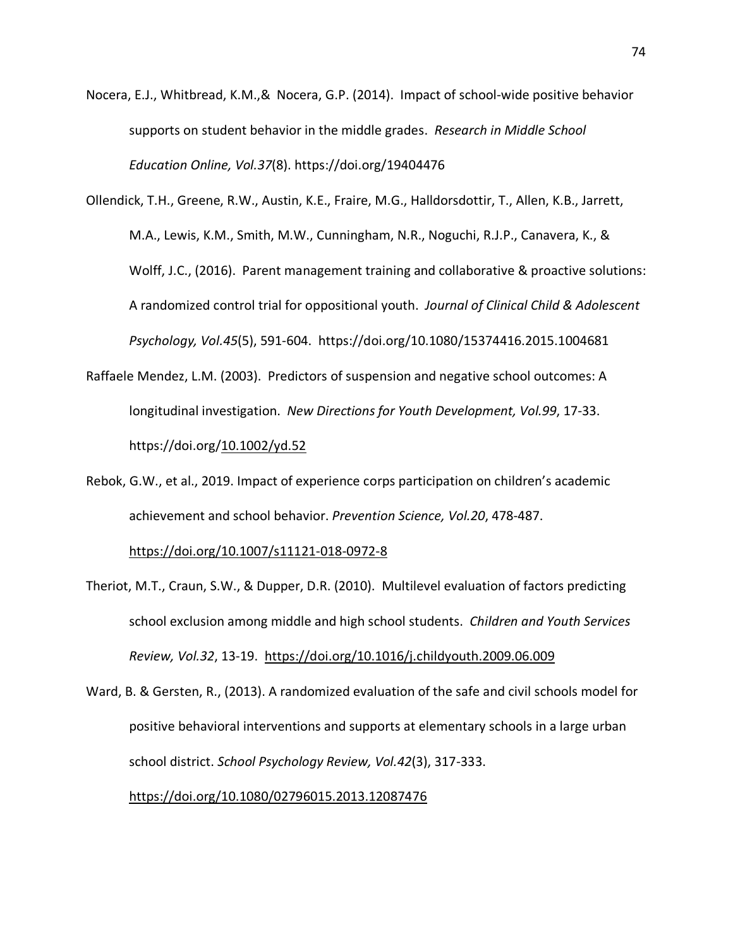- Nocera, E.J., Whitbread, K.M.,& Nocera, G.P. (2014). Impact of school-wide positive behavior supports on student behavior in the middle grades. *Research in Middle School Education Online, Vol.37*(8). https://doi.org/19404476
- Ollendick, T.H., Greene, R.W., Austin, K.E., Fraire, M.G., Halldorsdottir, T., Allen, K.B., Jarrett, M.A., Lewis, K.M., Smith, M.W., Cunningham, N.R., Noguchi, R.J.P., Canavera, K., & Wolff, J.C., (2016). Parent management training and collaborative & proactive solutions: A randomized control trial for oppositional youth. *Journal of Clinical Child & Adolescent Psychology, Vol.45*(5), 591-604. https://doi.org/10.1080/15374416.2015.1004681
- Raffaele Mendez, L.M. (2003). Predictors of suspension and negative school outcomes: A longitudinal investigation. *New Directions for Youth Development, Vol.99*, 17-33. https://doi.org/10.1002/yd.52
- Rebok, G.W., et al., 2019. Impact of experience corps participation on children's academic achievement and school behavior. *Prevention Science, Vol.20*, 478-487.

https://doi.org/10.1007/s11121-018-0972-8

- Theriot, M.T., Craun, S.W., & Dupper, D.R. (2010). Multilevel evaluation of factors predicting school exclusion among middle and high school students. *Children and Youth Services Review, Vol.32*, 13-19. https://doi.org/10.1016/j.childyouth.2009.06.009
- Ward, B. & Gersten, R., (2013). A randomized evaluation of the safe and civil schools model for positive behavioral interventions and supports at elementary schools in a large urban school district. *School Psychology Review, Vol.42*(3), 317-333.

## https://doi.org/10.1080/02796015.2013.12087476